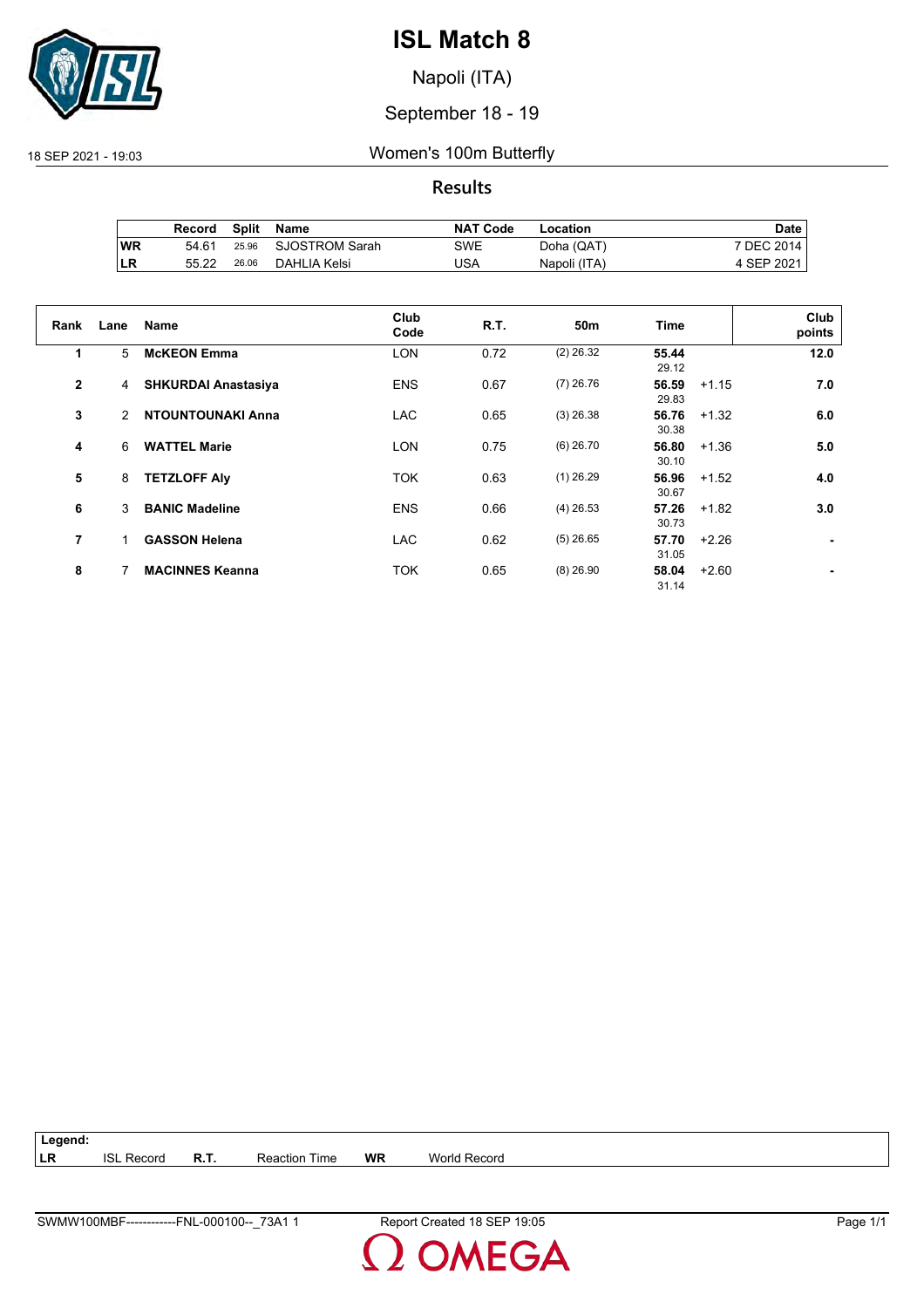

Napoli (ITA)

## September 18 - 19

## 18 SEP 2021 - 19:03 Women's 100m Butterfly

## **Results**

|           | Record | Split | Name           | <b>NAT Code</b> | Location     | Date       |
|-----------|--------|-------|----------------|-----------------|--------------|------------|
| <b>WR</b> | 54.61  | 25.96 | SJOSTROM Sarah | SWE             | Doha (QAT)   | 7 DEC 2014 |
| ∣LR       | 55.22  | 26.06 | DAHLIA Kelsi   | USA             | Napoli (ITA) | 4 SEP 2021 |

| Rank           | Lane | <b>Name</b>                | Club<br>Code | R.T. | 50 <sub>m</sub> | <b>Time</b>    |         | Club<br>points |
|----------------|------|----------------------------|--------------|------|-----------------|----------------|---------|----------------|
| 1              | 5    | <b>McKEON Emma</b>         | <b>LON</b>   | 0.72 | $(2)$ 26.32     | 55.44<br>29.12 |         | 12.0           |
| $\overline{2}$ | 4    | <b>SHKURDAI Anastasiya</b> | <b>ENS</b>   | 0.67 | $(7)$ 26.76     | 56.59<br>29.83 | $+1.15$ | 7.0            |
| 3              | 2    | <b>NTOUNTOUNAKI Anna</b>   | <b>LAC</b>   | 0.65 | $(3)$ 26.38     | 56.76<br>30.38 | $+1.32$ | 6.0            |
| 4              | 6    | <b>WATTEL Marie</b>        | <b>LON</b>   | 0.75 | $(6)$ 26.70     | 56.80<br>30.10 | $+1.36$ | 5.0            |
| 5              | 8    | <b>TETZLOFF Aly</b>        | <b>TOK</b>   | 0.63 | $(1)$ 26.29     | 56.96<br>30.67 | $+1.52$ | 4.0            |
| 6              | 3    | <b>BANIC Madeline</b>      | <b>ENS</b>   | 0.66 | $(4)$ 26.53     | 57.26<br>30.73 | $+1.82$ | 3.0            |
| 7              | 1    | <b>GASSON Helena</b>       | <b>LAC</b>   | 0.62 | $(5)$ 26.65     | 57.70<br>31.05 | $+2.26$ |                |
| 8              |      | <b>MACINNES Keanna</b>     | <b>TOK</b>   | 0.65 | $(8)$ 26.90     | 58.04<br>31.14 | $+2.60$ |                |

| Legend:    |                   |                      |    |                     |
|------------|-------------------|----------------------|----|---------------------|
| <b>ILR</b> | <b>ISL Record</b> | <b>Reaction Time</b> | WR | <b>World Record</b> |

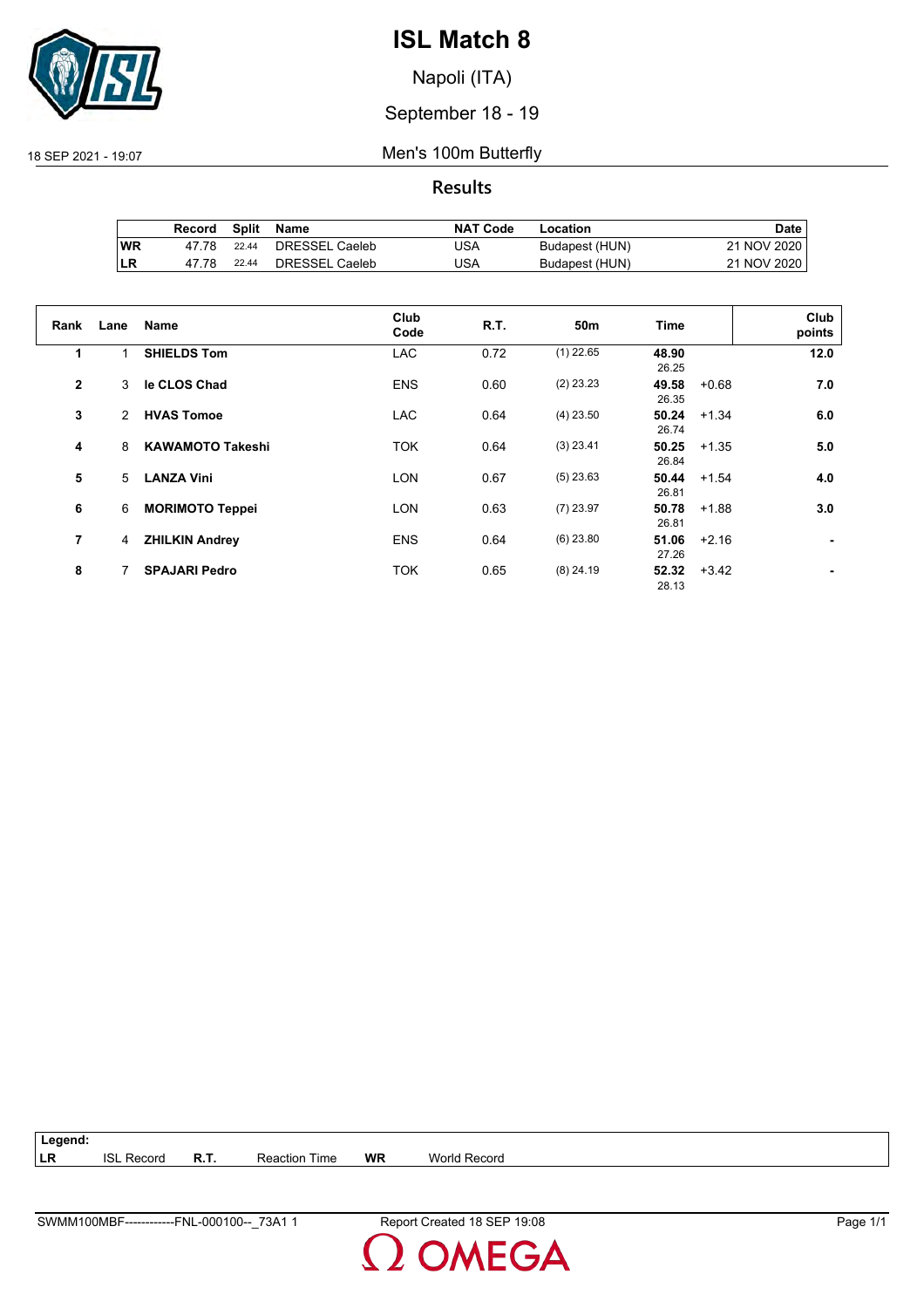

Napoli (ITA)

September 18 - 19

18 SEP 2021 - 19:07 Men's 100m Butterfly

**Results**

|           | Record | Split | Name           | <b>NAT Code</b> | Location       | Date i      |
|-----------|--------|-------|----------------|-----------------|----------------|-------------|
| <b>WR</b> | 47 78  | 22.44 | DRESSEL Caeleb | JSA             | Budapest (HUN) | 21 NOV 2020 |
| LR        | 47 78  | 22.44 | DRESSEL Caeleb | JSA             | Budapest (HUN) | 21 NOV 2020 |

| Rank           | Lane | Name                    | Club<br>Code | <b>R.T.</b> | 50m         | Time           |         | Club<br>points |
|----------------|------|-------------------------|--------------|-------------|-------------|----------------|---------|----------------|
| 1              | 1    | <b>SHIELDS Tom</b>      | <b>LAC</b>   | 0.72        | $(1)$ 22.65 | 48.90<br>26.25 |         | 12.0           |
| $\overline{2}$ | 3    | le CLOS Chad            | <b>ENS</b>   | 0.60        | $(2)$ 23.23 | 49.58<br>26.35 | $+0.68$ | 7.0            |
| 3              | 2    | <b>HVAS Tomoe</b>       | <b>LAC</b>   | 0.64        | $(4)$ 23.50 | 50.24<br>26.74 | $+1.34$ | 6.0            |
| 4              | 8    | <b>KAWAMOTO Takeshi</b> | <b>TOK</b>   | 0.64        | $(3)$ 23.41 | 50.25<br>26.84 | $+1.35$ | 5.0            |
| 5              | 5    | <b>LANZA Vini</b>       | <b>LON</b>   | 0.67        | $(5)$ 23.63 | 50.44<br>26.81 | $+1.54$ | 4.0            |
| 6              | 6    | <b>MORIMOTO Teppei</b>  | <b>LON</b>   | 0.63        | $(7)$ 23.97 | 50.78<br>26.81 | $+1.88$ | 3.0            |
| 7              | 4    | <b>ZHILKIN Andrey</b>   | <b>ENS</b>   | 0.64        | $(6)$ 23.80 | 51.06<br>27.26 | $+2.16$ |                |
| 8              |      | <b>SPAJARI Pedro</b>    | <b>TOK</b>   | 0.65        | $(8)$ 24.19 | 52.32<br>28.13 | $+3.42$ |                |

**Legend: LR** ISL Record **R.T.** Reaction Time **WR** World Record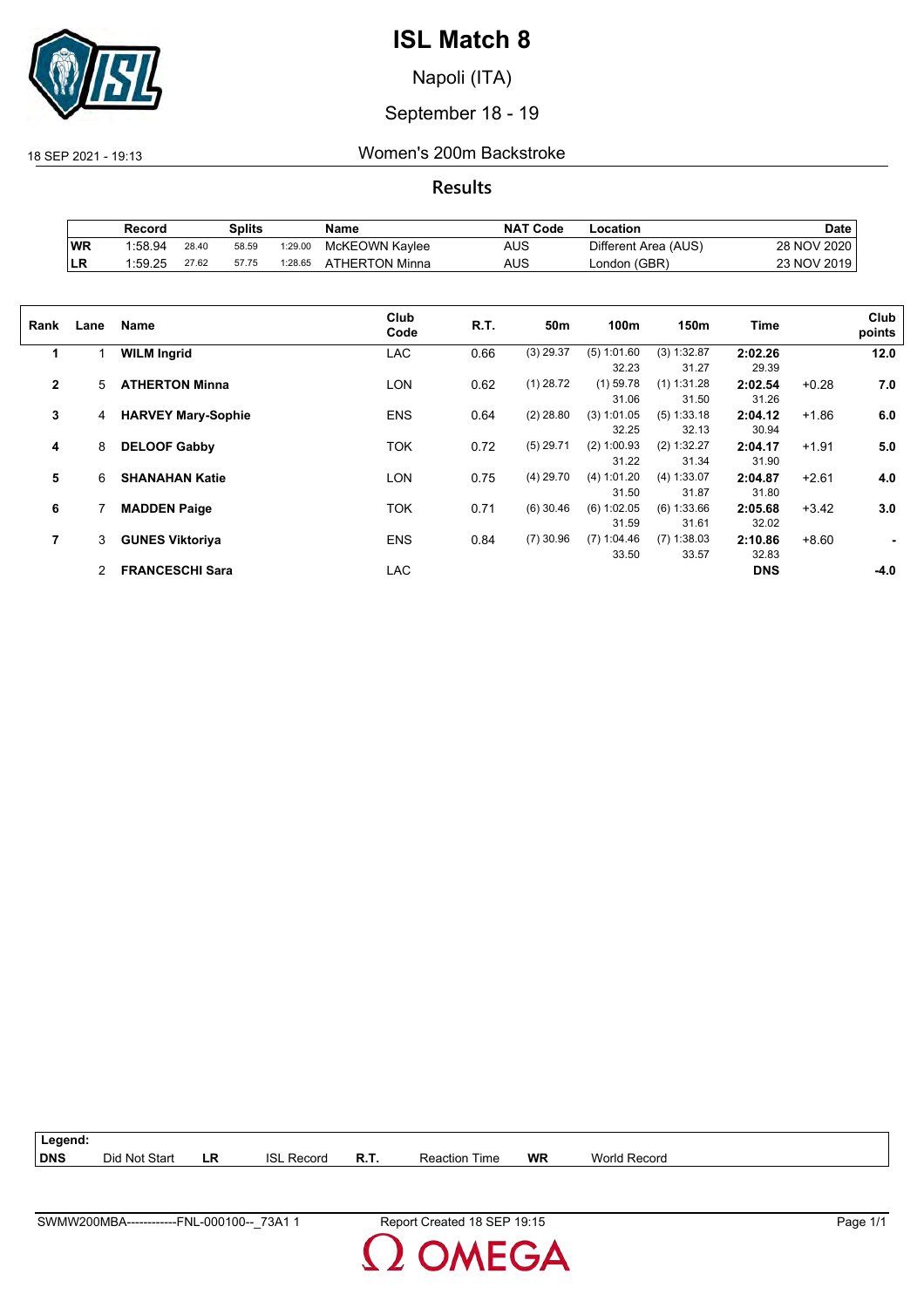

Napoli (ITA)

## September 18 - 19

18 SEP 2021 - 19:13 Women's 200m Backstroke

**Results**

|           | Record  |       | Splits |         | Name           | <b>NAT Code</b> | -ocation             | Date        |
|-----------|---------|-------|--------|---------|----------------|-----------------|----------------------|-------------|
| <b>WR</b> | 1:58.94 | 28.40 | 58.59  | 1:29.00 | McKEOWN Kaylee | AUS             | Different Area (AUS) | 28 NOV 2020 |
| LR        | 1:59.25 | 27.62 | 57.75  | 1:28.65 | ATHERTON Minna | AUS             | London (GBR)         | 23 NOV 2019 |

| Rank           | Lane | Name                      | Club<br>Code | R.T. | 50m         | 100m          | 150m          | <b>Time</b> |         | Club<br>points |
|----------------|------|---------------------------|--------------|------|-------------|---------------|---------------|-------------|---------|----------------|
| 1              |      | <b>WILM Ingrid</b>        | LAC          | 0.66 | $(3)$ 29.37 | (5) 1:01.60   | $(3)$ 1:32.87 | 2:02.26     |         | 12.0           |
|                |      |                           |              |      |             | 32.23         | 31.27         | 29.39       |         |                |
| $\mathbf{2}$   | 5    | <b>ATHERTON Minna</b>     | LON          | 0.62 | $(1)$ 28.72 | $(1)$ 59.78   | $(1)$ 1:31.28 | 2:02.54     | $+0.28$ | 7.0            |
|                |      |                           |              |      |             | 31.06         | 31.50         | 31.26       |         |                |
| 3              | 4    | <b>HARVEY Mary-Sophie</b> | <b>ENS</b>   | 0.64 | $(2)$ 28.80 | $(3)$ 1:01.05 | $(5)$ 1:33.18 | 2:04.12     | $+1.86$ | 6.0            |
|                |      |                           |              |      |             | 32.25         | 32.13         | 30.94       |         |                |
| 4              | 8    | <b>DELOOF Gabby</b>       | TOK          | 0.72 | $(5)$ 29.71 | $(2)$ 1:00.93 | (2) 1:32.27   | 2:04.17     | $+1.91$ | 5.0            |
|                |      |                           |              |      |             | 31.22         | 31.34         | 31.90       |         |                |
| 5              | 6    | <b>SHANAHAN Katie</b>     | LON          | 0.75 | $(4)$ 29.70 | (4) 1:01.20   | (4) 1:33.07   | 2:04.87     | $+2.61$ | 4.0            |
|                |      |                           |              |      |             | 31.50         | 31.87         | 31.80       |         |                |
| 6              |      | <b>MADDEN Paige</b>       | TOK          | 0.71 | $(6)$ 30.46 | $(6)$ 1:02.05 | (6) 1:33.66   | 2:05.68     | $+3.42$ | 3.0            |
|                |      |                           |              |      |             | 31.59         | 31.61         | 32.02       |         |                |
| $\overline{7}$ | 3    | <b>GUNES Viktoriya</b>    | <b>ENS</b>   | 0.84 | $(7)$ 30.96 | $(7)$ 1:04.46 | $(7)$ 1:38.03 | 2:10.86     | $+8.60$ |                |
|                |      |                           |              |      |             | 33.50         | 33.57         | 32.83       |         |                |
|                | 2    | <b>FRANCESCHI Sara</b>    | LAC          |      |             |               |               | <b>DNS</b>  |         | $-4.0$         |
|                |      |                           |              |      |             |               |               |             |         |                |

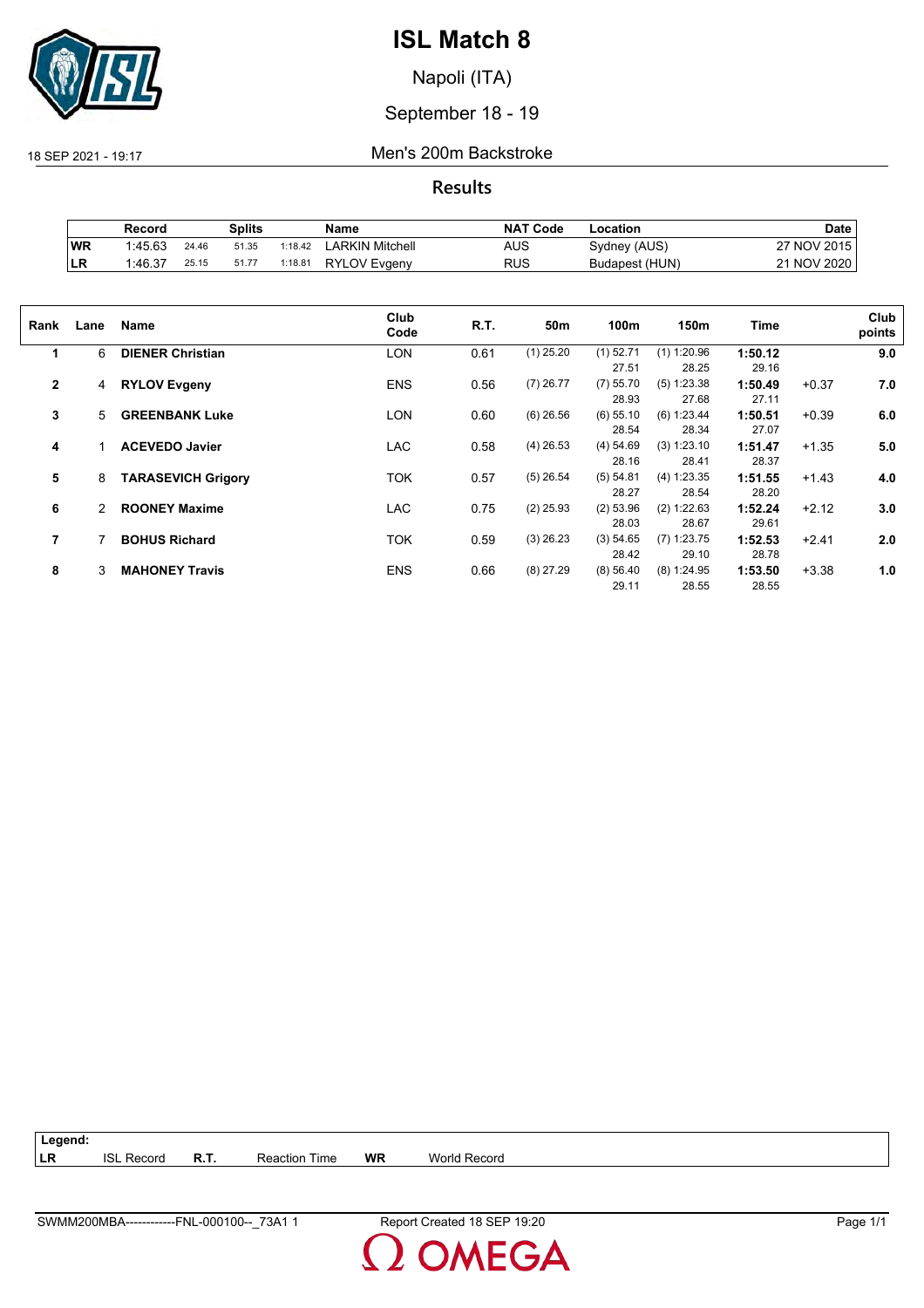

Napoli (ITA)

September 18 - 19

18 SEP 2021 - 19:17 Men's 200m Backstroke

**Results**

|     | Record  |       | Splits |         | Name                | <b>NAT Code</b> | ∟ocation       | <b>Date</b>            |
|-----|---------|-------|--------|---------|---------------------|-----------------|----------------|------------------------|
| WR  | 1:45.63 | 24.46 | 51.35  | 1:18.42 | LARKIN Mitchell     | AUS             | Sydney (AUS)   | ' NOV 2015<br>77       |
| ∣LR | 1.46.37 | 25.15 | 51.77  | 1:18.81 | <b>RYLOV Evgeny</b> | RUS             | Budapest (HUN) | <b>NOV 2020</b><br>ኅ 1 |

| Rank           | Lane | Name                      | Club<br>Code | R.T. | 50m         | 100m                 | 150m                   | Time             |         | Club<br>points |
|----------------|------|---------------------------|--------------|------|-------------|----------------------|------------------------|------------------|---------|----------------|
| 1              | 6    | <b>DIENER Christian</b>   | LON          | 0.61 | $(1)$ 25.20 | $(1)$ 52.71<br>27.51 | $(1)$ 1:20.96<br>28.25 | 1:50.12<br>29.16 |         | 9.0            |
| $\overline{2}$ | 4    | <b>RYLOV Evgeny</b>       | <b>ENS</b>   | 0.56 | $(7)$ 26.77 | $(7)$ 55.70<br>28.93 | $(5)$ 1:23.38<br>27.68 | 1:50.49<br>27.11 | $+0.37$ | 7.0            |
| 3              | 5    | <b>GREENBANK Luke</b>     | <b>LON</b>   | 0.60 | $(6)$ 26.56 | $(6)$ 55.10<br>28.54 | (6) 1:23.44<br>28.34   | 1:50.51<br>27.07 | $+0.39$ | 6.0            |
| 4              |      | <b>ACEVEDO Javier</b>     | <b>LAC</b>   | 0.58 | $(4)$ 26.53 | (4) 54.69<br>28.16   | (3) 1:23.10<br>28.41   | 1:51.47<br>28.37 | $+1.35$ | 5.0            |
| 5              | 8    | <b>TARASEVICH Grigory</b> | TOK          | 0.57 | $(5)$ 26.54 | (5) 54.81<br>28.27   | (4) 1:23.35<br>28.54   | 1:51.55<br>28.20 | $+1.43$ | 4.0            |
| 6              | 2    | <b>ROONEY Maxime</b>      | <b>LAC</b>   | 0.75 | $(2)$ 25.93 | $(2)$ 53.96<br>28.03 | (2) 1:22.63<br>28.67   | 1:52.24<br>29.61 | $+2.12$ | 3.0            |
| 7              |      | <b>BOHUS Richard</b>      | TOK          | 0.59 | $(3)$ 26.23 | (3) 54.65<br>28.42   | $(7)$ 1:23.75<br>29.10 | 1:52.53<br>28.78 | $+2.41$ | 2.0            |
| 8              | 3    | <b>MAHONEY Travis</b>     | <b>ENS</b>   | 0.66 | $(8)$ 27.29 | (8) 56.40<br>29.11   | $(8)$ 1:24.95<br>28.55 | 1:53.50<br>28.55 | $+3.38$ | 1.0            |

| $\vert$ Legend: |                   |                      |    |                     |
|-----------------|-------------------|----------------------|----|---------------------|
| LR              | <b>ISL Record</b> | <b>Reaction Time</b> | WR | <b>World Record</b> |

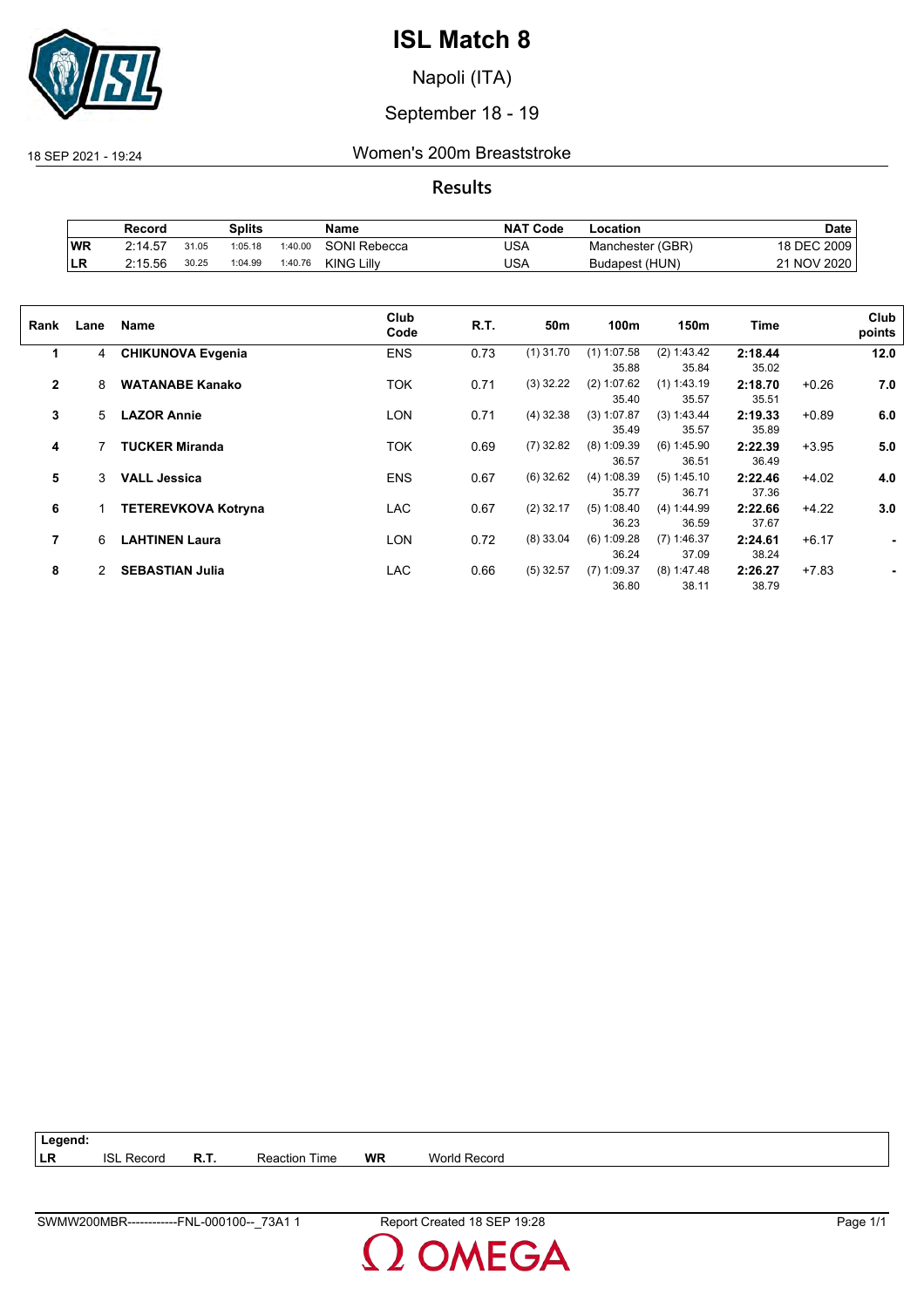

Napoli (ITA)

September 18 - 19

18 SEP 2021 - 19:24 Women's 200m Breaststroke

**Results**

|           | Record  |       | Splits  |         | Name                | <b>NAT Code</b> | Location         | <b>Date</b> |
|-----------|---------|-------|---------|---------|---------------------|-----------------|------------------|-------------|
| <b>WR</b> | 2:14.57 | 31.05 | 1:05.18 | 1:40.00 | <b>SONI Rebecca</b> | USA             | Manchester (GBR) | 18 DEC 2009 |
| ILR       | 2:15.56 | 30.25 | 1:04.99 | 1:40.76 | <b>KING Lilly</b>   | USA             | Budapest (HUN)   | 21 NOV 2020 |

| Rank           | Lane | Name                       | Club<br>Code | R.T. | 50m         | 100m                   | 150m                   | Time             |         | Club<br>points |
|----------------|------|----------------------------|--------------|------|-------------|------------------------|------------------------|------------------|---------|----------------|
| 1              | 4    | <b>CHIKUNOVA Evgenia</b>   | <b>ENS</b>   | 0.73 | $(1)$ 31.70 | $(1)$ 1:07.58<br>35.88 | (2) 1:43.42<br>35.84   | 2:18.44<br>35.02 |         | 12.0           |
| $\overline{2}$ | 8    | <b>WATANABE Kanako</b>     | <b>TOK</b>   | 0.71 | $(3)$ 32.22 | $(2)$ 1:07.62<br>35.40 | $(1)$ 1:43.19<br>35.57 | 2:18.70<br>35.51 | $+0.26$ | 7.0            |
| 3              | 5    | <b>LAZOR Annie</b>         | LON          | 0.71 | $(4)$ 32.38 | (3) 1:07.87<br>35.49   | (3) 1:43.44<br>35.57   | 2:19.33<br>35.89 | $+0.89$ | 6.0            |
| 4              |      | <b>TUCKER Miranda</b>      | <b>TOK</b>   | 0.69 | $(7)$ 32.82 | $(8)$ 1:09.39<br>36.57 | (6) 1:45.90<br>36.51   | 2:22.39<br>36.49 | $+3.95$ | 5.0            |
| 5              | 3    | <b>VALL Jessica</b>        | <b>ENS</b>   | 0.67 | $(6)$ 32.62 | (4) 1:08.39<br>35.77   | (5) 1:45.10<br>36.71   | 2:22.46<br>37.36 | $+4.02$ | 4.0            |
| 6              |      | <b>TETEREVKOVA Kotryna</b> | <b>LAC</b>   | 0.67 | $(2)$ 32.17 | (5) 1:08.40<br>36.23   | (4) 1:44.99<br>36.59   | 2:22.66<br>37.67 | $+4.22$ | 3.0            |
| 7              | 6    | <b>LAHTINEN Laura</b>      | <b>LON</b>   | 0.72 | $(8)$ 33.04 | $(6)$ 1:09.28<br>36.24 | $(7)$ 1:46.37<br>37.09 | 2:24.61<br>38.24 | $+6.17$ | ٠              |
| 8              | 2    | <b>SEBASTIAN Julia</b>     | <b>LAC</b>   | 0.66 | $(5)$ 32.57 | $(7)$ 1:09.37<br>36.80 | $(8)$ 1:47.48<br>38.11 | 2:26.27<br>38.79 | $+7.83$ |                |

| $ $ Legend: |                   |                      |    |              |
|-------------|-------------------|----------------------|----|--------------|
| <b>LR</b>   | <b>ISL Record</b> | <b>Reaction Time</b> | WR | World Record |

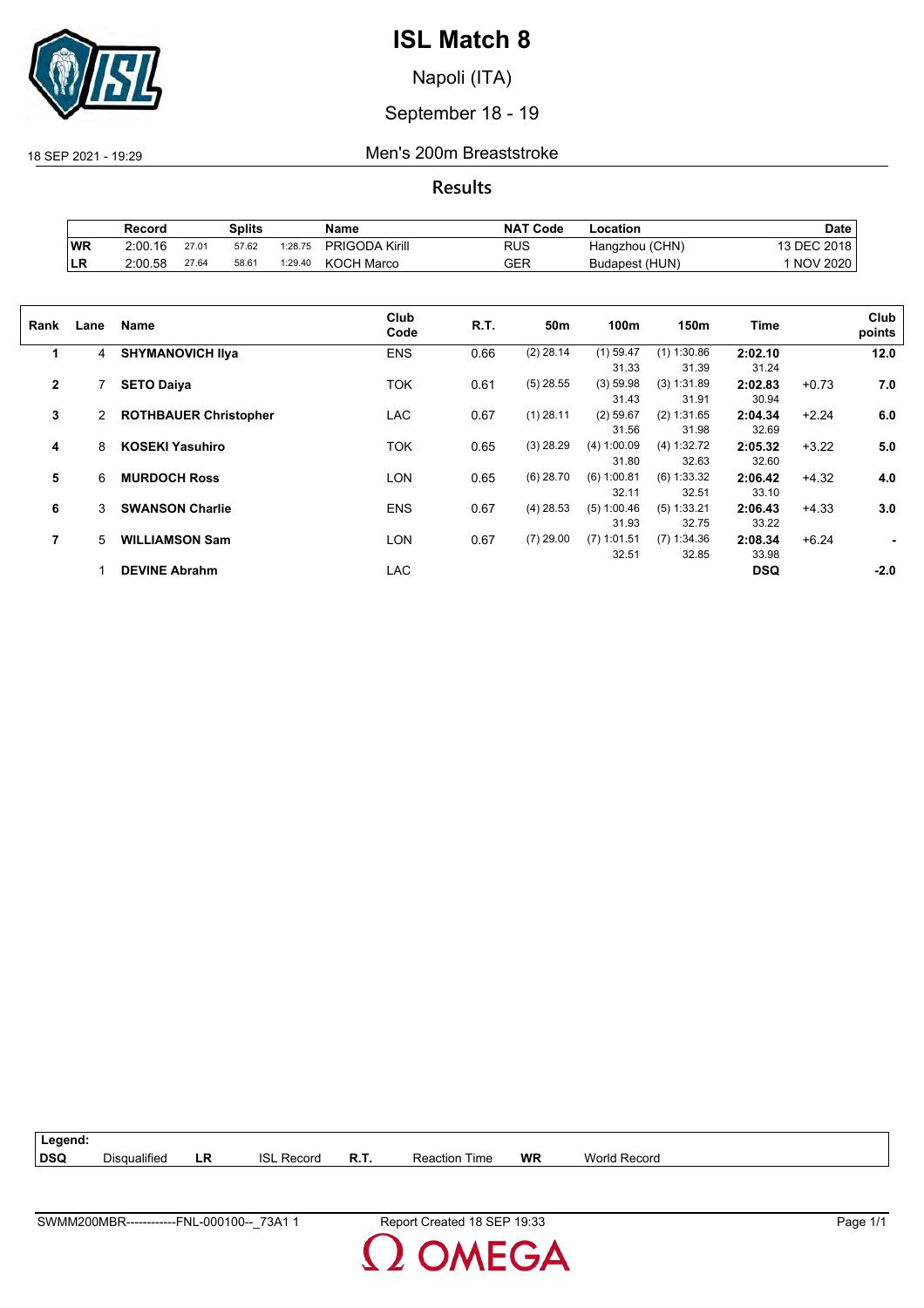

Napoli (ITA)

## September 18 - 19

18 SEP 2021 - 19:29 Men's 200m Breaststroke

**Results**

|           | Record  |       | Splits |         | Name                  | <b>NAT Code</b> | ∟ocation       | Date        |
|-----------|---------|-------|--------|---------|-----------------------|-----------------|----------------|-------------|
| <b>WR</b> | 2:00.16 | 27.01 | 57.62  | 1:28.75 | <b>PRIGODA Kirill</b> | RUS             | Hangzhou (CHN) | 13 DEC 2018 |
| ∣LR       | 2:00.58 | 27.64 | 58.61  | 1:29.40 | KOCH Marco            | GER             | Budapest (HUN) | 1 NOV 2020  |

| Rank         | Lane           | Name                         | Club<br>Code | R.T. | 50m         | 100m          | 150m          | Time       |         | Club<br>points |
|--------------|----------------|------------------------------|--------------|------|-------------|---------------|---------------|------------|---------|----------------|
| 1            | 4              | <b>SHYMANOVICH IIva</b>      | <b>ENS</b>   | 0.66 | $(2)$ 28.14 | $(1)$ 59.47   | $(1)$ 1:30.86 | 2:02.10    |         | 12.0           |
|              |                |                              |              |      |             | 31.33         | 31.39         | 31.24      |         |                |
| $\mathbf{2}$ |                | <b>SETO Daiya</b>            | TOK          | 0.61 | $(5)$ 28.55 | (3) 59.98     | (3) 1:31.89   | 2:02.83    | $+0.73$ | 7.0            |
|              |                |                              |              |      |             | 31.43         | 31.91         | 30.94      |         |                |
| 3            | $\overline{2}$ | <b>ROTHBAUER Christopher</b> | LAC          | 0.67 | $(1)$ 28.11 | $(2)$ 59.67   | (2) 1:31.65   | 2:04.34    | $+2.24$ | 6.0            |
|              |                |                              |              |      |             | 31.56         | 31.98         | 32.69      |         |                |
| 4            | 8              | <b>KOSEKI Yasuhiro</b>       | TOK          | 0.65 | $(3)$ 28.29 | (4) 1:00.09   | (4) 1:32.72   | 2:05.32    | $+3.22$ | 5.0            |
|              |                |                              |              |      |             | 31.80         | 32.63         | 32.60      |         |                |
| 5            | 6              | <b>MURDOCH Ross</b>          | LON          | 0.65 | $(6)$ 28.70 | $(6)$ 1:00.81 | $(6)$ 1:33.32 | 2:06.42    | $+4.32$ | 4.0            |
|              |                |                              |              |      |             | 32.11         | 32.51         | 33.10      |         |                |
| 6            | 3              | <b>SWANSON Charlie</b>       | <b>ENS</b>   | 0.67 | $(4)$ 28.53 | (5) 1:00.46   | (5) 1:33.21   | 2:06.43    | $+4.33$ | 3.0            |
|              |                |                              |              |      |             | 31.93         | 32.75         | 33.22      |         |                |
| 7            | 5              | <b>WILLIAMSON Sam</b>        | LON          | 0.67 | $(7)$ 29.00 | $(7)$ 1:01.51 | $(7)$ 1:34.36 | 2:08.34    | $+6.24$ |                |
|              |                |                              |              |      |             | 32.51         | 32.85         | 33.98      |         |                |
|              |                | <b>DEVINE Abrahm</b>         | <b>LAC</b>   |      |             |               |               | <b>DSQ</b> |         | $-2.0$         |
|              |                |                              |              |      |             |               |               |            |         |                |

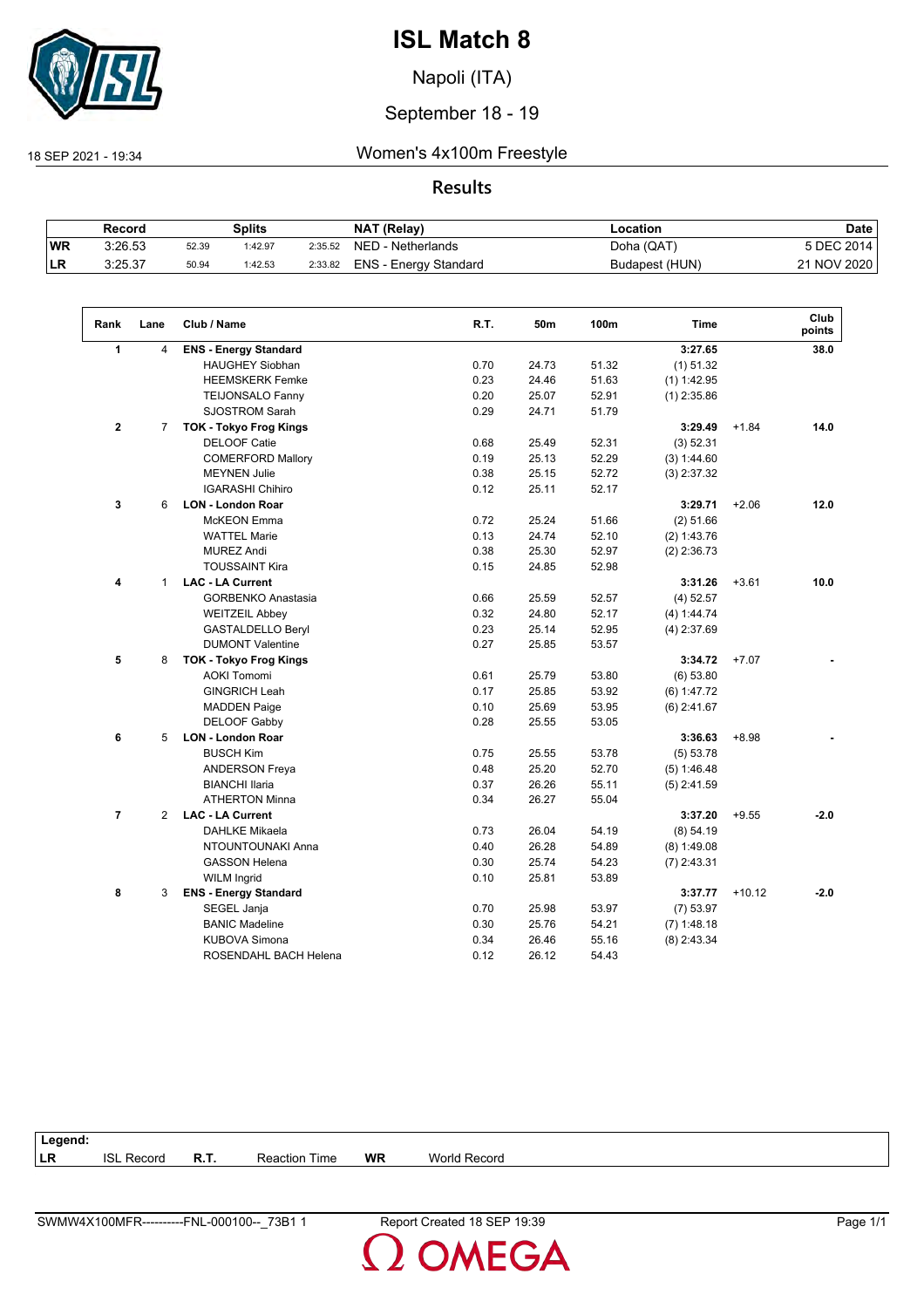

Napoli (ITA)

## September 18 - 19

18 SEP 2021 - 19:34 Women's 4x100m Freestyle

## **Results**

|            | Record  |       | Splits  |         | NAT (Relay)           | Location       | Date        |
|------------|---------|-------|---------|---------|-----------------------|----------------|-------------|
| <b>WR</b>  | 3:26.53 | 52.39 | 1:42.97 | 2:35.52 | NED - Netherlands     | Doha (QAT)     | 5 DEC 2014  |
| <b>ILR</b> | 3:25.37 | 50.94 | 1:42.53 | 2:33.82 | ENS - Energy Standard | Budapest (HUN) | 21 NOV 2020 |

| Rank                 | Lane           | Club / Name                   | R.T. | 50m   | 100m  | <b>Time</b>   |          | Club<br>points |
|----------------------|----------------|-------------------------------|------|-------|-------|---------------|----------|----------------|
| $\blacktriangleleft$ | $\overline{4}$ | <b>ENS - Energy Standard</b>  |      |       |       | 3:27.65       |          | 38.0           |
|                      |                | <b>HAUGHEY Siobhan</b>        | 0.70 | 24.73 | 51.32 | $(1)$ 51.32   |          |                |
|                      |                | <b>HEEMSKERK Femke</b>        | 0.23 | 24.46 | 51.63 | $(1)$ 1:42.95 |          |                |
|                      |                | <b>TEIJONSALO Fanny</b>       | 0.20 | 25.07 | 52.91 | $(1)$ 2:35.86 |          |                |
|                      |                | <b>SJOSTROM Sarah</b>         | 0.29 | 24.71 | 51.79 |               |          |                |
| $\mathbf{2}$         | $\overline{7}$ | TOK - Tokyo Frog Kings        |      |       |       | 3:29.49       | $+1.84$  | 14.0           |
|                      |                | <b>DELOOF Catie</b>           | 0.68 | 25.49 | 52.31 | (3) 52.31     |          |                |
|                      |                | <b>COMERFORD Mallory</b>      | 0.19 | 25.13 | 52.29 | (3) 1:44.60   |          |                |
|                      |                | <b>MEYNEN Julie</b>           | 0.38 | 25.15 | 52.72 | $(3)$ 2:37.32 |          |                |
|                      |                | <b>IGARASHI Chihiro</b>       | 0.12 | 25.11 | 52.17 |               |          |                |
| 3                    | 6              | <b>LON - London Roar</b>      |      |       |       | 3:29.71       | $+2.06$  | 12.0           |
|                      |                | McKEON Emma                   | 0.72 | 25.24 | 51.66 | $(2)$ 51.66   |          |                |
|                      |                | <b>WATTEL Marie</b>           | 0.13 | 24.74 | 52.10 | (2) 1:43.76   |          |                |
|                      |                | <b>MUREZ Andi</b>             | 0.38 | 25.30 | 52.97 | $(2)$ 2:36.73 |          |                |
|                      |                | <b>TOUSSAINT Kira</b>         | 0.15 | 24.85 | 52.98 |               |          |                |
| 4                    | $\mathbf{1}$   | <b>LAC - LA Current</b>       |      |       |       | 3:31.26       | $+3.61$  | 10.0           |
|                      |                | <b>GORBENKO Anastasia</b>     | 0.66 | 25.59 | 52.57 | $(4)$ 52.57   |          |                |
|                      |                | <b>WEITZEIL Abbey</b>         | 0.32 | 24.80 | 52.17 | (4) 1:44.74   |          |                |
|                      |                | <b>GASTALDELLO Beryl</b>      | 0.23 | 25.14 | 52.95 | $(4)$ 2:37.69 |          |                |
|                      |                | <b>DUMONT Valentine</b>       | 0.27 | 25.85 | 53.57 |               |          |                |
| 5                    | 8              | <b>TOK - Tokyo Frog Kings</b> |      |       |       | 3:34.72       | $+7.07$  |                |
|                      |                | <b>AOKI Tomomi</b>            | 0.61 | 25.79 | 53.80 | $(6)$ 53.80   |          |                |
|                      |                | <b>GINGRICH Leah</b>          | 0.17 | 25.85 | 53.92 | (6) 1:47.72   |          |                |
|                      |                | <b>MADDEN Paige</b>           | 0.10 | 25.69 | 53.95 | $(6)$ 2:41.67 |          |                |
|                      |                | <b>DELOOF Gabby</b>           | 0.28 | 25.55 | 53.05 |               |          |                |
| 6                    | 5              | <b>LON - London Roar</b>      |      |       |       | 3:36.63       | $+8.98$  |                |
|                      |                | <b>BUSCH Kim</b>              | 0.75 | 25.55 | 53.78 | (5) 53.78     |          |                |
|                      |                | <b>ANDERSON Freya</b>         | 0.48 | 25.20 | 52.70 | (5) 1:46.48   |          |                |
|                      |                | <b>BIANCHI Ilaria</b>         | 0.37 | 26.26 | 55.11 | $(5)$ 2:41.59 |          |                |
|                      |                | <b>ATHERTON Minna</b>         | 0.34 | 26.27 | 55.04 |               |          |                |
| $\overline{7}$       | $\overline{2}$ | <b>LAC - LA Current</b>       |      |       |       | 3:37.20       | $+9.55$  | $-2.0$         |
|                      |                | <b>DAHLKE Mikaela</b>         | 0.73 | 26.04 | 54.19 | (8) 54.19     |          |                |
|                      |                | NTOUNTOUNAKI Anna             | 0.40 | 26.28 | 54.89 | $(8)$ 1:49.08 |          |                |
|                      |                | <b>GASSON Helena</b>          | 0.30 | 25.74 | 54.23 | $(7)$ 2:43.31 |          |                |
|                      |                | <b>WILM Ingrid</b>            | 0.10 | 25.81 | 53.89 |               |          |                |
| 8                    | 3              | <b>ENS - Energy Standard</b>  |      |       |       | 3:37.77       | $+10.12$ | $-2.0$         |
|                      |                | SEGEL Janja                   | 0.70 | 25.98 | 53.97 | $(7)$ 53.97   |          |                |
|                      |                | <b>BANIC Madeline</b>         | 0.30 | 25.76 | 54.21 | $(7)$ 1:48.18 |          |                |
|                      |                | <b>KUBOVA Simona</b>          | 0.34 | 26.46 | 55.16 | $(8)$ 2:43.34 |          |                |
|                      |                | ROSENDAHL BACH Helena         | 0.12 | 26.12 | 54.43 |               |          |                |

| Legend: |               |      |                  |           |                 |
|---------|---------------|------|------------------|-----------|-----------------|
| LR      | isl<br>Record | R.T. | Time<br>Reaction | <b>WR</b> | World<br>Record |
|         |               |      |                  |           |                 |

**OMEGA**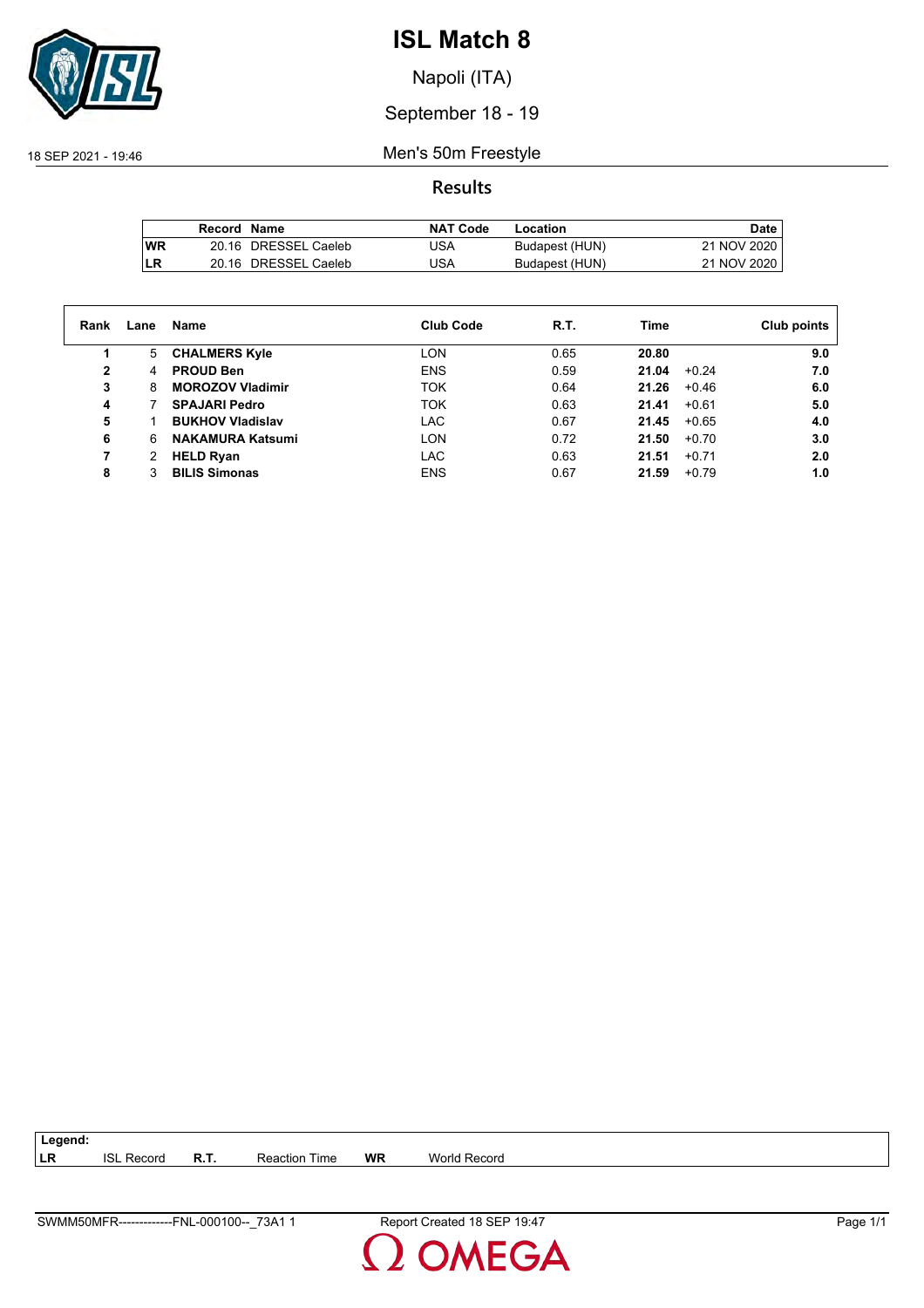

Napoli (ITA)

## September 18 - 19

18 SEP 2021 - 19:46 Men's 50m Freestyle

**Results**

|           | Record Name |                      | <b>NAT Code</b> | Location       | Date,       |
|-----------|-------------|----------------------|-----------------|----------------|-------------|
| <b>WR</b> |             | 20.16 DRESSEL Caeleb | <b>USA</b>      | Budapest (HUN) | 21 NOV 2020 |
| LR        |             | 20.16 DRESSEL Caeleb | USA             | Budapest (HUN) | 21 NOV 2020 |

| Rank | Lane | Name                    | <b>Club Code</b> | R.T. | Time  |         | Club points |
|------|------|-------------------------|------------------|------|-------|---------|-------------|
| 1    | 5.   | <b>CHALMERS Kyle</b>    | <b>LON</b>       | 0.65 | 20.80 |         | 9.0         |
| 2    | 4    | <b>PROUD Ben</b>        | <b>ENS</b>       | 0.59 | 21.04 | $+0.24$ | 7.0         |
| 3    | 8    | <b>MOROZOV Vladimir</b> | <b>TOK</b>       | 0.64 | 21.26 | $+0.46$ | 6.0         |
| 4    |      | <b>SPAJARI Pedro</b>    | <b>TOK</b>       | 0.63 | 21.41 | $+0.61$ | 5.0         |
| 5    |      | <b>BUKHOV Vladislav</b> | LAC              | 0.67 | 21.45 | $+0.65$ | 4.0         |
| 6    | 6    | <b>NAKAMURA Katsumi</b> | <b>LON</b>       | 0.72 | 21.50 | $+0.70$ | 3.0         |
| 7    | 2    | <b>HELD Ryan</b>        | <b>LAC</b>       | 0.63 | 21.51 | $+0.71$ | 2.0         |
| 8    |      | <b>BILIS Simonas</b>    | <b>ENS</b>       | 0.67 | 21.59 | $+0.79$ | 1.0         |

**LR** ISL Record **R.T.** Reaction Time **WR** World Record

**Legend:**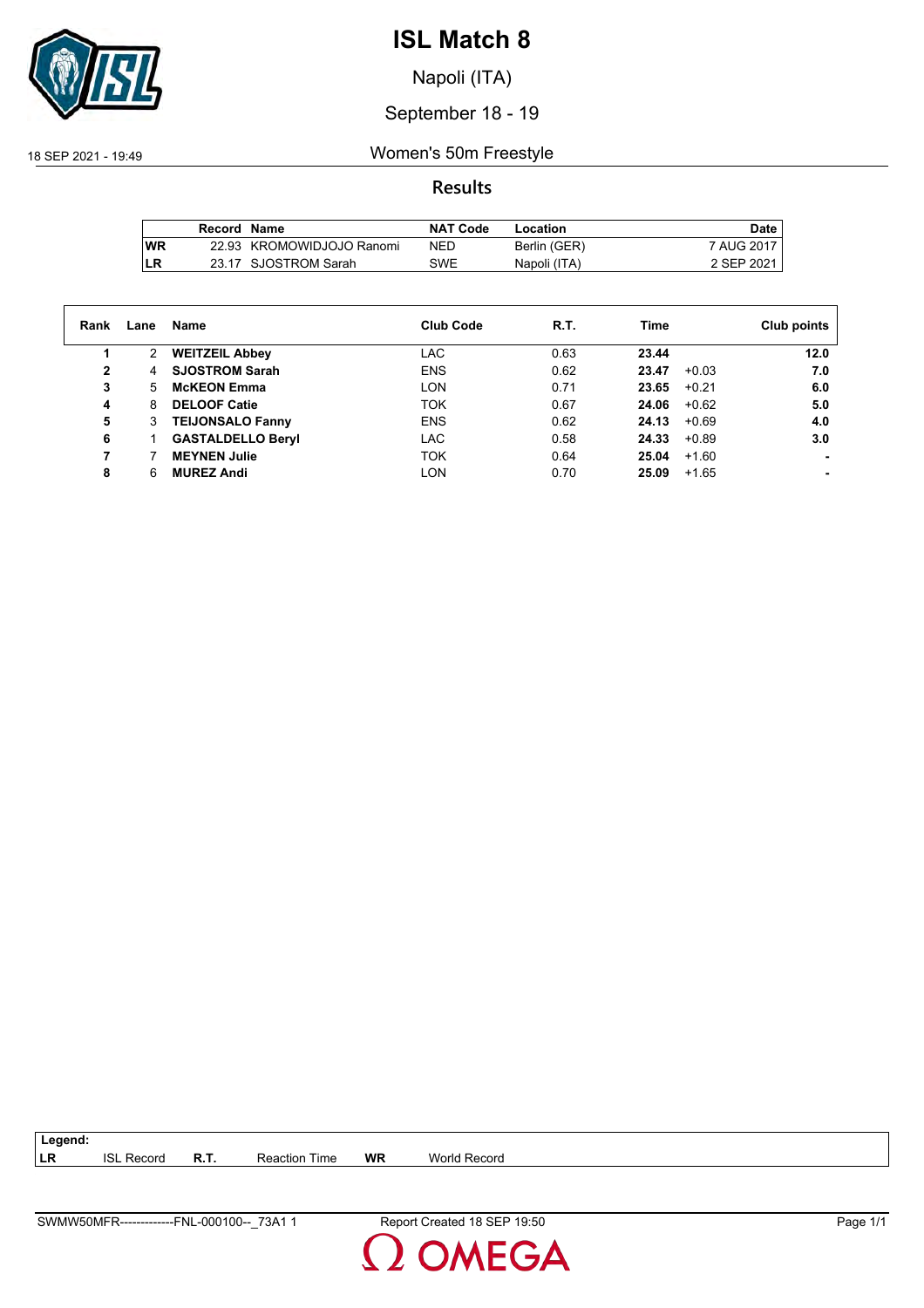

Napoli (ITA)

## September 18 - 19

18 SEP 2021 - 19:49 Women's 50m Freestyle

## **Results**

|           | Record Name |                           | <b>NAT Code</b> | Location     | Date l       |
|-----------|-------------|---------------------------|-----------------|--------------|--------------|
| <b>WR</b> |             | 22.93 KROMOWIDJOJO Ranomi | <b>NED</b>      | Berlin (GER) | 7 AUG 2017 I |
| LR        |             | 23.17 SJOSTROM Sarah      | SWE             | Napoli (ITA) | 2 SEP 2021   |

| Rank | Lane | Name                     | <b>Club Code</b> | R.T. | Time             | Club points |
|------|------|--------------------------|------------------|------|------------------|-------------|
|      | 2    | <b>WEITZEIL Abbey</b>    | LAC              | 0.63 | 23.44            | 12.0        |
| 2    | 4    | <b>SJOSTROM Sarah</b>    | <b>ENS</b>       | 0.62 | 23.47<br>$+0.03$ | 7.0         |
| 3    | 5.   | <b>McKEON Emma</b>       | <b>LON</b>       | 0.71 | 23.65<br>$+0.21$ | 6.0         |
| 4    | 8    | <b>DELOOF Catie</b>      | <b>TOK</b>       | 0.67 | 24.06<br>$+0.62$ | 5.0         |
| 5    | 3    | <b>TEIJONSALO Fanny</b>  | <b>ENS</b>       | 0.62 | 24.13<br>$+0.69$ | 4.0         |
| 6    |      | <b>GASTALDELLO Beryl</b> | LAC              | 0.58 | 24.33<br>$+0.89$ | 3.0         |
|      |      | <b>MEYNEN Julie</b>      | <b>TOK</b>       | 0.64 | 25.04<br>$+1.60$ |             |
| 8    | 6    | <b>MUREZ Andi</b>        | <b>LON</b>       | 0.70 | 25.09<br>$+1.65$ |             |

**LR** ISL Record **R.T.** Reaction Time **WR** World Record

**Legend:**

SWMW50MFR-------------FNL-000100--\_73A1 1 Report Created 18 SEP 19:50 Page 1/1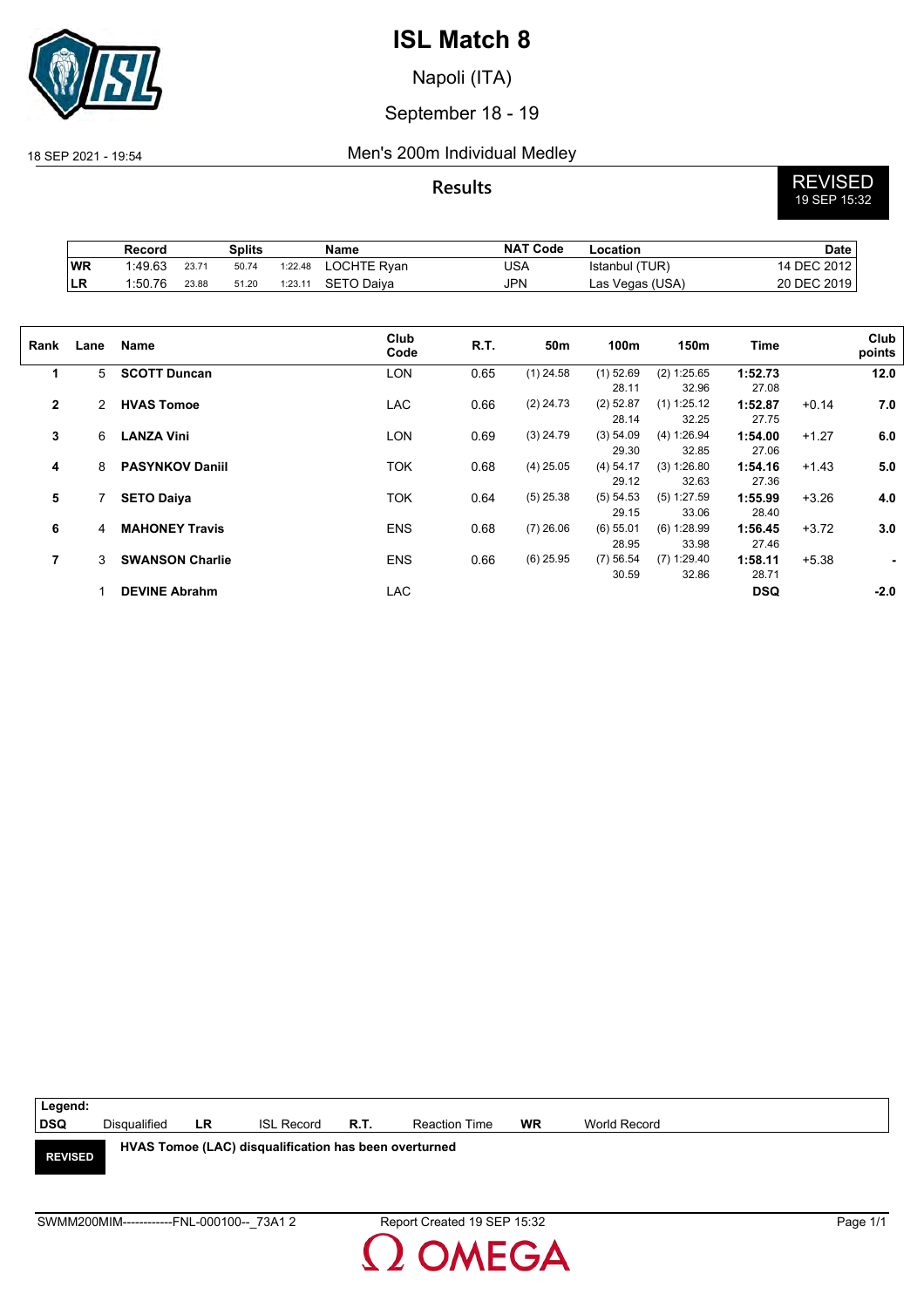

Napoli (ITA)

## September 18 - 19

### 18 SEP 2021 - 19:54 Men's 200m Individual Medley

**Results** REVISED 19 SEP 15:32

|                 | Splits<br>Record |       | <b>Name</b> | <b>NAT Code</b> | Location    | <b>Date</b> |                 |             |
|-----------------|------------------|-------|-------------|-----------------|-------------|-------------|-----------------|-------------|
| WR              | 1:49.63          | 23.71 | 50.74       | 1:22.48         | LOCHTE Ryan | USA         | Istanbul (TUR)  | 14 DEC 2012 |
| LR <sup>1</sup> | 1:50.76          | 23.88 | 51.20       | 1:23.11         | SETO Daiva  | JPN         | Las Vegas (USA) | 20 DEC 2019 |

| Rank         | Lane           | Name                   | Club<br>Code | R.T. | 50m         | 100m                        | 150m                          | <b>Time</b>               |         | Club<br>points |
|--------------|----------------|------------------------|--------------|------|-------------|-----------------------------|-------------------------------|---------------------------|---------|----------------|
| 1            | 5              | <b>SCOTT Duncan</b>    | <b>LON</b>   | 0.65 | $(1)$ 24.58 | $(1)$ 52.69                 | (2) 1:25.65                   | 1:52.73                   |         | 12.0           |
| $\mathbf{2}$ | $\mathbf{2}$   | <b>HVAS Tomoe</b>      | <b>LAC</b>   | 0.66 | $(2)$ 24.73 | 28.11<br>$(2)$ 52.87        | 32.96<br>$(1)$ 1:25.12        | 27.08<br>1:52.87          | $+0.14$ | 7.0            |
| 3            | 6              | <b>LANZA Vini</b>      | <b>LON</b>   | 0.69 | $(3)$ 24.79 | 28.14<br>(3) 54.09<br>29.30 | 32.25<br>(4) 1:26.94<br>32.85 | 27.75<br>1:54.00<br>27.06 | $+1.27$ | 6.0            |
| 4            | 8              | <b>PASYNKOV Daniil</b> | <b>TOK</b>   | 0.68 | $(4)$ 25.05 | (4) 54.17<br>29.12          | (3) 1:26.80<br>32.63          | 1:54.16<br>27.36          | $+1.43$ | 5.0            |
| 5            |                | <b>SETO Daiya</b>      | TOK          | 0.64 | $(5)$ 25.38 | (5) 54.53<br>29.15          | $(5)$ 1:27.59<br>33.06        | 1:55.99<br>28.40          | $+3.26$ | 4.0            |
| 6            | $\overline{4}$ | <b>MAHONEY Travis</b>  | <b>ENS</b>   | 0.68 | $(7)$ 26.06 | $(6)$ 55.01<br>28.95        | (6) 1:28.99<br>33.98          | 1:56.45<br>27.46          | $+3.72$ | 3.0            |
| 7            | 3              | <b>SWANSON Charlie</b> | <b>ENS</b>   | 0.66 | $(6)$ 25.95 | (7) 56.54<br>30.59          | $(7)$ 1:29.40<br>32.86        | 1:58.11<br>28.71          | $+5.38$ | $\blacksquare$ |
|              |                | <b>DEVINE Abrahm</b>   | LAC          |      |             |                             |                               | <b>DSQ</b>                |         | $-2.0$         |

| Legend:        |                                           |     |                                                       |      |                             |           |              |          |
|----------------|-------------------------------------------|-----|-------------------------------------------------------|------|-----------------------------|-----------|--------------|----------|
| <b>DSQ</b>     | Disgualified                              | LR. | <b>ISL Record</b>                                     | R.T. | <b>Reaction Time</b>        | <b>WR</b> | World Record |          |
| <b>REVISED</b> |                                           |     | HVAS Tomoe (LAC) disqualification has been overturned |      |                             |           |              |          |
|                |                                           |     |                                                       |      |                             |           |              |          |
|                | SWMM200MIM------------FNL-000100-- 73A1 2 |     |                                                       |      | Report Created 19 SEP 15:32 |           |              | Page 1/1 |

 $\overline{\mathbf{S}}$ 

OMEGA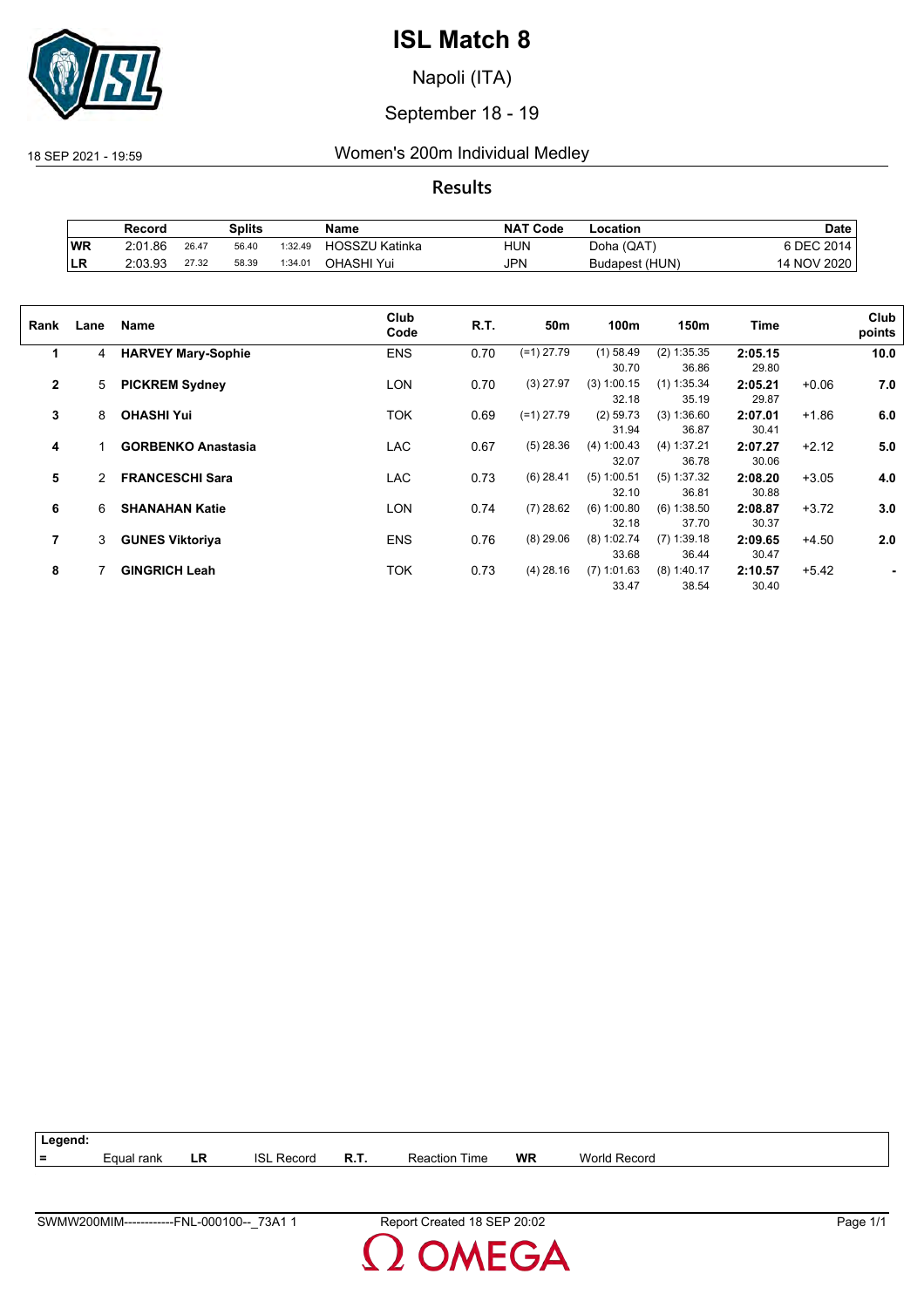

Napoli (ITA)

## September 18 - 19

18 SEP 2021 - 19:59 Women's 200m Individual Medley

**Results**

|     | Splits<br>Record |       | <b>NAT Code</b><br>Name |                     | _ocation              | Date       |                |                   |
|-----|------------------|-------|-------------------------|---------------------|-----------------------|------------|----------------|-------------------|
| WR  | 2:01.86          | 26.47 | 56.40                   | 1:32.49             | <b>HOSSZU Katinka</b> | HUN        | Doha (QAT)     | <b>SDEC 2014.</b> |
| ∣LR | 2:03.93          | 27.32 | 58.39                   | 1:34.0 <sup>4</sup> | OHASHI Yui            | <b>JPN</b> | Budapest (HUN) | 14 NOV 2020       |

| Rank         | Lane           | <b>Name</b>               | Club<br>Code | R.T. | 50m          | 100m                   | 150m                   | Time             |         | Club<br>points |
|--------------|----------------|---------------------------|--------------|------|--------------|------------------------|------------------------|------------------|---------|----------------|
| 1            | 4              | <b>HARVEY Mary-Sophie</b> | <b>ENS</b>   | 0.70 | $(=1)$ 27.79 | $(1)$ 58.49<br>30.70   | $(2)$ 1:35.35<br>36.86 | 2:05.15<br>29.80 |         | 10.0           |
| $\mathbf{2}$ | 5              | <b>PICKREM Sydney</b>     | <b>LON</b>   | 0.70 | $(3)$ 27.97  | $(3)$ 1:00.15<br>32.18 | $(1)$ 1:35.34<br>35.19 | 2:05.21<br>29.87 | $+0.06$ | 7.0            |
| 3            | 8              | <b>OHASHI Yui</b>         | <b>TOK</b>   | 0.69 | $(=1)$ 27.79 | $(2)$ 59.73<br>31.94   | (3) 1:36.60<br>36.87   | 2:07.01<br>30.41 | $+1.86$ | 6.0            |
| 4            |                | <b>GORBENKO Anastasia</b> | <b>LAC</b>   | 0.67 | $(5)$ 28.36  | (4) 1:00.43<br>32.07   | (4) 1:37.21<br>36.78   | 2:07.27<br>30.06 | $+2.12$ | 5.0            |
| 5            | $\overline{2}$ | <b>FRANCESCHI Sara</b>    | LAC          | 0.73 | $(6)$ 28.41  | $(5)$ 1:00.51<br>32.10 | (5) 1:37.32<br>36.81   | 2:08.20<br>30.88 | $+3.05$ | 4.0            |
| 6            | 6              | <b>SHANAHAN Katie</b>     | <b>LON</b>   | 0.74 | $(7)$ 28.62  | (6) 1:00.80<br>32.18   | (6) 1:38.50<br>37.70   | 2:08.87<br>30.37 | $+3.72$ | 3.0            |
| 7            | 3              | <b>GUNES Viktoriya</b>    | <b>ENS</b>   | 0.76 | $(8)$ 29.06  | $(8)$ 1:02.74<br>33.68 | $(7)$ 1:39.18<br>36.44 | 2:09.65<br>30.47 | $+4.50$ | 2.0            |
| 8            |                | <b>GINGRICH Leah</b>      | <b>TOK</b>   | 0.73 | $(4)$ 28.16  | $(7)$ 1:01.63<br>33.47 | $(8)$ 1:40.17<br>38.54 | 2:10.57<br>30.40 | $+5.42$ | ٠              |

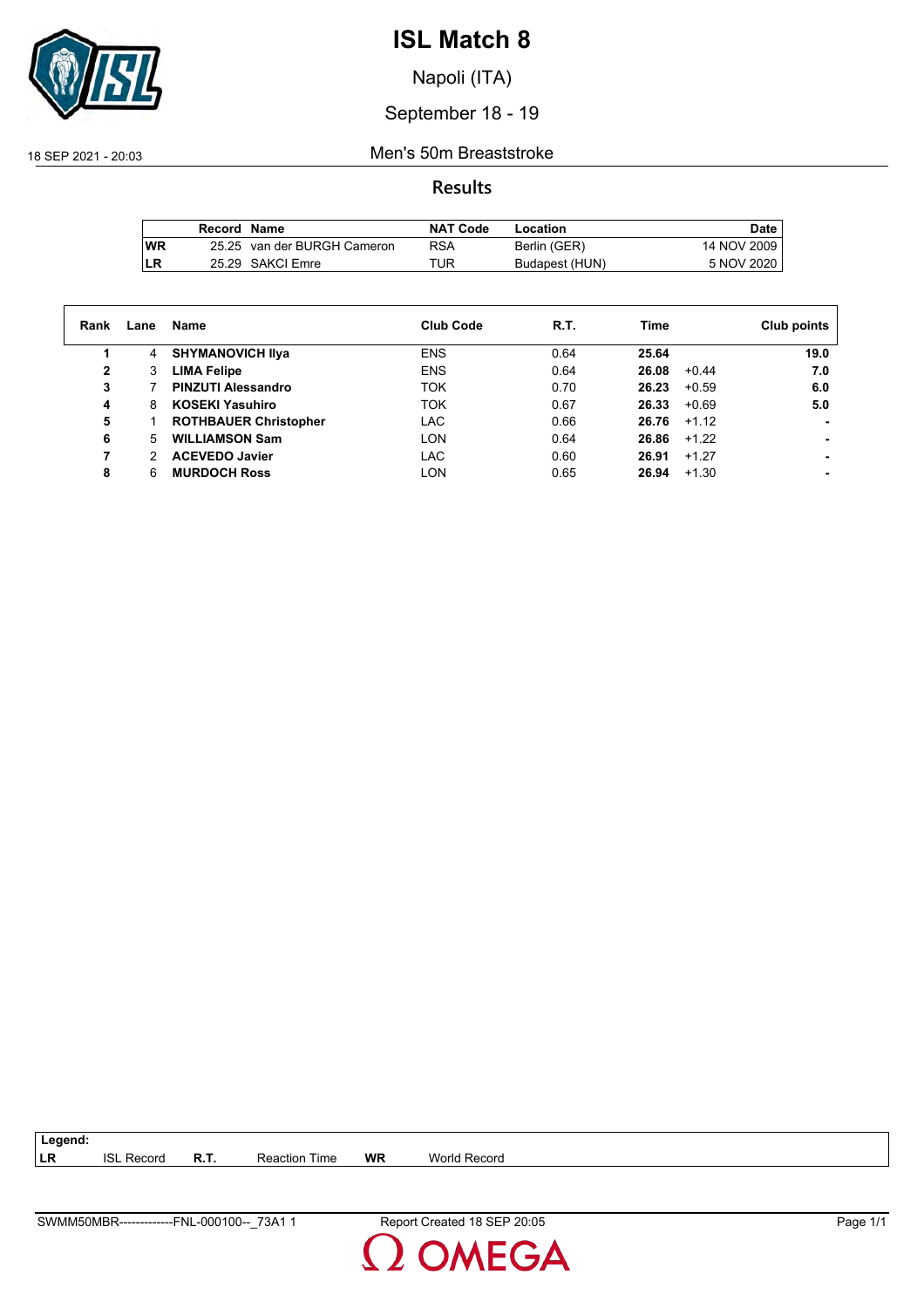

Napoli (ITA)

## September 18 - 19

18 SEP 2021 - 20:03 Men's 50m Breaststroke

## **Results**

|     | Record Name |                             | <b>NAT Code</b> | Location       | Date        |
|-----|-------------|-----------------------------|-----------------|----------------|-------------|
| lWR |             | 25.25 van der BURGH Cameron | RSA             | Berlin (GER)   | 14 NOV 2009 |
| LR  |             | 25.29 SAKCI Emre            | TUR             | Budapest (HUN) | 5 NOV 2020  |

| Rank         | Lane | Name                         | <b>Club Code</b> | R.T. | Time             | Club points |
|--------------|------|------------------------------|------------------|------|------------------|-------------|
|              | 4    | <b>SHYMANOVICH IIva</b>      | <b>ENS</b>       | 0.64 | 25.64            | 19.0        |
| $\mathbf{2}$ | 3    | <b>LIMA Felipe</b>           | <b>ENS</b>       | 0.64 | 26.08<br>$+0.44$ | 7.0         |
| 3            |      | <b>PINZUTI Alessandro</b>    | <b>TOK</b>       | 0.70 | 26.23<br>$+0.59$ | 6.0         |
| 4            | 8    | <b>KOSEKI Yasuhiro</b>       | <b>TOK</b>       | 0.67 | 26.33<br>$+0.69$ | 5.0         |
| 5            |      | <b>ROTHBAUER Christopher</b> | LAC              | 0.66 | $26.76 + 1.12$   |             |
| 6            | 5    | <b>WILLIAMSON Sam</b>        | <b>LON</b>       | 0.64 | 26.86<br>$+1.22$ |             |
| 7            | 2    | <b>ACEVEDO Javier</b>        | LAC              | 0.60 | $+1.27$<br>26.91 |             |
| 8            | 6    | <b>MURDOCH Ross</b>          | <b>LON</b>       | 0.65 | 26.94<br>$+1.30$ |             |

**LR** ISL Record **R.T.** Reaction Time **WR** World Record



**Legend:**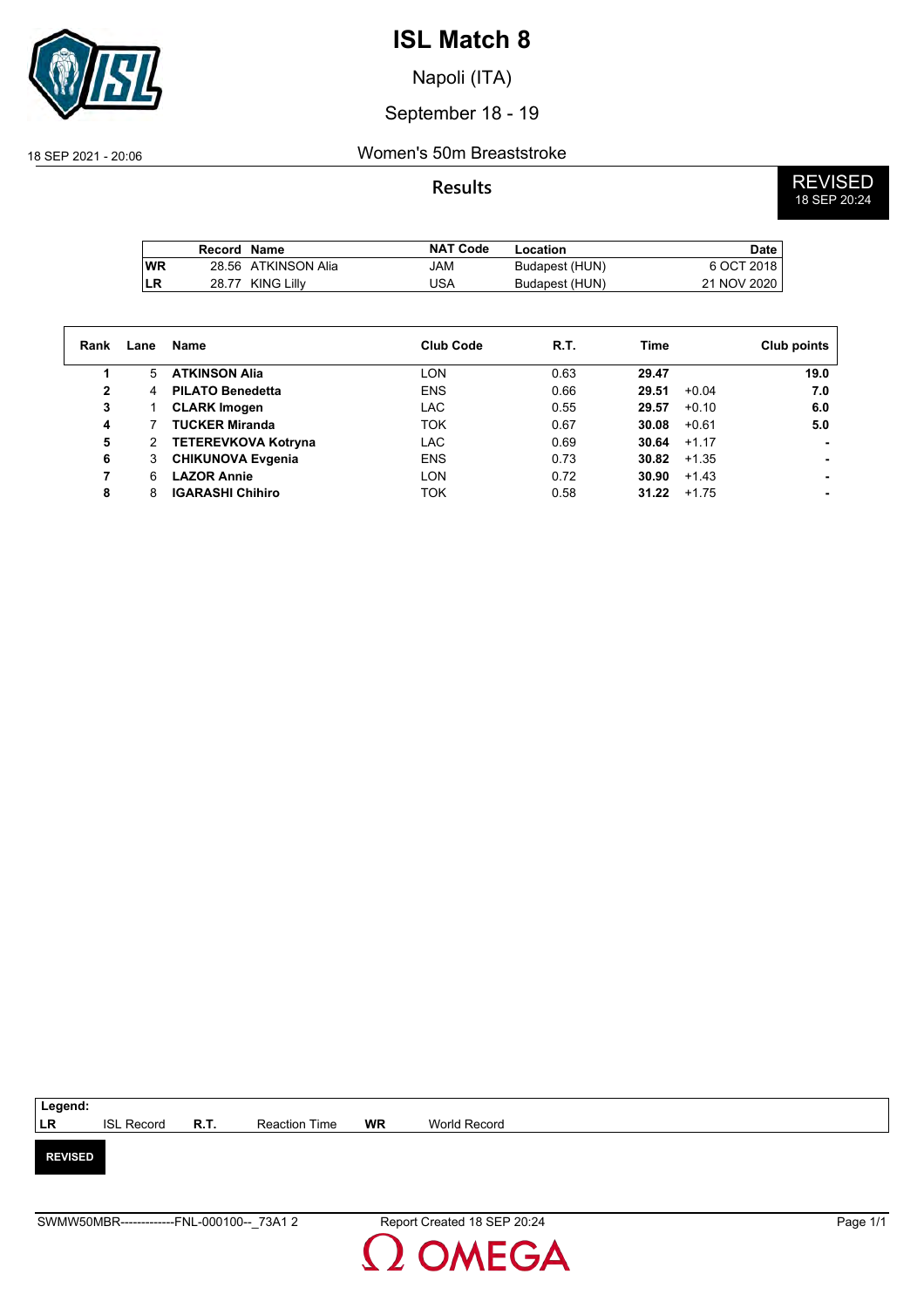

Napoli (ITA)

## September 18 - 19

#### 18 SEP 2021 - 20:06 Women's 50m Breaststroke

**Results** REVISED 18 SEP 20:24

|      | Record Name |                     | <b>NAT Code</b> | Location       | <b>Date</b>  |
|------|-------------|---------------------|-----------------|----------------|--------------|
| l WR |             | 28.56 ATKINSON Alia | JAM             | Budapest (HUN) | 6 OCT 2018 I |
| LR   | 28.77       | KING Lillv          | JSA             | Budapest (HUN) | 21 NOV 2020  |

| Rank | Lane | Name                       | <b>Club Code</b> | R.T. | Time             | Club points |
|------|------|----------------------------|------------------|------|------------------|-------------|
|      | 5.   | <b>ATKINSON Alia</b>       | LON              | 0.63 | 29.47            | 19.0        |
| 2    | 4    | <b>PILATO Benedetta</b>    | <b>ENS</b>       | 0.66 | 29.51<br>$+0.04$ | 7.0         |
| 3    |      | <b>CLARK Imogen</b>        | LAC              | 0.55 | 29.57<br>$+0.10$ | 6.0         |
| 4    |      | <b>TUCKER Miranda</b>      | TOK              | 0.67 | 30.08<br>$+0.61$ | 5.0         |
| 5    | 2    | <b>TETEREVKOVA Kotryna</b> | LAC              | 0.69 | 30.64<br>$+1.17$ |             |
| 6    | 3    | <b>CHIKUNOVA Evgenia</b>   | <b>ENS</b>       | 0.73 | 30.82<br>$+1.35$ | ۰.          |
| 7    | 6    | <b>LAZOR Annie</b>         | LON              | 0.72 | 30.90<br>$+1.43$ | ۰.          |
| 8    | 8    | <b>IGARASHI Chihiro</b>    | ток              | 0.58 | 31.22<br>$+1.75$ | ۰.          |

| Legend:        |                   |             |               |    |              |
|----------------|-------------------|-------------|---------------|----|--------------|
| LR             | <b>ISL Record</b> | <b>R.T.</b> | Reaction Time | WR | World Record |
|                |                   |             |               |    |              |
| <b>REVISED</b> |                   |             |               |    |              |
|                |                   |             |               |    |              |
|                |                   |             |               |    |              |

OMEGA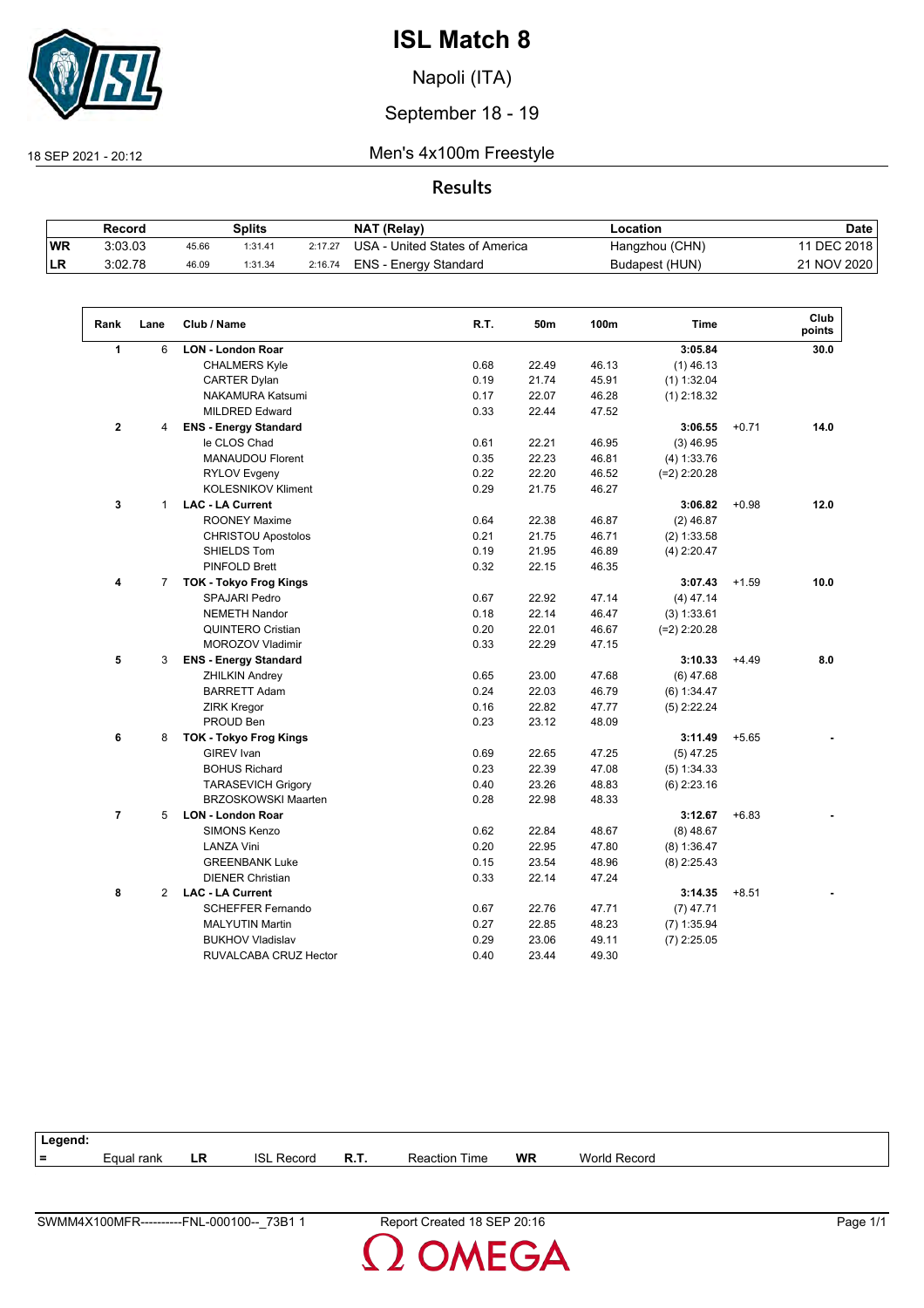

Napoli (ITA)

## September 18 - 19

18 SEP 2021 - 20:12 Men's 4x100m Freestyle

## **Results**

|           | Record  |       | Splits  |         | NAT (Relay)                    | Location       | <b>Date</b> |
|-----------|---------|-------|---------|---------|--------------------------------|----------------|-------------|
| <b>WR</b> | 3:03.03 | 45.66 | 1:31.41 | 2:17.27 | USA - United States of America | Hangzhou (CHN) | 11 DEC 2018 |
| <b>LR</b> | 3:02.78 | 46.09 | 1:31.34 | 2:16.74 | ENS - Energy Standard          | Budapest (HUN) | 21 NOV 2020 |

| Rank                 | Lane           | Club / Name                   | R.T. | 50m   | 100m  | <b>Time</b>    |         | Club<br>points |
|----------------------|----------------|-------------------------------|------|-------|-------|----------------|---------|----------------|
| $\blacktriangleleft$ | 6              | <b>LON - London Roar</b>      |      |       |       | 3:05.84        |         | 30.0           |
|                      |                | <b>CHALMERS Kyle</b>          | 0.68 | 22.49 | 46.13 | $(1)$ 46.13    |         |                |
|                      |                | <b>CARTER Dylan</b>           | 0.19 | 21.74 | 45.91 | $(1)$ 1:32.04  |         |                |
|                      |                | <b>NAKAMURA Katsumi</b>       | 0.17 | 22.07 | 46.28 | $(1)$ 2:18.32  |         |                |
|                      |                | <b>MILDRED Edward</b>         | 0.33 | 22.44 | 47.52 |                |         |                |
| $\mathbf{2}$         | 4              | <b>ENS - Energy Standard</b>  |      |       |       | 3:06.55        | $+0.71$ | 14.0           |
|                      |                | le CLOS Chad                  | 0.61 | 22.21 | 46.95 | $(3)$ 46.95    |         |                |
|                      |                | <b>MANAUDOU Florent</b>       | 0.35 | 22.23 | 46.81 | (4) 1:33.76    |         |                |
|                      |                | <b>RYLOV Evgeny</b>           | 0.22 | 22.20 | 46.52 | $(=2)$ 2:20.28 |         |                |
|                      |                | <b>KOLESNIKOV Kliment</b>     | 0.29 | 21.75 | 46.27 |                |         |                |
| 3                    | $\mathbf{1}$   | <b>LAC - LA Current</b>       |      |       |       | 3:06.82        | $+0.98$ | 12.0           |
|                      |                | <b>ROONEY Maxime</b>          | 0.64 | 22.38 | 46.87 | $(2)$ 46.87    |         |                |
|                      |                | <b>CHRISTOU Apostolos</b>     | 0.21 | 21.75 | 46.71 | (2) 1:33.58    |         |                |
|                      |                | SHIELDS Tom                   | 0.19 | 21.95 | 46.89 | $(4)$ 2:20.47  |         |                |
|                      |                | <b>PINFOLD Brett</b>          | 0.32 | 22.15 | 46.35 |                |         |                |
| 4                    | $\overline{7}$ | <b>TOK - Tokyo Frog Kings</b> |      |       |       | 3:07.43        | $+1.59$ | 10.0           |
|                      |                | SPAJARI Pedro                 | 0.67 | 22.92 | 47.14 | $(4)$ 47.14    |         |                |
|                      |                | <b>NEMETH Nandor</b>          | 0.18 | 22.14 | 46.47 | (3) 1:33.61    |         |                |
|                      |                | <b>QUINTERO Cristian</b>      | 0.20 | 22.01 | 46.67 | $(=2)$ 2:20.28 |         |                |
|                      |                | <b>MOROZOV Vladimir</b>       | 0.33 | 22.29 | 47.15 |                |         |                |
| 5                    | 3              | <b>ENS - Energy Standard</b>  |      |       |       | 3:10.33        | $+4.49$ | 8.0            |
|                      |                | <b>ZHILKIN Andrey</b>         | 0.65 | 23.00 | 47.68 | $(6)$ 47.68    |         |                |
|                      |                | <b>BARRETT Adam</b>           | 0.24 | 22.03 | 46.79 | (6) 1:34.47    |         |                |
|                      |                | <b>ZIRK Kregor</b>            | 0.16 | 22.82 | 47.77 | $(5)$ 2:22.24  |         |                |
|                      |                | PROUD Ben                     | 0.23 | 23.12 | 48.09 |                |         |                |
| 6                    | 8              | <b>TOK - Tokyo Frog Kings</b> |      |       |       | 3:11.49        | $+5.65$ |                |
|                      |                | GIREV Ivan                    | 0.69 | 22.65 | 47.25 | $(5)$ 47.25    |         |                |
|                      |                | <b>BOHUS Richard</b>          | 0.23 | 22.39 | 47.08 | (5) 1:34.33    |         |                |
|                      |                | <b>TARASEVICH Grigory</b>     | 0.40 | 23.26 | 48.83 | $(6)$ 2:23.16  |         |                |
|                      |                | <b>BRZOSKOWSKI Maarten</b>    | 0.28 | 22.98 | 48.33 |                |         |                |
| $\overline{7}$       | 5              | <b>LON - London Roar</b>      |      |       |       | 3:12.67        | $+6.83$ |                |
|                      |                | <b>SIMONS Kenzo</b>           | 0.62 | 22.84 | 48.67 | $(8)$ 48.67    |         |                |
|                      |                | <b>LANZA Vini</b>             | 0.20 | 22.95 | 47.80 | (8) 1:36.47    |         |                |
|                      |                | <b>GREENBANK Luke</b>         | 0.15 | 23.54 | 48.96 | $(8)$ 2:25.43  |         |                |
|                      |                | <b>DIENER Christian</b>       | 0.33 | 22.14 | 47.24 |                |         |                |
| 8                    | $\overline{2}$ | <b>LAC - LA Current</b>       |      |       |       | 3:14.35        | $+8.51$ |                |
|                      |                | <b>SCHEFFER Fernando</b>      | 0.67 | 22.76 | 47.71 | $(7)$ 47.71    |         |                |
|                      |                | <b>MALYUTIN Martin</b>        | 0.27 | 22.85 | 48.23 | $(7)$ 1:35.94  |         |                |
|                      |                | <b>BUKHOV Vladislav</b>       | 0.29 | 23.06 | 49.11 | $(7)$ 2:25.05  |         |                |
|                      |                | RUVALCABA CRUZ Hector         | 0.40 | 23.44 | 49.30 |                |         |                |

| Legend: |            |    |                   |      |                      |           |                     |
|---------|------------|----|-------------------|------|----------------------|-----------|---------------------|
| $=$     | Eɑual rank | LR | <b>ISL Record</b> | R.T. | <b>Reaction Time</b> | <b>WR</b> | <b>World Record</b> |
|         |            |    |                   |      |                      |           |                     |

OMEGA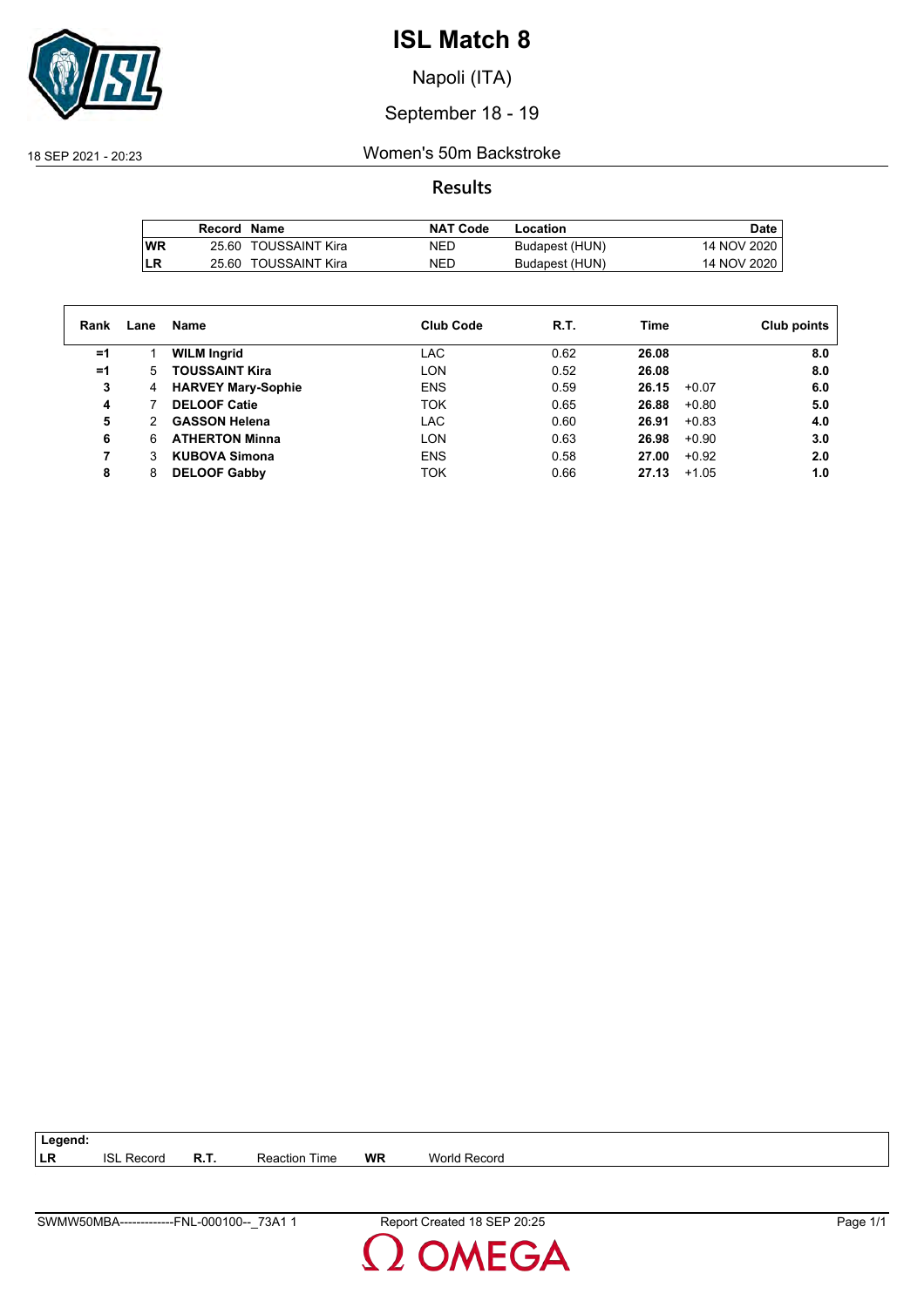

Napoli (ITA)

## September 18 - 19

18 SEP 2021 - 20:23 Women's 50m Backstroke

**Results**

|           | Record Name |                      | <b>NAT Code</b> | Location       | Date        |
|-----------|-------------|----------------------|-----------------|----------------|-------------|
| <b>WR</b> |             | 25.60 TOUSSAINT Kira | NED             | Budapest (HUN) | 14 NOV 2020 |
| LR        |             | 25.60 TOUSSAINT Kira | NED             | Budapest (HUN) | 14 NOV 2020 |

| Rank | Lane | Name                      | <b>Club Code</b> | R.T. | Time             | Club points |
|------|------|---------------------------|------------------|------|------------------|-------------|
| =1   |      | <b>WILM Ingrid</b>        | LAC              | 0.62 | 26.08            | 8.0         |
| $=1$ | 5.   | <b>TOUSSAINT Kira</b>     | LON              | 0.52 | 26.08            | 8.0         |
| 3    | 4    | <b>HARVEY Mary-Sophie</b> | <b>ENS</b>       | 0.59 | 26.15<br>$+0.07$ | 6.0         |
| 4    |      | <b>DELOOF Catie</b>       | <b>TOK</b>       | 0.65 | $+0.80$<br>26.88 | 5.0         |
| 5    |      | <b>GASSON Helena</b>      | <b>LAC</b>       | 0.60 | 26.91<br>$+0.83$ | 4.0         |
| 6    | 6    | <b>ATHERTON Minna</b>     | LON              | 0.63 | 26.98<br>$+0.90$ | 3.0         |
|      |      | <b>KUBOVA Simona</b>      | <b>ENS</b>       | 0.58 | $+0.92$<br>27.00 | 2.0         |
| 8    | 8    | <b>DELOOF Gabby</b>       | TOK              | 0.66 | 27.13<br>$+1.05$ | 1.0         |

**LR** ISL Record **R.T.** Reaction Time **WR** World Record

SWMW50MBA-------------FNL-000100--\_73A1 1 Report Created 18 SEP 20:25 Page 1/1

**Legend:**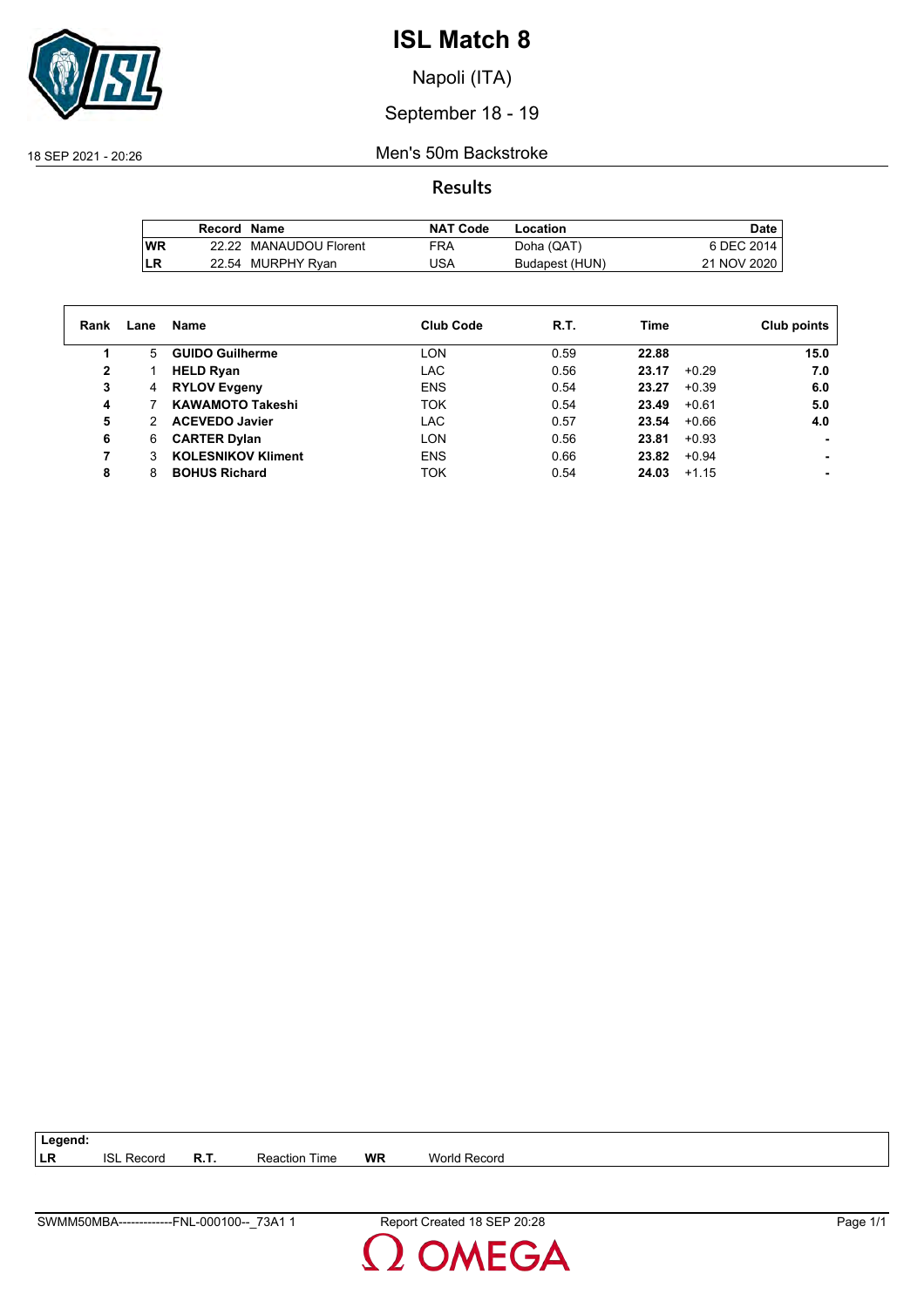

Napoli (ITA)

## September 18 - 19

18 SEP 2021 - 20:26 Men's 50m Backstroke

**Results**

|           | Record Name |                        | <b>NAT Code</b> | Location       | Date,       |
|-----------|-------------|------------------------|-----------------|----------------|-------------|
| <b>WR</b> |             | 22.22 MANAUDOU Florent | <b>FRA</b>      | Doha (QAT)     | 6 DEC 2014  |
| LR        |             | 22.54 MURPHY Ryan      | JSA             | Budapest (HUN) | 21 NOV 2020 |

| Rank | Lane | Name                      | Club Code  | R.T. | Time             | Club points |
|------|------|---------------------------|------------|------|------------------|-------------|
|      | 5.   | <b>GUIDO Guilherme</b>    | <b>LON</b> | 0.59 | 22.88            | 15.0        |
| 2    |      | <b>HELD Ryan</b>          | LAC        | 0.56 | $+0.29$<br>23.17 | 7.0         |
| 3    | 4    | <b>RYLOV Evgeny</b>       | <b>ENS</b> | 0.54 | 23.27<br>$+0.39$ | 6.0         |
| 4    |      | <b>KAWAMOTO Takeshi</b>   | <b>TOK</b> | 0.54 | 23.49<br>$+0.61$ | 5.0         |
| 5    | 2    | <b>ACEVEDO Javier</b>     | <b>LAC</b> | 0.57 | 23.54<br>$+0.66$ | 4.0         |
| 6    | 6    | <b>CARTER Dylan</b>       | LON        | 0.56 | 23.81<br>$+0.93$ |             |
|      | 3    | <b>KOLESNIKOV Kliment</b> | <b>ENS</b> | 0.66 | 23.82<br>$+0.94$ |             |
| 8    | 8    | <b>BOHUS Richard</b>      | <b>TOK</b> | 0.54 | 24.03<br>$+1.15$ |             |

**LR** ISL Record **R.T.** Reaction Time **WR** World Record

SWMM50MBA-------------FNL-000100--\_73A1 1 Report Created 18 SEP 20:28 Page 1/1

**Legend:**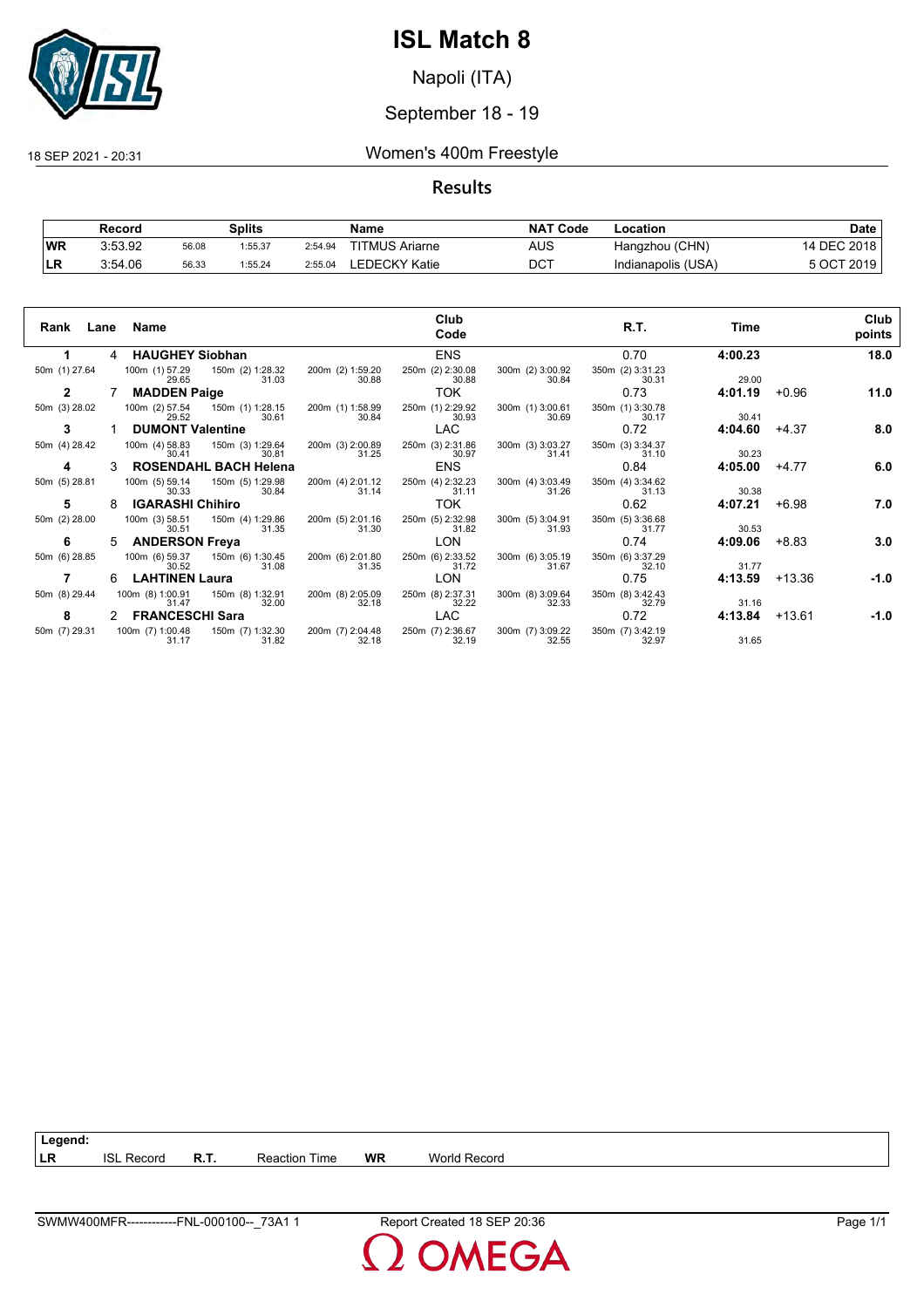

Napoli (ITA)

## September 18 - 19

18 SEP 2021 - 20:31 Women's 400m Freestyle

## **Results**

|           | Record  |       | Splits  |         | Name                  | <b>NAT</b><br>`Code | -ocation           | Date             |
|-----------|---------|-------|---------|---------|-----------------------|---------------------|--------------------|------------------|
| <b>WR</b> | 3:53.92 | 56.08 | 1:55.37 | 2:54.94 | <b>TITMUS Ariarne</b> | AUS                 | Hangzhou (CHN)     | 14 DEC 2018      |
| ыv        | 3:54.06 | 56.33 | 1:55.24 | 2:55.04 | EDECKY Katie.         | $DC^{\intercal}$    | Indianapolis (USA) | 5 OCT.<br>ີ 2019 |

| Rank Lane Name |    |                           |                                          |                           | Club<br>Code              |                           | R.T.                      | Time    |          | Club<br>points |
|----------------|----|---------------------------|------------------------------------------|---------------------------|---------------------------|---------------------------|---------------------------|---------|----------|----------------|
|                | 4  | <b>HAUGHEY Siobhan</b>    |                                          |                           | <b>ENS</b>                |                           | 0.70                      | 4:00.23 |          | 18.0           |
| 50m (1) 27.64  |    | 29.65                     | 100m (1) 57.29 150m (2) 1:28.32<br>31.03 | 200m (2) 1:59.20<br>30.88 | 250m (2) 2:30.08<br>30.88 | 300m (2) 3:00.92<br>30.84 | 350m (2) 3:31.23<br>30.31 | 29.00   |          |                |
| $\mathbf{2}$   |    | <b>MADDEN Paige</b>       |                                          |                           | TOK.                      |                           | 0.73                      | 4:01.19 | $+0.96$  | 11.0           |
| 50m (3) 28.02  |    | 100m (2) 57.54<br>29.52   | 150m (1) 1:28.15<br>30.61                | 200m (1) 1:58.99<br>30.84 | 250m (1) 2:29.92<br>30.93 | 300m (1) 3:00.61<br>30.69 | 350m (1) 3:30.78<br>30.17 | 30.41   |          |                |
| 3              |    | <b>DUMONT Valentine</b>   |                                          |                           | LAC.                      |                           | 0.72                      | 4:04.60 | +4.37    | 8.0            |
| 50m (4) 28.42  |    | 100m (4) 58.83<br>30.41   | 150m (3) 1:29.64<br>30.81                | 200m (3) 2:00.89<br>31.25 | 250m (3) 2:31.86<br>30.97 | 300m (3) 3:03.27<br>31.41 | 350m (3) 3:34.37<br>31.10 | 30.23   |          |                |
| 4              |    |                           | <b>ROSENDAHL BACH Helena</b>             |                           | <b>ENS</b>                |                           | 0.84                      | 4:05.00 | $+4.77$  | 6.0            |
| 50m (5) 28.81  |    | 100m (5) 59.14<br>30.33   | 150m (5) 1:29.98<br>30.84                | 200m (4) 2:01.12<br>31.14 | 250m (4) 2:32.23<br>31.11 | 300m (4) 3:03.49<br>31.26 | 350m (4) 3:34.62<br>31.13 | 30.38   |          |                |
| 5              |    | <b>IGARASHI Chihiro</b>   |                                          |                           | TOK.                      |                           | 0.62                      | 4:07.21 | $+6.98$  | 7.0            |
| 50m (2) 28.00  |    | 100m (3) 58.51<br>30.51   | 150m (4) 1:29.86<br>31.35                | 200m (5) 2:01.16<br>31.30 | 250m (5) 2:32.98<br>31.82 | 300m (5) 3:04.91<br>31.93 | 350m (5) 3:36.68<br>31.77 | 30.53   |          |                |
| 6              | 5. | <b>ANDERSON Freya</b>     |                                          |                           | LON                       |                           | 0.74                      | 4:09.06 | $+8.83$  | 3.0            |
| 50m (6) 28.85  |    | 100m (6) 59.37<br>30.52   | 150m (6) 1:30.45<br>31.08                | 200m (6) 2:01.80<br>31.35 | 250m (6) 2:33.52<br>31.72 | 300m (6) 3:05.19<br>31.67 | 350m (6) 3:37.29<br>32.10 | 31.77   |          |                |
|                | 6  | <b>LAHTINEN Laura</b>     |                                          |                           | <b>LON</b>                |                           | 0.75                      | 4:13.59 | $+13.36$ | $-1.0$         |
| 50m (8) 29.44  |    | 100m (8) 1:00.91<br>31.47 | 150m (8) 1:32.91<br>32.00                | 200m (8) 2:05.09<br>32.18 | 250m (8) 2:37.31<br>32.22 | 300m (8) 3:09.64<br>32.33 | 350m (8) 3:42.43<br>32.79 | 31.16   |          |                |
| 8              |    | 2 FRANCESCHI Sara         |                                          |                           | <b>LAC</b>                |                           | 0.72                      | 4:13.84 | $+13.61$ | $-1.0$         |
| 50m (7) 29.31  |    | 100m (7) 1:00.48<br>31.17 | 150m (7) 1:32.30<br>31.82                | 200m (7) 2:04.48<br>32.18 | 250m (7) 2:36.67<br>32.19 | 300m (7) 3:09.22<br>32.55 | 350m (7) 3:42.19<br>32.97 | 31.65   |          |                |

**LR** ISL Record **R.T.** Reaction Time **WR** World Record

**Legend:**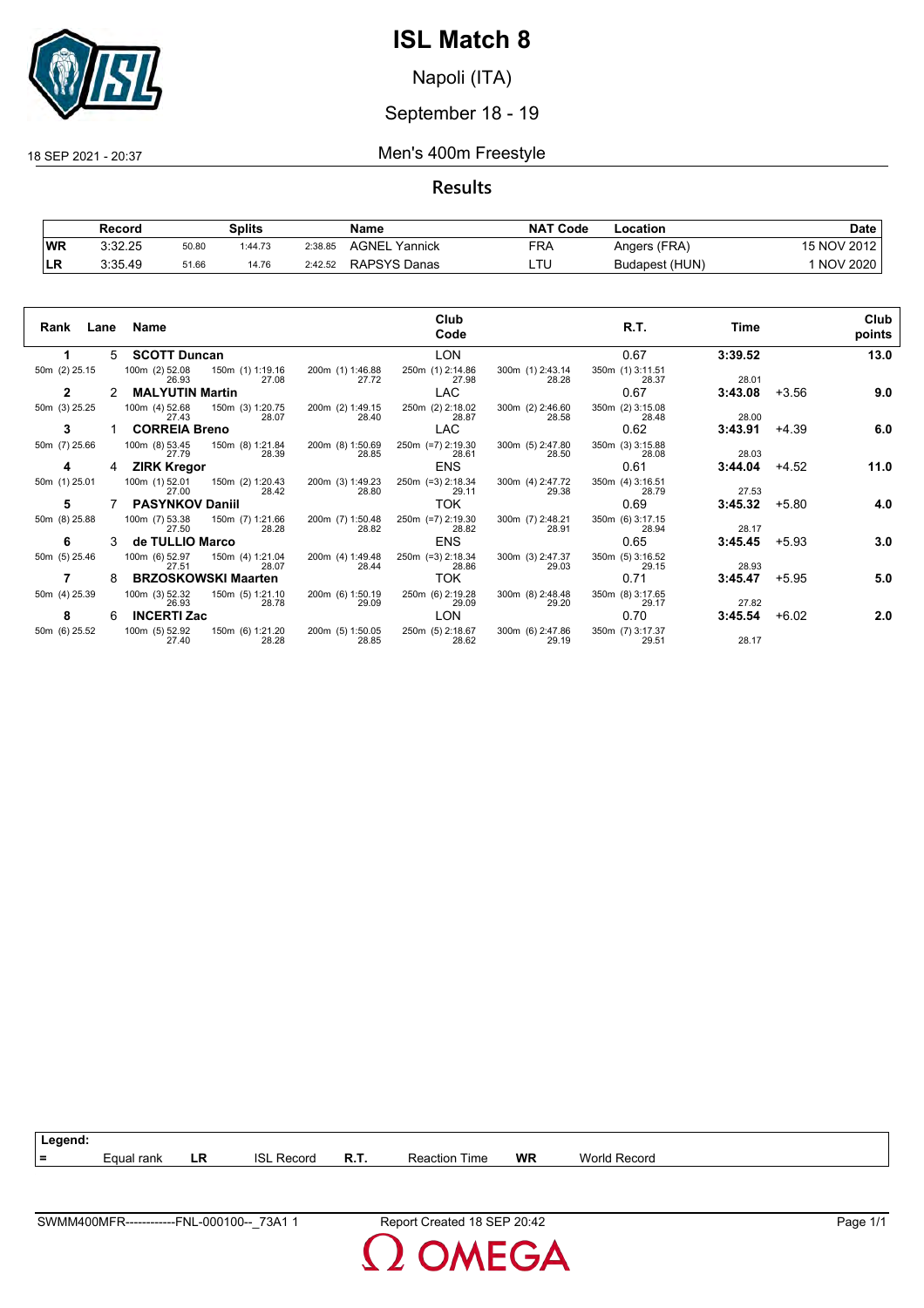

Napoli (ITA)

## September 18 - 19

#### 18 SEP 2021 - 20:37 Men's 400m Freestyle

**Results**

|           | Record  |       | <b>Splits</b> |         | Name                | <b>NAT Code</b> | Location       | Date            |
|-----------|---------|-------|---------------|---------|---------------------|-----------------|----------------|-----------------|
| <b>WR</b> | 3:32.25 | 50.80 | 1:44.73       | 2:38.85 | AGNEL<br>Yannick    | FRA             | Angers (FRA)   | 15 NOV 2012     |
| <b>LR</b> | 3:35.49 | 51.66 | 14.76         | 2:42.52 | <b>RAPSYS Danas</b> | ᄂᆝ              | Budapest (HUN) | <b>NOV 2020</b> |

| Rank<br>Lane  |   | Name                                                 |                           | Club<br>Code               |                           | R.T.                      | Time    |         | Club<br>points |
|---------------|---|------------------------------------------------------|---------------------------|----------------------------|---------------------------|---------------------------|---------|---------|----------------|
|               | 5 | <b>SCOTT Duncan</b>                                  |                           | <b>LON</b>                 |                           | 0.67                      | 3:39.52 |         | 13.0           |
| 50m (2) 25.15 |   | 100m (2) 52.08<br>150m (1) 1:19.16<br>27.08<br>26.93 | 200m (1) 1:46.88<br>27.72 | 250m (1) 2:14.86<br>27.98  | 300m (1) 2:43.14<br>28.28 | 350m (1) 3:11.51<br>28.37 | 28.01   |         |                |
| $\mathbf{2}$  | 2 | <b>MALYUTIN Martin</b>                               |                           | <b>LAC</b>                 |                           | 0.67                      | 3:43.08 | $+3.56$ | 9.0            |
| 50m (3) 25.25 |   | 100m (4) 52.68<br>150m (3) 1:20.75<br>28.07<br>27.43 | 200m (2) 1:49.15<br>28.40 | 250m (2) 2:18.02<br>28.87  | 300m (2) 2:46.60<br>28.58 | 350m (2) 3:15.08<br>28.48 | 28.00   |         |                |
| 3             |   | <b>CORREIA Breno</b>                                 |                           | <b>LAC</b>                 |                           | 0.62                      | 3:43.91 | $+4.39$ | 6.0            |
| 50m (7) 25.66 |   | 100m (8) 53.45<br>150m (8) 1:21.84<br>28.39<br>27.79 | 200m (8) 1:50.69<br>28.85 | 250m (=7) 2:19.30<br>28.61 | 300m (5) 2:47.80<br>28.50 | 350m (3) 3:15.88<br>28.08 | 28.03   |         |                |
| 4             | 4 | <b>ZIRK Kregor</b>                                   |                           | <b>ENS</b>                 |                           | 0.61                      | 3:44.04 | $+4.52$ | 11.0           |
| 50m (1) 25.01 |   | 100m (1) 52.01<br>150m (2) 1:20.43<br>27.00<br>28.42 | 200m (3) 1:49.23<br>28.80 | 250m (=3) 2:18.34<br>29.11 | 300m (4) 2:47.72<br>29.38 | 350m (4) 3:16.51<br>28.79 | 27.53   |         |                |
| 5             |   | <b>PASYNKOV Daniil</b>                               |                           | TOK.                       |                           | 0.69                      | 3:45.32 | $+5.80$ | 4.0            |
| 50m (8) 25.88 |   | 100m (7) 53.38<br>150m (7) 1:21.66<br>28.28<br>27.50 | 200m (7) 1:50.48<br>28.82 | 250m (=7) 2:19.30<br>28.82 | 300m (7) 2:48.21<br>28.91 | 350m (6) 3:17.15<br>28.94 | 28.17   |         |                |
| 6             |   | de TULLIO Marco                                      |                           | <b>ENS</b>                 |                           | 0.65                      | 3:45.45 | $+5.93$ | 3.0            |
| 50m (5) 25.46 |   | 100m (6) 52.97<br>150m (4) 1:21.04<br>27.51<br>28.07 | 200m (4) 1:49.48<br>28.44 | 250m (=3) 2:18.34<br>28.86 | 300m (3) 2:47.37<br>29.03 | 350m (5) 3:16.52<br>29.15 | 28.93   |         |                |
|               | 8 | <b>BRZOSKOWSKI Maarten</b>                           |                           | TOK.                       |                           | 0.71                      | 3:45.47 | $+5.95$ | 5.0            |
| 50m (4) 25.39 |   | 100m (3) 52.32<br>150m (5) 1:21.10<br>26.93<br>28.78 | 200m (6) 1:50.19<br>29.09 | 250m (6) 2:19.28<br>29.09  | 300m (8) 2:48.48<br>29.20 | 350m (8) 3:17.65<br>29.17 | 27.82   |         |                |
| 8             | 6 | <b>INCERTI Zac</b>                                   |                           | LON                        |                           | 0.70                      | 3:45.54 | $+6.02$ | 2.0            |
| 50m (6) 25.52 |   | 100m (5) 52.92<br>150m (6) 1:21.20<br>27.40<br>28.28 | 200m (5) 1:50.05<br>28.85 | 250m (5) 2:18.67<br>28.62  | 300m (6) 2:47.86<br>29.19 | 350m (7) 3:17.37<br>29.51 | 28.17   |         |                |

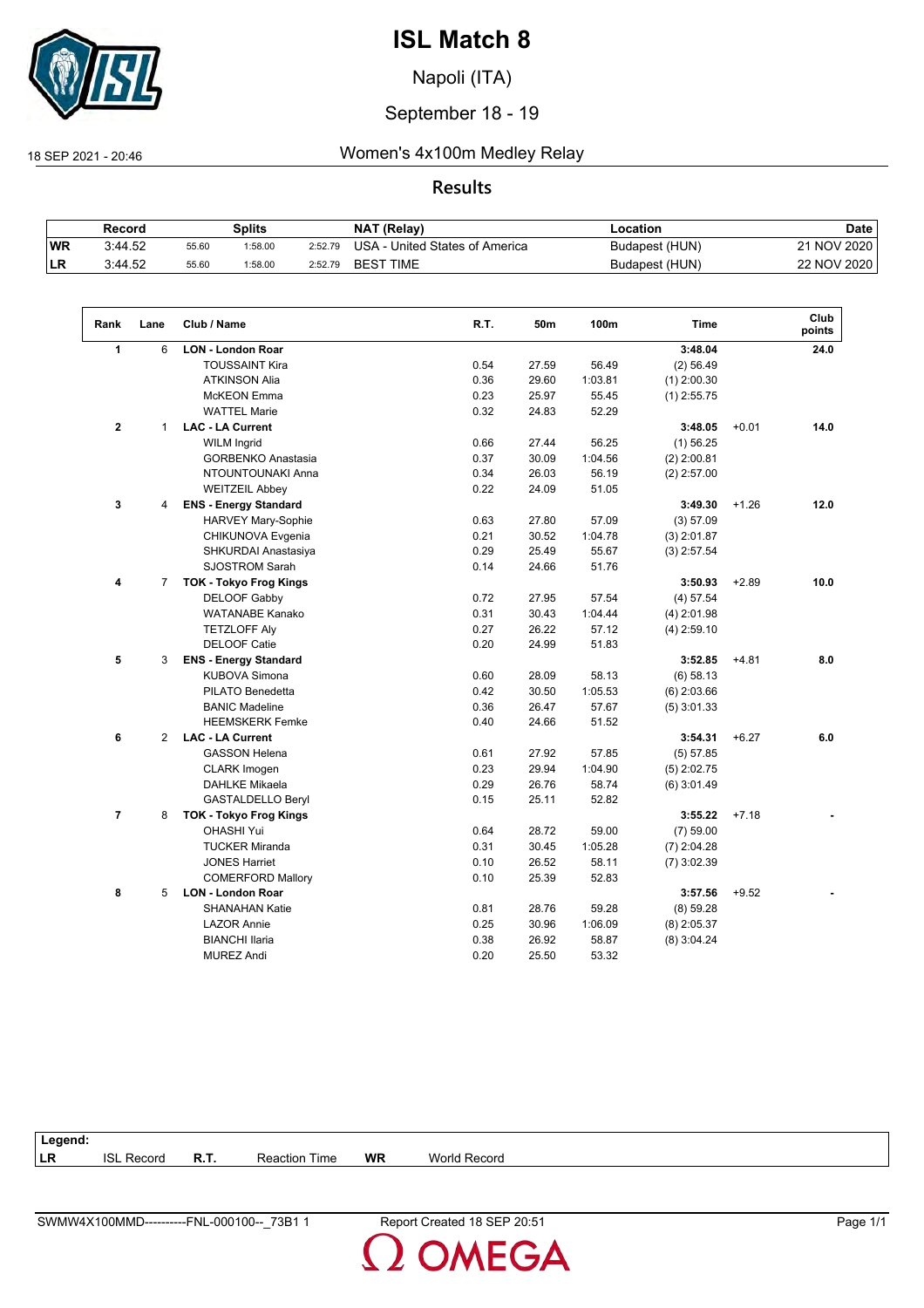

Napoli (ITA)

## September 18 - 19

## 18 SEP 2021 - 20:46 Women's 4x100m Medley Relay

## **Results**

|     | Record  |       | Splits |         | <b>NAT (Relay)</b>                      | .ocation       | Date        |
|-----|---------|-------|--------|---------|-----------------------------------------|----------------|-------------|
| WR  | 3:44.52 | 55.60 | :58.00 | 2:52.79 | $USA - G$<br>- United States of America | Budapest (HUN) | 21 NOV 2020 |
| ∣LR | 3:44.52 | 55.60 | :58.00 | 2:52.79 | <b>BEST TIME</b>                        | Budapest (HUN) | 22 NOV 2020 |

| Rank           | Lane           | Club / Name                   | R.T. | 50m   | 100m    | <b>Time</b>   |         | Club<br>points |
|----------------|----------------|-------------------------------|------|-------|---------|---------------|---------|----------------|
| $\mathbf{1}$   | 6              | <b>LON - London Roar</b>      |      |       |         | 3:48.04       |         | 24.0           |
|                |                | <b>TOUSSAINT Kira</b>         | 0.54 | 27.59 | 56.49   | (2) 56.49     |         |                |
|                |                | <b>ATKINSON Alia</b>          | 0.36 | 29.60 | 1:03.81 | $(1)$ 2:00.30 |         |                |
|                |                | <b>McKEON</b> Emma            | 0.23 | 25.97 | 55.45   | $(1)$ 2:55.75 |         |                |
|                |                | <b>WATTEL Marie</b>           | 0.32 | 24.83 | 52.29   |               |         |                |
| $\overline{2}$ | $\mathbf{1}$   | <b>LAC - LA Current</b>       |      |       |         | 3:48.05       | $+0.01$ | 14.0           |
|                |                | <b>WILM Ingrid</b>            | 0.66 | 27.44 | 56.25   | $(1)$ 56.25   |         |                |
|                |                | <b>GORBENKO Anastasia</b>     | 0.37 | 30.09 | 1:04.56 | $(2)$ 2:00.81 |         |                |
|                |                | NTOUNTOUNAKI Anna             | 0.34 | 26.03 | 56.19   | $(2)$ 2:57.00 |         |                |
|                |                | <b>WEITZEIL Abbey</b>         | 0.22 | 24.09 | 51.05   |               |         |                |
| 3              | 4              | <b>ENS - Energy Standard</b>  |      |       |         | 3:49.30       | $+1.26$ | 12.0           |
|                |                | <b>HARVEY Mary-Sophie</b>     | 0.63 | 27.80 | 57.09   | (3) 57.09     |         |                |
|                |                | CHIKUNOVA Evgenia             | 0.21 | 30.52 | 1:04.78 | $(3)$ 2:01.87 |         |                |
|                |                | SHKURDAI Anastasiya           | 0.29 | 25.49 | 55.67   | $(3)$ 2:57.54 |         |                |
|                |                | <b>SJOSTROM Sarah</b>         | 0.14 | 24.66 | 51.76   |               |         |                |
| 4              | $\overline{7}$ | <b>TOK - Tokyo Frog Kings</b> |      |       |         | 3:50.93       | $+2.89$ | 10.0           |
|                |                | DELOOF Gabby                  | 0.72 | 27.95 | 57.54   | (4) 57.54     |         |                |
|                |                | <b>WATANABE Kanako</b>        | 0.31 | 30.43 | 1:04.44 | $(4)$ 2:01.98 |         |                |
|                |                | <b>TETZLOFF Aly</b>           | 0.27 | 26.22 | 57.12   | $(4)$ 2:59.10 |         |                |
|                |                | <b>DELOOF Catie</b>           | 0.20 | 24.99 | 51.83   |               |         |                |
| 5              | 3              | <b>ENS - Energy Standard</b>  |      |       |         | 3:52.85       | $+4.81$ | 8.0            |
|                |                | <b>KUBOVA Simona</b>          | 0.60 | 28.09 | 58.13   | $(6)$ 58.13   |         |                |
|                |                | PILATO Benedetta              | 0.42 | 30.50 | 1:05.53 | $(6)$ 2:03.66 |         |                |
|                |                | <b>BANIC Madeline</b>         | 0.36 | 26.47 | 57.67   | $(5)$ 3:01.33 |         |                |
|                |                | <b>HEEMSKERK Femke</b>        | 0.40 | 24.66 | 51.52   |               |         |                |
| 6              | $\overline{2}$ | <b>LAC - LA Current</b>       |      |       |         | 3:54.31       | $+6.27$ | 6.0            |
|                |                | <b>GASSON Helena</b>          | 0.61 | 27.92 | 57.85   | (5) 57.85     |         |                |
|                |                | <b>CLARK Imogen</b>           | 0.23 | 29.94 | 1:04.90 | $(5)$ 2:02.75 |         |                |
|                |                | <b>DAHLKE Mikaela</b>         | 0.29 | 26.76 | 58.74   | $(6)$ 3:01.49 |         |                |
|                |                | GASTALDELLO Beryl             | 0.15 | 25.11 | 52.82   |               |         |                |
| $\overline{7}$ | 8              | <b>TOK - Tokyo Frog Kings</b> |      |       |         | 3:55.22       | $+7.18$ |                |
|                |                | <b>OHASHI Yui</b>             | 0.64 | 28.72 | 59.00   | $(7)$ 59.00   |         |                |
|                |                | <b>TUCKER Miranda</b>         | 0.31 | 30.45 | 1:05.28 | $(7)$ 2:04.28 |         |                |
|                |                | <b>JONES Harriet</b>          | 0.10 | 26.52 | 58.11   | $(7)$ 3:02.39 |         |                |
|                |                | <b>COMERFORD Mallory</b>      | 0.10 | 25.39 | 52.83   |               |         |                |
| 8              | 5              | <b>LON - London Roar</b>      |      |       |         | 3:57.56       | $+9.52$ |                |
|                |                | <b>SHANAHAN Katie</b>         | 0.81 | 28.76 | 59.28   | (8) 59.28     |         |                |
|                |                | <b>LAZOR Annie</b>            | 0.25 | 30.96 | 1:06.09 | $(8)$ 2:05.37 |         |                |
|                |                | <b>BIANCHI Ilaria</b>         | 0.38 | 26.92 | 58.87   | $(8)$ 3:04.24 |         |                |
|                |                | <b>MUREZ Andi</b>             | 0.20 | 25.50 | 53.32   |               |         |                |

| Legend:   |                   |      |                      |           |                     |
|-----------|-------------------|------|----------------------|-----------|---------------------|
| <b>LR</b> | <b>ISL Record</b> | R.T. | <b>Reaction Time</b> | <b>WR</b> | <b>World Record</b> |

**OMEGA**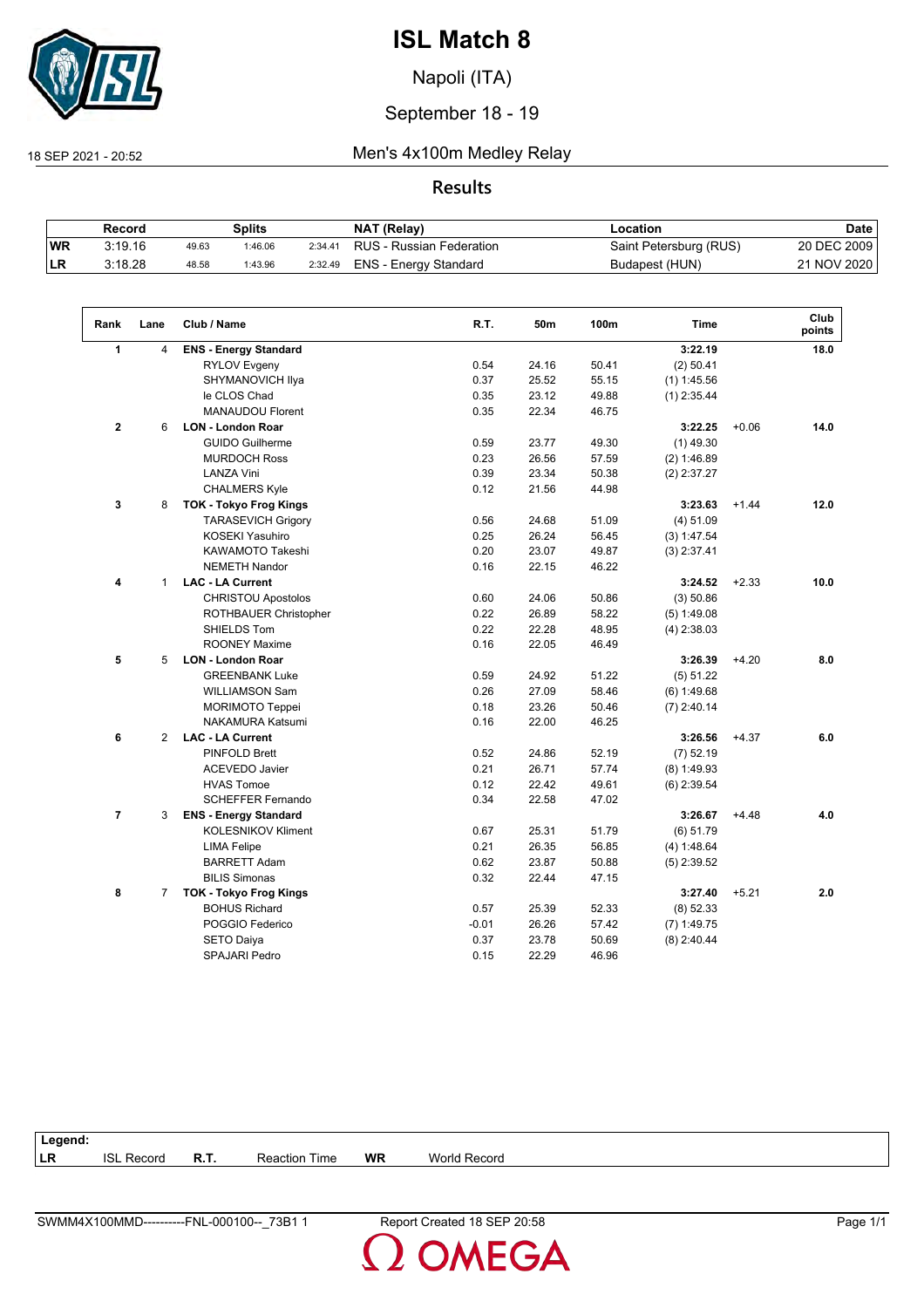

Napoli (ITA)

## September 18 - 19

## 18 SEP 2021 - 20:52 Men's 4x100m Medley Relay

## **Results**

|            | Record  |       | Splits  |         | NAT (Relay)                      | Location               | <b>Date</b> |
|------------|---------|-------|---------|---------|----------------------------------|------------------------|-------------|
| <b>WR</b>  | 3:19.16 | 49.63 | 1:46.06 |         | 2:34.41 RUS - Russian Federation | Saint Petersburg (RUS) | 20 DEC 2009 |
| <b>ILR</b> | 3:18.28 | 48.58 | 1:43.96 | 2:32.49 | ENS - Energy Standard            | Budapest (HUN)         | 21 NOV 2020 |

| Rank           | Lane           | Club / Name                   | R.T.    | 50m   | 100m  | <b>Time</b>   |         | Club<br>points |
|----------------|----------------|-------------------------------|---------|-------|-------|---------------|---------|----------------|
| 1              | 4              | <b>ENS - Energy Standard</b>  |         |       |       | 3:22.19       |         | 18.0           |
|                |                | <b>RYLOV Evgeny</b>           | 0.54    | 24.16 | 50.41 | $(2)$ 50.41   |         |                |
|                |                | SHYMANOVICH Ilya              | 0.37    | 25.52 | 55.15 | $(1)$ 1:45.56 |         |                |
|                |                | le CLOS Chad                  | 0.35    | 23.12 | 49.88 | $(1)$ 2:35.44 |         |                |
|                |                | <b>MANAUDOU Florent</b>       | 0.35    | 22.34 | 46.75 |               |         |                |
| $\mathbf{2}$   | 6              | <b>LON - London Roar</b>      |         |       |       | 3:22.25       | $+0.06$ | 14.0           |
|                |                | <b>GUIDO Guilherme</b>        | 0.59    | 23.77 | 49.30 | $(1)$ 49.30   |         |                |
|                |                | <b>MURDOCH Ross</b>           | 0.23    | 26.56 | 57.59 | (2) 1:46.89   |         |                |
|                |                | <b>LANZA Vini</b>             | 0.39    | 23.34 | 50.38 | $(2)$ 2:37.27 |         |                |
|                |                | <b>CHALMERS Kyle</b>          | 0.12    | 21.56 | 44.98 |               |         |                |
| 3              | 8              | <b>TOK - Tokyo Frog Kings</b> |         |       |       | 3:23.63       | $+1.44$ | 12.0           |
|                |                | <b>TARASEVICH Grigory</b>     | 0.56    | 24.68 | 51.09 | (4) 51.09     |         |                |
|                |                | <b>KOSEKI Yasuhiro</b>        | 0.25    | 26.24 | 56.45 | (3) 1:47.54   |         |                |
|                |                | <b>KAWAMOTO Takeshi</b>       | 0.20    | 23.07 | 49.87 | $(3)$ 2:37.41 |         |                |
|                |                | <b>NEMETH Nandor</b>          | 0.16    | 22.15 | 46.22 |               |         |                |
| 4              | $\mathbf{1}$   | <b>LAC - LA Current</b>       |         |       |       | 3:24.52       | $+2.33$ | 10.0           |
|                |                | <b>CHRISTOU Apostolos</b>     | 0.60    | 24.06 | 50.86 | (3) 50.86     |         |                |
|                |                | ROTHBAUER Christopher         | 0.22    | 26.89 | 58.22 | $(5)$ 1:49.08 |         |                |
|                |                | SHIELDS Tom                   | 0.22    | 22.28 | 48.95 | $(4)$ 2:38.03 |         |                |
|                |                | <b>ROONEY Maxime</b>          | 0.16    | 22.05 | 46.49 |               |         |                |
| 5              | 5              | <b>LON - London Roar</b>      |         |       |       | 3:26.39       | $+4.20$ | 8.0            |
|                |                | <b>GREENBANK Luke</b>         | 0.59    | 24.92 | 51.22 | (5) 51.22     |         |                |
|                |                | <b>WILLIAMSON Sam</b>         | 0.26    | 27.09 | 58.46 | (6) 1:49.68   |         |                |
|                |                | <b>MORIMOTO Teppei</b>        | 0.18    | 23.26 | 50.46 | $(7)$ 2:40.14 |         |                |
|                |                | <b>NAKAMURA Katsumi</b>       | 0.16    | 22.00 | 46.25 |               |         |                |
| 6              | $\overline{2}$ | <b>LAC - LA Current</b>       |         |       |       | 3:26.56       | $+4.37$ | 6.0            |
|                |                | <b>PINFOLD Brett</b>          | 0.52    | 24.86 | 52.19 | $(7)$ 52.19   |         |                |
|                |                | <b>ACEVEDO Javier</b>         | 0.21    | 26.71 | 57.74 | $(8)$ 1:49.93 |         |                |
|                |                | <b>HVAS Tomoe</b>             | 0.12    | 22.42 | 49.61 | $(6)$ 2:39.54 |         |                |
|                |                | <b>SCHEFFER Fernando</b>      | 0.34    | 22.58 | 47.02 |               |         |                |
| $\overline{7}$ | 3              | <b>ENS - Energy Standard</b>  |         |       |       | 3:26.67       | $+4.48$ | 4.0            |
|                |                | <b>KOLESNIKOV Kliment</b>     | 0.67    | 25.31 | 51.79 | (6) 51.79     |         |                |
|                |                | <b>LIMA Felipe</b>            | 0.21    | 26.35 | 56.85 | (4) 1:48.64   |         |                |
|                |                | <b>BARRETT Adam</b>           | 0.62    | 23.87 | 50.88 | $(5)$ 2:39.52 |         |                |
|                |                | <b>BILIS Simonas</b>          | 0.32    | 22.44 | 47.15 |               |         |                |
| 8              | $\overline{7}$ | <b>TOK - Tokyo Frog Kings</b> |         |       |       | 3:27.40       | $+5.21$ | 2.0            |
|                |                | <b>BOHUS Richard</b>          | 0.57    | 25.39 | 52.33 | $(8)$ 52.33   |         |                |
|                |                | POGGIO Federico               | $-0.01$ | 26.26 | 57.42 | $(7)$ 1:49.75 |         |                |
|                |                | <b>SETO Daiya</b>             | 0.37    | 23.78 | 50.69 | $(8)$ 2:40.44 |         |                |
|                |                | <b>SPAJARI Pedro</b>          | 0.15    | 22.29 | 46.96 |               |         |                |

| Legend:   |                      |             |                  |           |                     |
|-----------|----------------------|-------------|------------------|-----------|---------------------|
| <b>LR</b> | Record<br><b>ISL</b> | <b>R.T.</b> | Reaction<br>Time | <b>WR</b> | <b>World Record</b> |
|           |                      |             |                  |           |                     |

**OMEGA**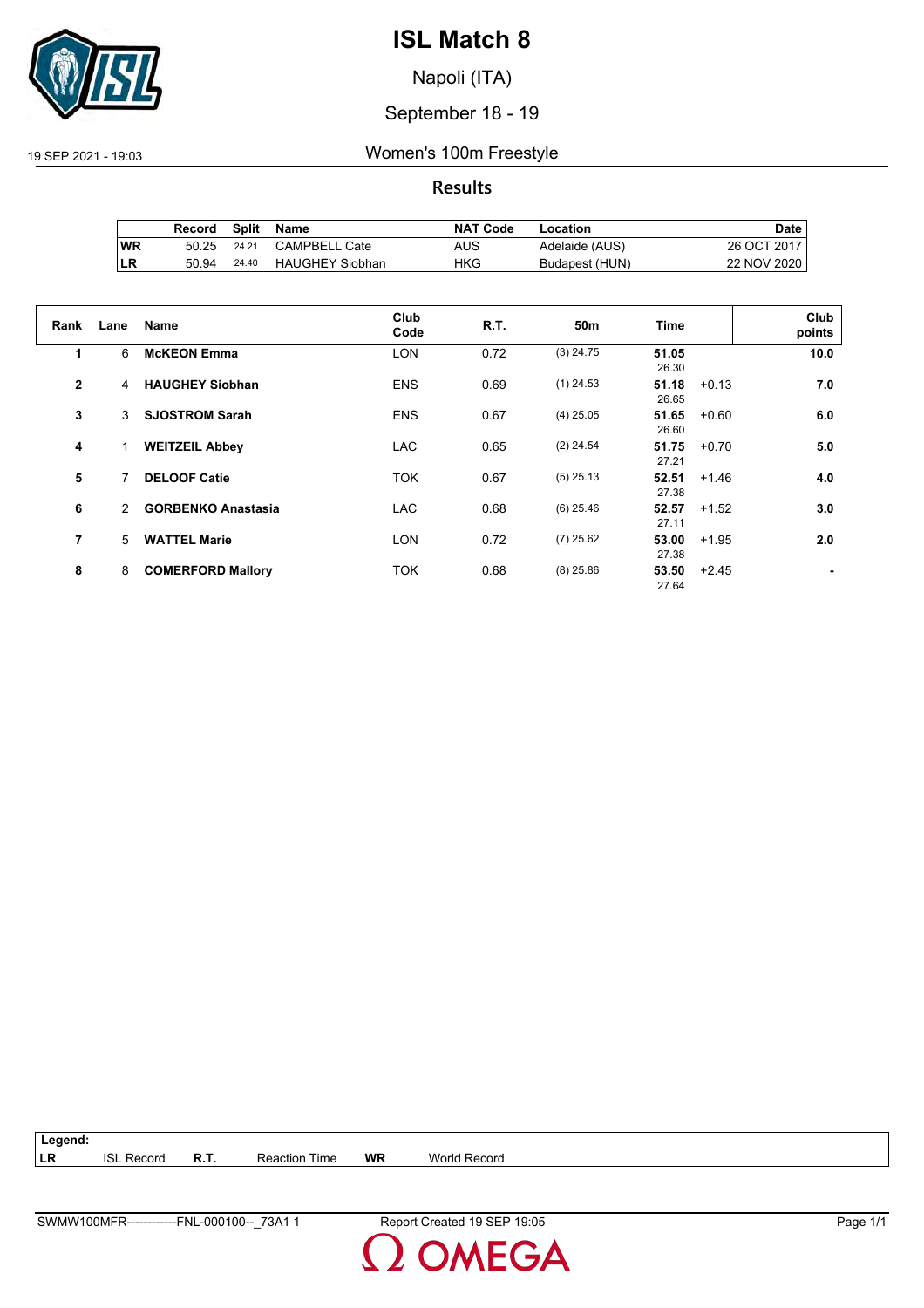

Napoli (ITA)

## September 18 - 19

#### 19 SEP 2021 - 19:03 Women's 100m Freestyle

## **Results**

|           | Record | <b>Split</b> | Name                   | <b>NAT Code</b> | Location       | Date        |
|-----------|--------|--------------|------------------------|-----------------|----------------|-------------|
| <b>WR</b> | 50.25  | 24.21        | CAMPBELL Cate          | AUS             | Adelaide (AUS) | 26 OCT 2017 |
| LR        | 50.94  | 24.40        | <b>HAUGHEY Siobhan</b> | HKG             | Budapest (HUN) | 22 NOV 2020 |

| Rank           | Lane          | <b>Name</b>               | Club<br>Code | R.T. | 50m         | <b>Time</b>               | Club<br>points |
|----------------|---------------|---------------------------|--------------|------|-------------|---------------------------|----------------|
| 1              | 6             | <b>McKEON Emma</b>        | <b>LON</b>   | 0.72 | $(3)$ 24.75 | 51.05<br>26.30            | 10.0           |
| $\overline{2}$ | 4             | <b>HAUGHEY Siobhan</b>    | <b>ENS</b>   | 0.69 | $(1)$ 24.53 | 51.18<br>$+0.13$<br>26.65 | 7.0            |
| 3              | 3             | <b>SJOSTROM Sarah</b>     | <b>ENS</b>   | 0.67 | $(4)$ 25.05 | 51.65<br>$+0.60$<br>26.60 | 6.0            |
| 4              |               | <b>WEITZEIL Abbey</b>     | <b>LAC</b>   | 0.65 | $(2)$ 24.54 | 51.75<br>$+0.70$<br>27.21 | 5.0            |
| 5              | 7             | <b>DELOOF Catie</b>       | <b>TOK</b>   | 0.67 | $(5)$ 25.13 | 52.51<br>$+1.46$<br>27.38 | 4.0            |
| 6              | $\mathcal{P}$ | <b>GORBENKO Anastasia</b> | <b>LAC</b>   | 0.68 | $(6)$ 25.46 | 52.57<br>$+1.52$<br>27.11 | 3.0            |
| 7              | 5             | <b>WATTEL Marie</b>       | <b>LON</b>   | 0.72 | $(7)$ 25.62 | 53.00<br>$+1.95$<br>27.38 | 2.0            |
| 8              | 8             | <b>COMERFORD Mallory</b>  | <b>TOK</b>   | 0.68 | $(8)$ 25.86 | 53.50<br>$+2.45$<br>27.64 |                |

**Legend: LR** ISL Record **R.T.** Reaction Time **WR** World Record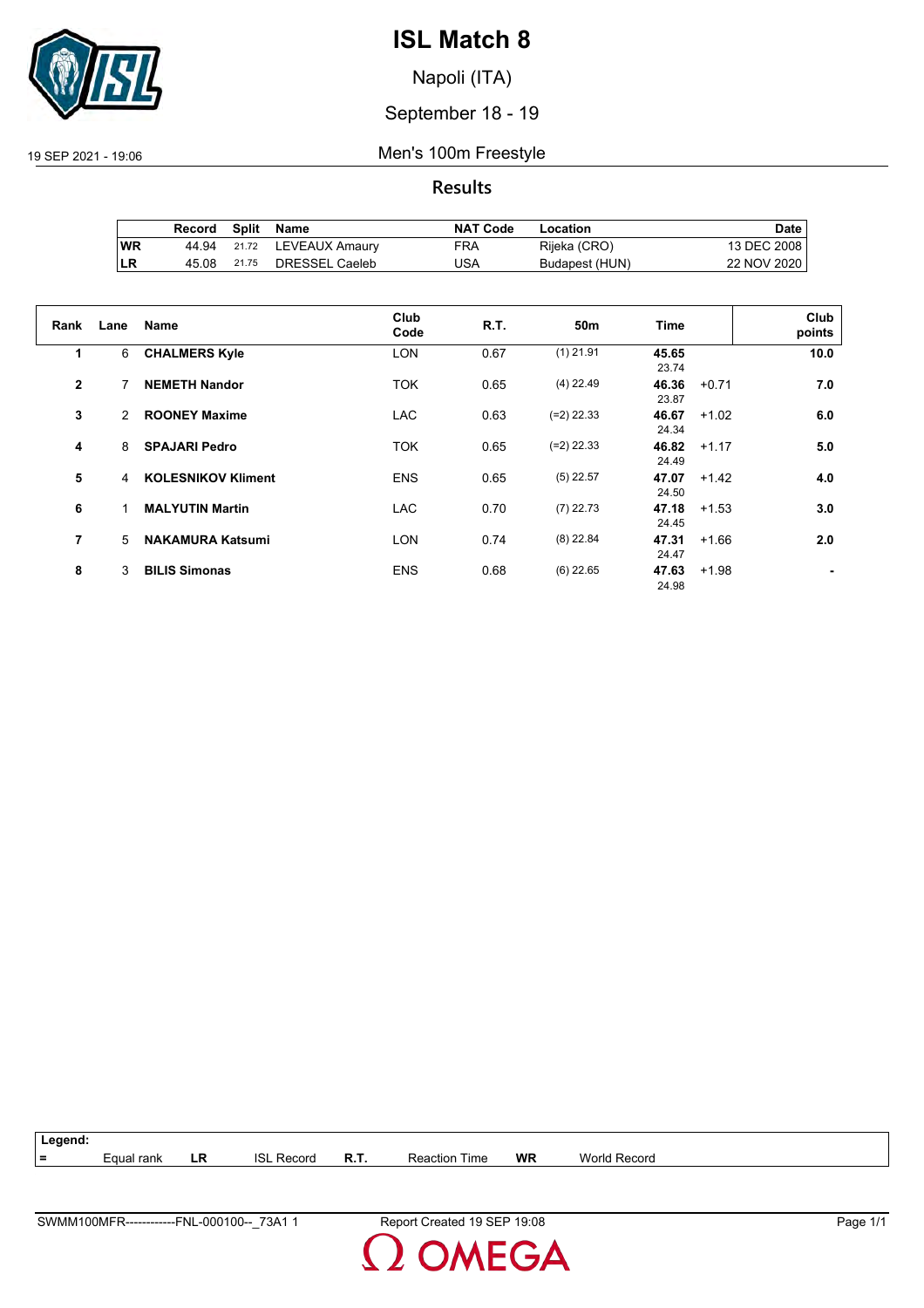

Napoli (ITA)

## September 18 - 19

19 SEP 2021 - 19:06 Men's 100m Freestyle

**Results**

|           | Record |       | Split Name           | <b>NAT Code</b> | Location       | Date        |
|-----------|--------|-------|----------------------|-----------------|----------------|-------------|
| <b>WR</b> | 44.94  |       | 21.72 LEVEAUX Amaury | FRA             | Rijeka (CRO)   | 13 DEC 2008 |
| LR        | 45.08  | 21.75 | DRESSEL Caeleb       | JSA             | Budapest (HUN) | 22 NOV 2020 |

| Rank           | Lane          | <b>Name</b>               | Club<br>Code | <b>R.T.</b> | 50 <sub>m</sub> | Time           |         | Club<br>points |
|----------------|---------------|---------------------------|--------------|-------------|-----------------|----------------|---------|----------------|
| 1              | 6             | <b>CHALMERS Kyle</b>      | <b>LON</b>   | 0.67        | $(1)$ 21.91     | 45.65<br>23.74 |         | 10.0           |
| $\overline{2}$ | 7             | <b>NEMETH Nandor</b>      | <b>TOK</b>   | 0.65        | $(4)$ 22.49     | 46.36<br>23.87 | $+0.71$ | 7.0            |
| 3              | $\mathcal{P}$ | <b>ROONEY Maxime</b>      | <b>LAC</b>   | 0.63        | $(=2)$ 22.33    | 46.67<br>24.34 | $+1.02$ | 6.0            |
| 4              | 8             | <b>SPAJARI Pedro</b>      | <b>TOK</b>   | 0.65        | $(=2)$ 22.33    | 46.82<br>24.49 | $+1.17$ | 5.0            |
| 5              | 4             | <b>KOLESNIKOV Kliment</b> | <b>ENS</b>   | 0.65        | $(5)$ 22.57     | 47.07<br>24.50 | $+1.42$ | 4.0            |
| 6              | 1             | <b>MALYUTIN Martin</b>    | <b>LAC</b>   | 0.70        | $(7)$ 22.73     | 47.18<br>24.45 | $+1.53$ | 3.0            |
| 7              | 5             | <b>NAKAMURA Katsumi</b>   | <b>LON</b>   | 0.74        | $(8)$ 22.84     | 47.31<br>24.47 | $+1.66$ | 2.0            |
| 8              | 3             | <b>BILIS Simonas</b>      | <b>ENS</b>   | 0.68        | $(6)$ 22.65     | 47.63<br>24.98 | $+1.98$ |                |

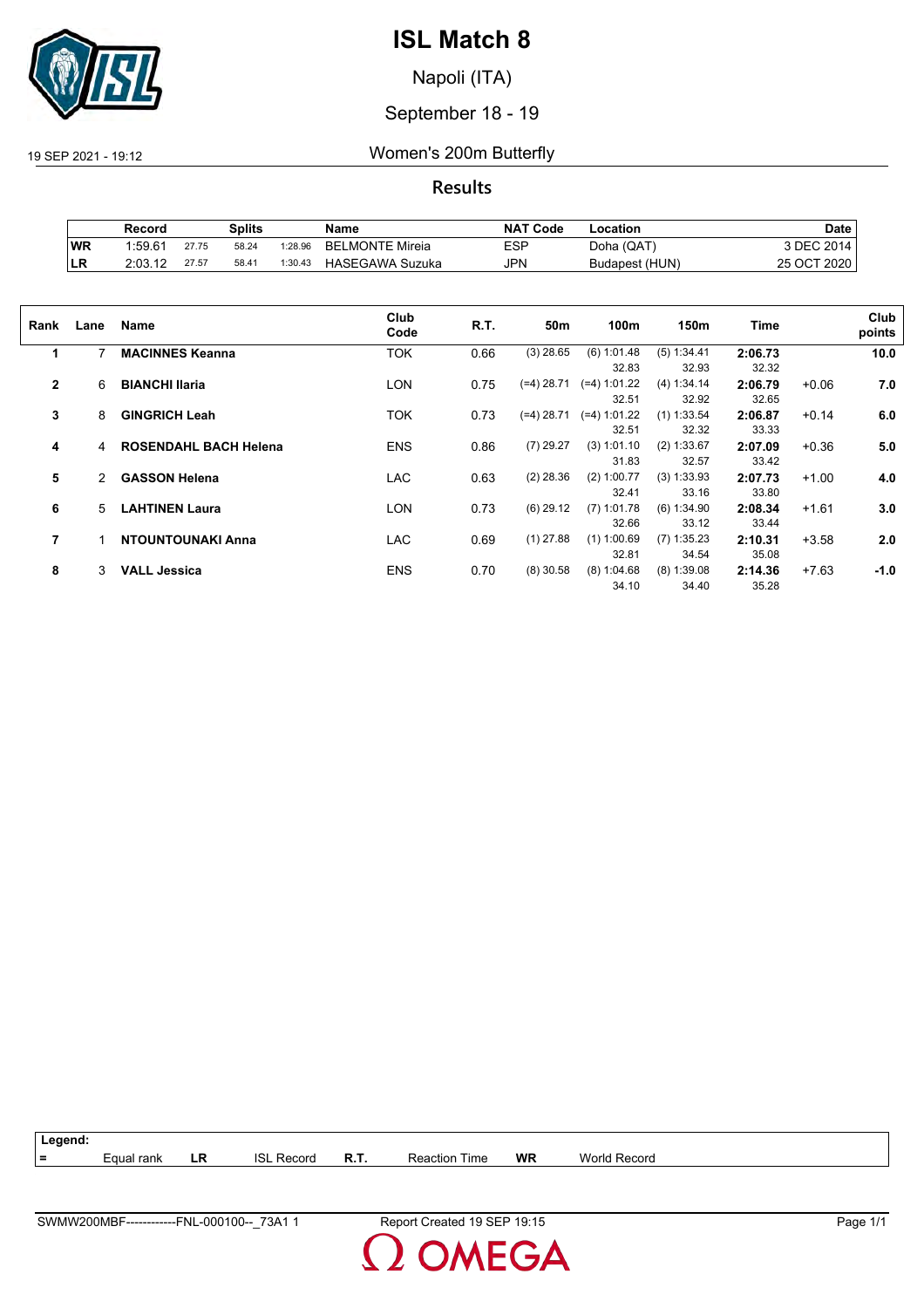

Napoli (ITA)

## September 18 - 19

19 SEP 2021 - 19:12 Women's 200m Butterfly

**Results**

|            | Splits<br>Record |       | <b>NAT Code</b><br>Name |         | -ocation               | Date |                |             |
|------------|------------------|-------|-------------------------|---------|------------------------|------|----------------|-------------|
| WR         | 1:59.61          | 27.75 | 58.24                   | 1:28.96 | <b>BELMONTE Mireia</b> | ESP  | Doha (QAT)     | 3 DEC 2014, |
| <b>ILR</b> | 2:03.12          | 27.57 | 58.41                   | 1:30.43 | HASEGAWA Suzuka        | JPN  | Budapest (HUN) | 25 OCT 2020 |

| Rank           | Lane | Name                         | Club<br>Code | R.T. | 50m          | 100m                    | 150m                   | Time             |         | Club<br>points |
|----------------|------|------------------------------|--------------|------|--------------|-------------------------|------------------------|------------------|---------|----------------|
| 1              | 7    | <b>MACINNES Keanna</b>       | <b>TOK</b>   | 0.66 | $(3)$ 28.65  | (6) 1:01.48<br>32.83    | (5) 1:34.41<br>32.93   | 2:06.73<br>32.32 |         | 10.0           |
| $\overline{2}$ | 6    | <b>BIANCHI Ilaria</b>        | <b>LON</b>   | 0.75 | $(=4)$ 28.71 | $(=4)$ 1:01.22<br>32.51 | (4) 1:34.14<br>32.92   | 2:06.79<br>32.65 | $+0.06$ | 7.0            |
| 3              | 8    | <b>GINGRICH Leah</b>         | <b>TOK</b>   | 0.73 | $(=4)$ 28.71 | (=4) 1:01.22<br>32.51   | $(1)$ 1:33.54<br>32.32 | 2:06.87<br>33.33 | $+0.14$ | 6.0            |
| 4              | 4    | <b>ROSENDAHL BACH Helena</b> | <b>ENS</b>   | 0.86 | $(7)$ 29.27  | (3) 1:01.10<br>31.83    | (2) 1:33.67<br>32.57   | 2:07.09<br>33.42 | $+0.36$ | 5.0            |
| 5              | 2    | <b>GASSON Helena</b>         | <b>LAC</b>   | 0.63 | $(2)$ 28.36  | $(2)$ 1:00.77<br>32.41  | (3) 1:33.93<br>33.16   | 2:07.73<br>33.80 | $+1.00$ | 4.0            |
| 6              | 5    | <b>LAHTINEN Laura</b>        | LON          | 0.73 | $(6)$ 29.12  | $(7)$ 1:01.78<br>32.66  | (6) 1:34.90<br>33.12   | 2:08.34<br>33.44 | $+1.61$ | 3.0            |
| 7              |      | <b>NTOUNTOUNAKI Anna</b>     | <b>LAC</b>   | 0.69 | $(1)$ 27.88  | $(1)$ 1:00.69<br>32.81  | $(7)$ 1:35.23<br>34.54 | 2:10.31<br>35.08 | $+3.58$ | 2.0            |
| 8              | 3    | <b>VALL Jessica</b>          | <b>ENS</b>   | 0.70 | $(8)$ 30.58  | (8) 1:04.68<br>34.10    | $(8)$ 1:39.08<br>34.40 | 2:14.36<br>35.28 | $+7.63$ | $-1.0$         |

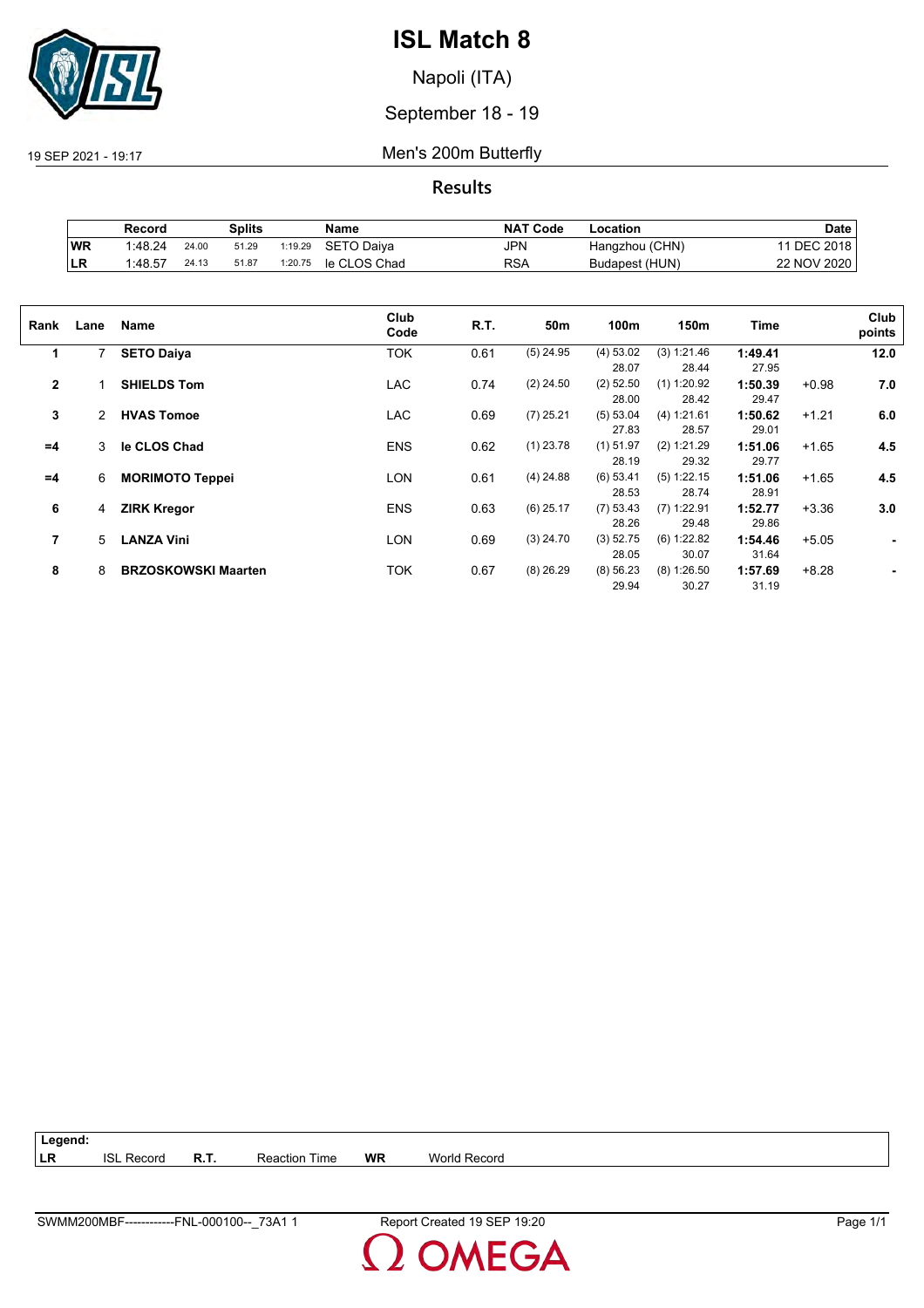

Napoli (ITA)

September 18 - 19

19 SEP 2021 - 19:17 Men's 200m Butterfly

**Results**

|           | Record  |       | Splits |         | Name         | <b>NAT Code</b> | Location       | <b>Date</b>     |
|-----------|---------|-------|--------|---------|--------------|-----------------|----------------|-----------------|
| <b>WR</b> | 1:48.24 | 24.00 | 51.29  | 1:19.29 | SETO Daiva   | <b>JPN</b>      | Hangzhou (CHN) | <b>DEC 2018</b> |
| <b>LR</b> | 1:48.57 | 24.13 | 51.87  | 1:20.75 | le CLOS Chad | RSA             | Budapest (HUN) | 22 NOV 2020     |

| Rank         | Lane | Name                       | Club<br>Code | R.T. | 50m         | 100m        | 150m          | Time    |         | Club<br>points |
|--------------|------|----------------------------|--------------|------|-------------|-------------|---------------|---------|---------|----------------|
| 1            | 7    | <b>SETO Daiya</b>          | TOK          | 0.61 | $(5)$ 24.95 | (4) 53.02   | (3) 1:21.46   | 1:49.41 |         | 12.0           |
|              |      |                            |              |      |             | 28.07       | 28.44         | 27.95   |         |                |
| $\mathbf{2}$ |      | <b>SHIELDS Tom</b>         | <b>LAC</b>   | 0.74 | $(2)$ 24.50 | $(2)$ 52.50 | $(1)$ 1:20.92 | 1:50.39 | $+0.98$ | 7.0            |
|              |      |                            |              |      |             | 28.00       | 28.42         | 29.47   |         |                |
| 3            | 2    | <b>HVAS Tomoe</b>          | <b>LAC</b>   | 0.69 | $(7)$ 25.21 | (5) 53.04   | (4) 1:21.61   | 1:50.62 | $+1.21$ | 6.0            |
|              |      |                            |              |      |             | 27.83       | 28.57         | 29.01   |         |                |
| $=4$         | 3    | le CLOS Chad               | <b>ENS</b>   | 0.62 | $(1)$ 23.78 | $(1)$ 51.97 | (2) 1:21.29   | 1:51.06 | $+1.65$ | 4.5            |
|              |      |                            |              |      |             | 28.19       | 29.32         | 29.77   |         |                |
| $=4$         | 6    | <b>MORIMOTO Teppei</b>     | LON          | 0.61 | $(4)$ 24.88 | $(6)$ 53.41 | $(5)$ 1:22.15 | 1:51.06 | $+1.65$ | 4.5            |
|              |      |                            |              |      |             | 28.53       | 28.74         | 28.91   |         |                |
| 6            | 4    | <b>ZIRK Kregor</b>         | <b>ENS</b>   | 0.63 | $(6)$ 25.17 | (7) 53.43   | $(7)$ 1:22.91 | 1:52.77 | $+3.36$ | 3.0            |
|              |      |                            |              |      |             | 28.26       | 29.48         | 29.86   |         |                |
| 7            | 5    | <b>LANZA Vini</b>          | LON          | 0.69 | $(3)$ 24.70 | (3) 52.75   | (6) 1:22.82   | 1:54.46 | $+5.05$ |                |
|              |      |                            |              |      |             | 28.05       | 30.07         | 31.64   |         |                |
| 8            | 8    | <b>BRZOSKOWSKI Maarten</b> | TOK          | 0.67 | $(8)$ 26.29 | (8) 56.23   | $(8)$ 1:26.50 | 1:57.69 | $+8.28$ |                |
|              |      |                            |              |      |             | 29.94       | 30.27         | 31.19   |         |                |
|              |      |                            |              |      |             |             |               |         |         |                |

| $\vert$ Legend: |                   |             |                      |    |                     |
|-----------------|-------------------|-------------|----------------------|----|---------------------|
| <b>ILR</b>      | <b>ISL Record</b> | <b>R.T.</b> | <b>Reaction Time</b> | WR | <b>World Record</b> |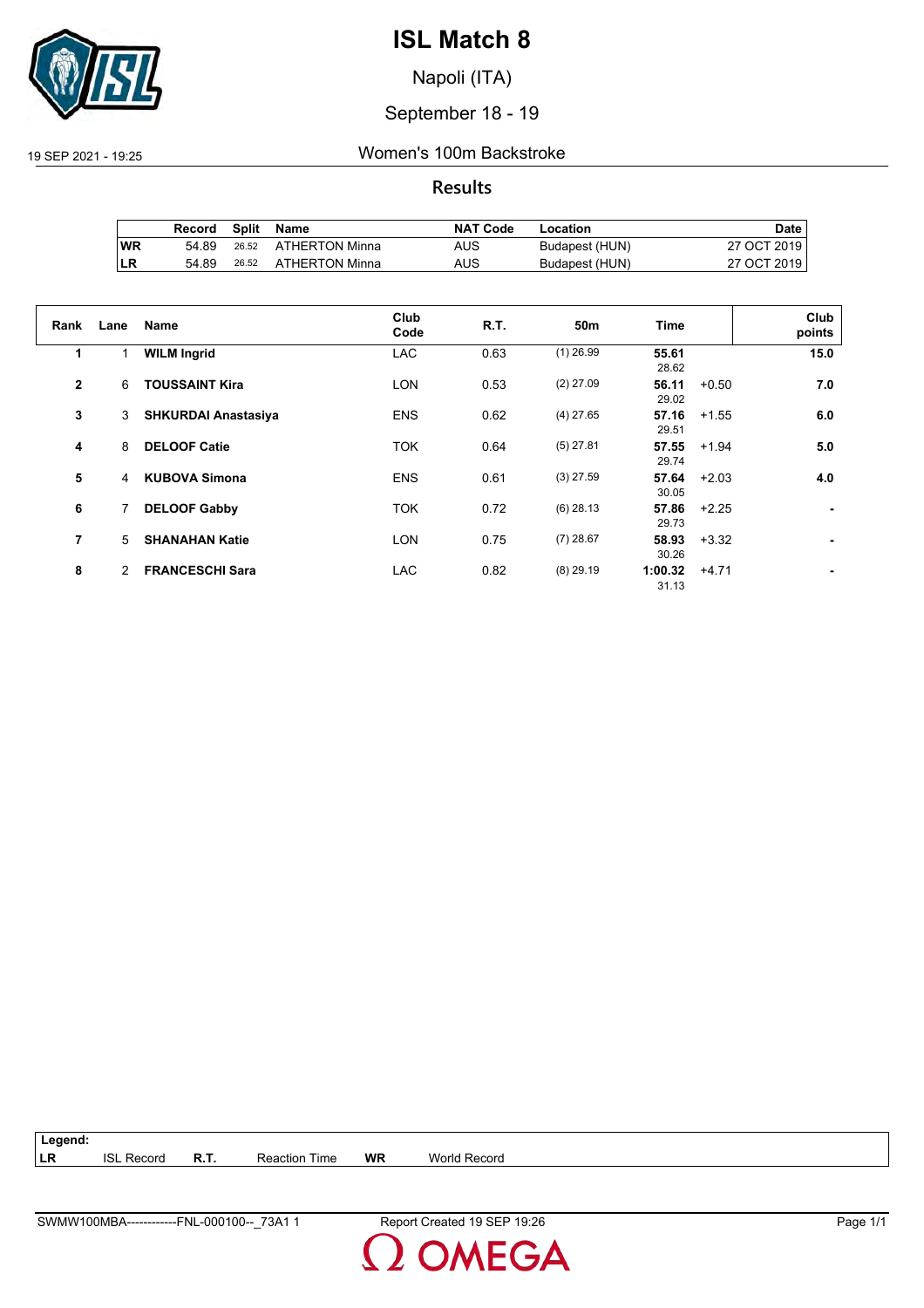

Napoli (ITA)

## September 18 - 19

#### 19 SEP 2021 - 19:25 Women's 100m Backstroke

**Results**

|           | Record | <b>Split</b> | Name           | <b>NAT Code</b> | Location       | Date i      |
|-----------|--------|--------------|----------------|-----------------|----------------|-------------|
| <b>WR</b> | 54.89  | 26.52        | ATHERTON Minna | AUS             | Budapest (HUN) | 27 OCT 2019 |
| LR        | 54.89  | 26.52        | ATHERTON Minna | AUS             | Budapest (HUN) | 27 OCT 2019 |

| Rank           | Lane | <b>Name</b>                | Club<br>Code | R.T. | 50m         | Time             |         | Club<br>points |
|----------------|------|----------------------------|--------------|------|-------------|------------------|---------|----------------|
| 1              |      | <b>WILM Ingrid</b>         | <b>LAC</b>   | 0.63 | $(1)$ 26.99 | 55.61<br>28.62   |         | 15.0           |
| $\mathbf{2}$   | 6    | <b>TOUSSAINT Kira</b>      | <b>LON</b>   | 0.53 | $(2)$ 27.09 | 56.11<br>29.02   | $+0.50$ | 7.0            |
| 3              | 3    | <b>SHKURDAI Anastasiya</b> | <b>ENS</b>   | 0.62 | $(4)$ 27.65 | 57.16<br>29.51   | $+1.55$ | 6.0            |
| 4              | 8    | <b>DELOOF Catie</b>        | <b>TOK</b>   | 0.64 | $(5)$ 27.81 | 57.55<br>29.74   | $+1.94$ | 5.0            |
| 5              | 4    | <b>KUBOVA Simona</b>       | <b>ENS</b>   | 0.61 | $(3)$ 27.59 | 57.64<br>30.05   | $+2.03$ | 4.0            |
| 6              | 7    | <b>DELOOF Gabby</b>        | <b>TOK</b>   | 0.72 | $(6)$ 28.13 | 57.86<br>29.73   | $+2.25$ |                |
| $\overline{7}$ | 5    | <b>SHANAHAN Katie</b>      | <b>LON</b>   | 0.75 | $(7)$ 28.67 | 58.93<br>30.26   | $+3.32$ |                |
| 8              | 2    | <b>FRANCESCHI Sara</b>     | <b>LAC</b>   | 0.82 | $(8)$ 29.19 | 1:00.32<br>31.13 | $+4.71$ |                |

**Legend: LR** ISL Record **R.T.** Reaction Time **WR** World Record

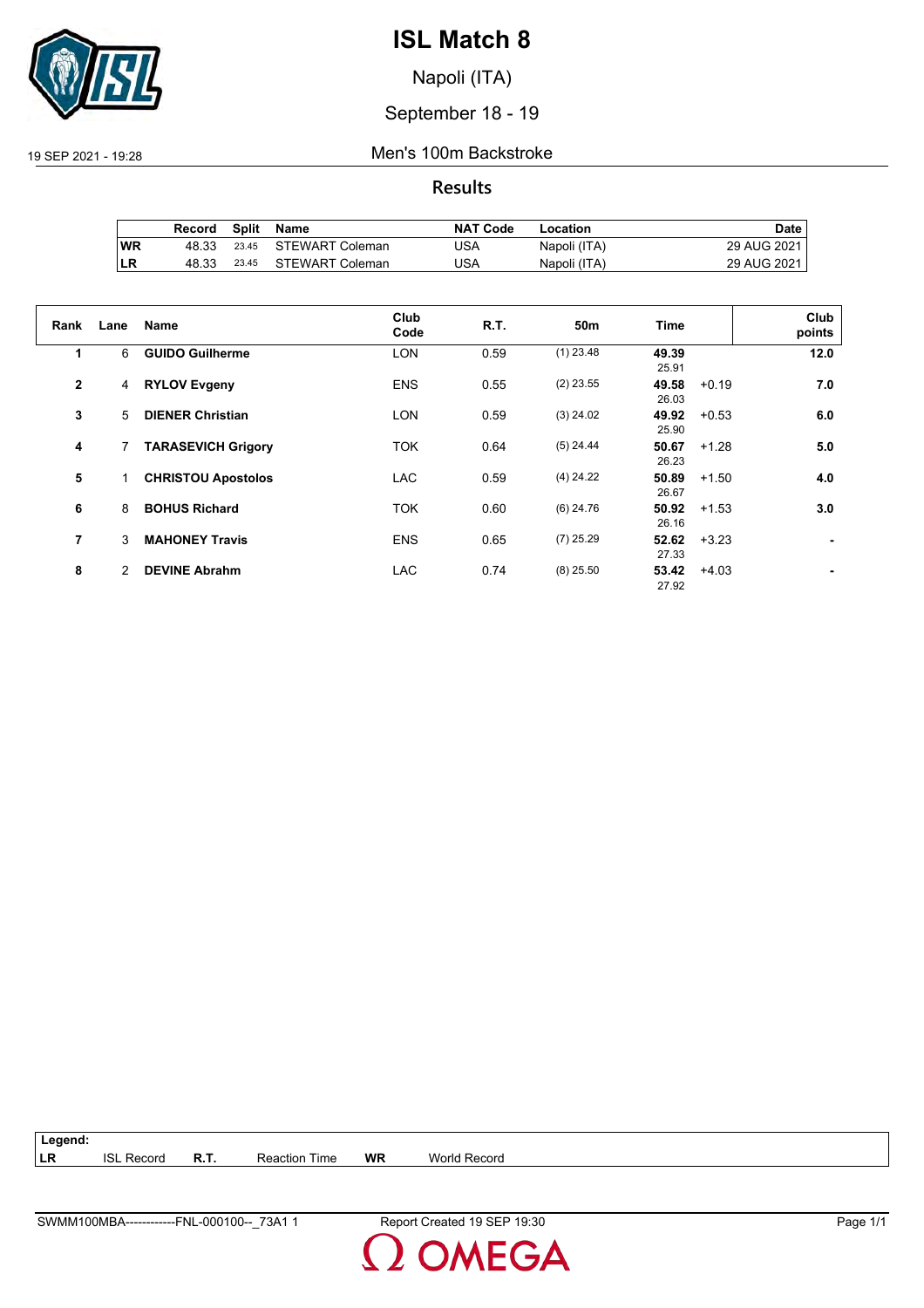

Napoli (ITA)

## September 18 - 19

19 SEP 2021 - 19:28 Men's 100m Backstroke

**Results**

|           | Record | Split | Name                  | <b>NAT Code</b> | Location     | Date        |
|-----------|--------|-------|-----------------------|-----------------|--------------|-------------|
| <b>WR</b> | 48.33  |       | 23.45 STEWART Coleman | JSA             | Napoli (ITA) | 29 AUG 2021 |
| LR        | 48.33  | 23.45 | STEWART Coleman       | JSA             | Napoli (ITA) | 29 AUG 2021 |

| Rank         | Lane | <b>Name</b>               | Club<br>Code | R.T. | 50m         | Time           |         | Club<br>points |
|--------------|------|---------------------------|--------------|------|-------------|----------------|---------|----------------|
| 1            | 6    | <b>GUIDO Guilherme</b>    | <b>LON</b>   | 0.59 | $(1)$ 23.48 | 49.39<br>25.91 |         | 12.0           |
| $\mathbf{2}$ | 4    | <b>RYLOV Evgeny</b>       | <b>ENS</b>   | 0.55 | $(2)$ 23.55 | 49.58<br>26.03 | $+0.19$ | 7.0            |
| 3            | 5    | <b>DIENER Christian</b>   | <b>LON</b>   | 0.59 | $(3)$ 24.02 | 49.92<br>25.90 | $+0.53$ | 6.0            |
| 4            |      | <b>TARASEVICH Grigory</b> | <b>TOK</b>   | 0.64 | $(5)$ 24.44 | 50.67<br>26.23 | $+1.28$ | 5.0            |
| 5            |      | <b>CHRISTOU Apostolos</b> | <b>LAC</b>   | 0.59 | $(4)$ 24.22 | 50.89<br>26.67 | $+1.50$ | 4.0            |
| 6            | 8    | <b>BOHUS Richard</b>      | <b>TOK</b>   | 0.60 | $(6)$ 24.76 | 50.92<br>26.16 | $+1.53$ | 3.0            |
| 7            | 3    | <b>MAHONEY Travis</b>     | <b>ENS</b>   | 0.65 | $(7)$ 25.29 | 52.62<br>27.33 | $+3.23$ |                |
| 8            | 2    | <b>DEVINE Abrahm</b>      | <b>LAC</b>   | 0.74 | $(8)$ 25.50 | 53.42<br>27.92 | $+4.03$ |                |

| $\vert$ Legend: |                   |                      |    |                     |
|-----------------|-------------------|----------------------|----|---------------------|
| ∣LR             | <b>ISL Record</b> | <b>Reaction Time</b> | WR | <b>World Record</b> |

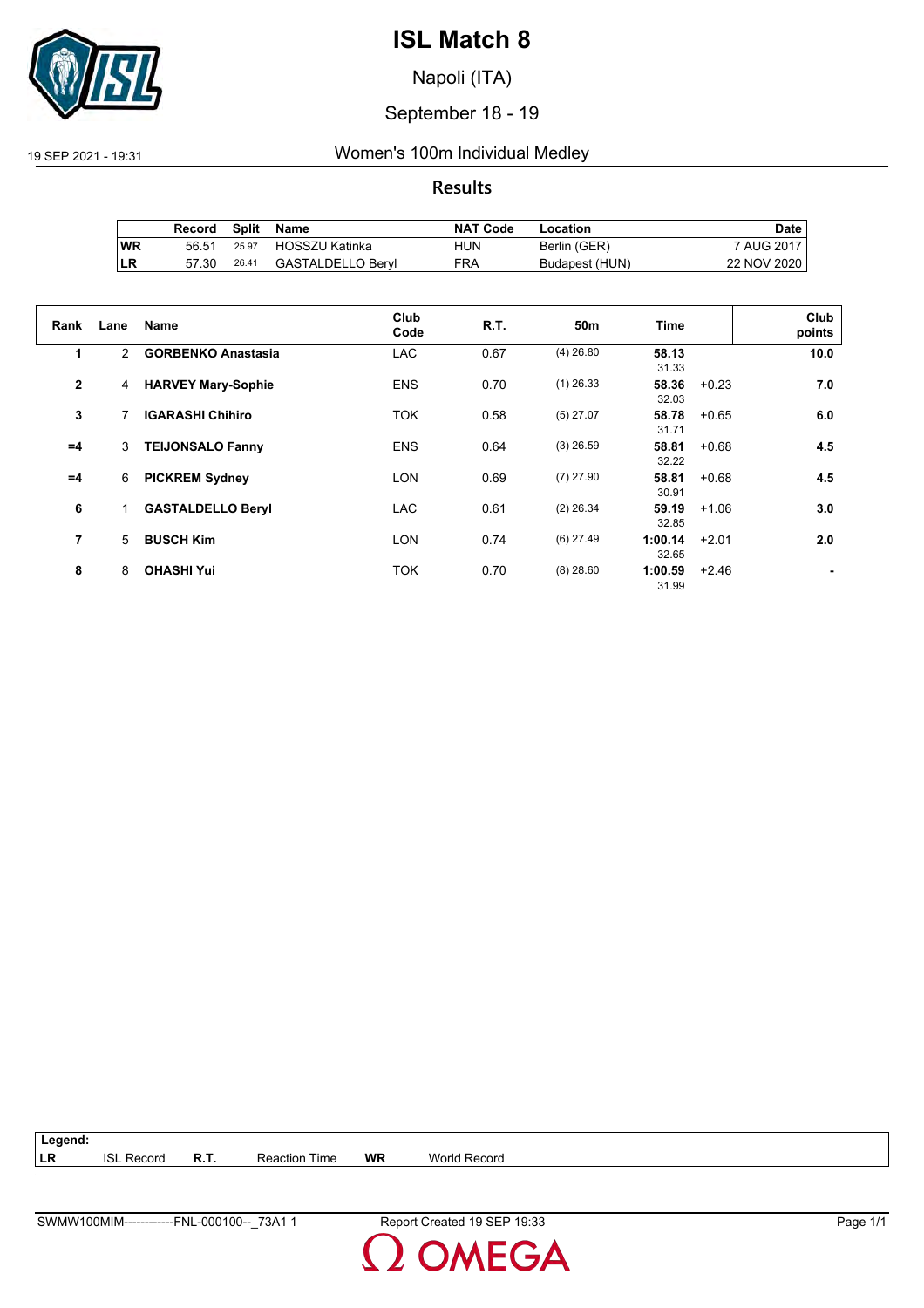

Napoli (ITA)

## September 18 - 19

## 19 SEP 2021 - 19:31 Women's 100m Individual Medley

## **Results**

|           | Record |       | Split Name           | <b>NAT Code</b> | Location       | Date        |
|-----------|--------|-------|----------------------|-----------------|----------------|-------------|
| <b>WR</b> | 56.51  |       | 25.97 HOSSZU Katinka | HUN             | Berlin (GER)   | 7 AUG 2017  |
| ILR       | 57.30  | 26.41 | GASTALDELLO Beryl    | FRA             | Budapest (HUN) | 22 NOV 2020 |

| Rank           | Lane           | <b>Name</b>               | Club<br>Code | <b>R.T.</b> | 50 <sub>m</sub> | <b>Time</b>      |         | Club<br>points |
|----------------|----------------|---------------------------|--------------|-------------|-----------------|------------------|---------|----------------|
| 1              | $\overline{2}$ | <b>GORBENKO Anastasia</b> | <b>LAC</b>   | 0.67        | $(4)$ 26.80     | 58.13<br>31.33   |         | 10.0           |
| $\mathbf{2}$   | 4              | <b>HARVEY Mary-Sophie</b> | <b>ENS</b>   | 0.70        | $(1)$ 26.33     | 58.36<br>32.03   | $+0.23$ | 7.0            |
| 3              |                | <b>IGARASHI Chihiro</b>   | <b>TOK</b>   | 0.58        | $(5)$ 27.07     | 58.78<br>31.71   | $+0.65$ | 6.0            |
| $=4$           | 3              | <b>TEIJONSALO Fanny</b>   | <b>ENS</b>   | 0.64        | $(3)$ 26.59     | 58.81<br>32.22   | $+0.68$ | 4.5            |
| $=4$           | 6              | <b>PICKREM Sydney</b>     | <b>LON</b>   | 0.69        | $(7)$ 27.90     | 58.81<br>30.91   | $+0.68$ | 4.5            |
| 6              | 1              | <b>GASTALDELLO Beryl</b>  | <b>LAC</b>   | 0.61        | $(2)$ 26.34     | 59.19<br>32.85   | $+1.06$ | 3.0            |
| $\overline{7}$ | 5              | <b>BUSCH Kim</b>          | <b>LON</b>   | 0.74        | $(6)$ 27.49     | 1:00.14<br>32.65 | $+2.01$ | 2.0            |
| 8              | 8              | <b>OHASHI Yui</b>         | <b>TOK</b>   | 0.70        | $(8)$ 28.60     | 1:00.59<br>31.99 | $+2.46$ |                |

| Legend: |                   |      |                      |           |                     |  |
|---------|-------------------|------|----------------------|-----------|---------------------|--|
| LR      | <b>ISL Record</b> | R.T. | <b>Reaction Time</b> | <b>WR</b> | <b>World Record</b> |  |

**OMEGA**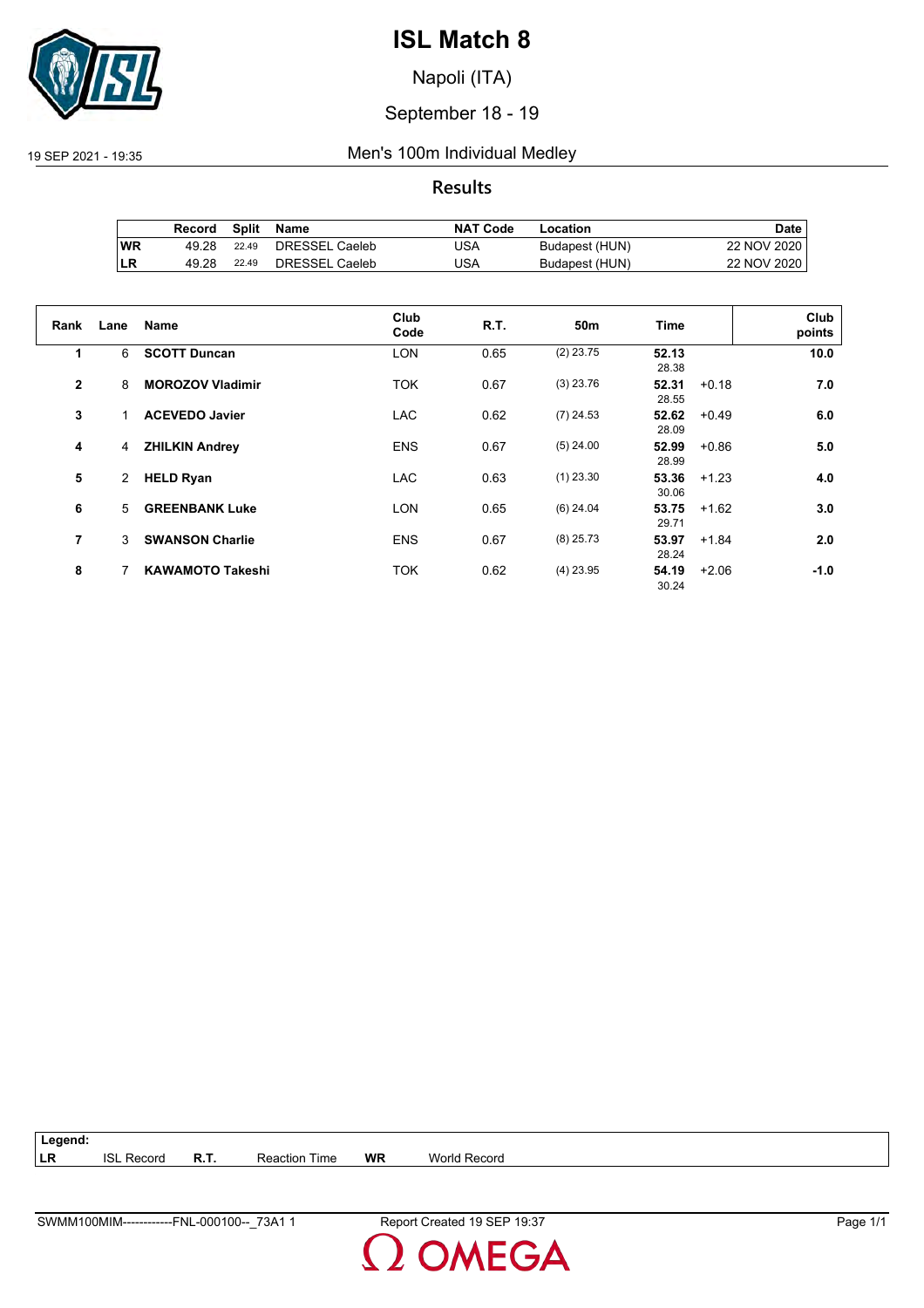

Napoli (ITA)

## September 18 - 19

#### 19 SEP 2021 - 19:35 Men's 100m Individual Medley

## **Results**

|           | Record | Split | Name           | <b>NAT Code</b> | Location       | Date l      |
|-----------|--------|-------|----------------|-----------------|----------------|-------------|
| <b>WR</b> | 49.28  | 22.49 | DRESSEL Caeleb | JSA             | Budapest (HUN) | 22 NOV 2020 |
| LR        | 49.28  | 22.49 | DRESSEL Caeleb | JSA             | Budapest (HUN) | 22 NOV 2020 |

| Rank         | Lane           | <b>Name</b>             | Club<br>Code | R.T. | 50 <sub>m</sub> | Time           |         | Club<br>points |
|--------------|----------------|-------------------------|--------------|------|-----------------|----------------|---------|----------------|
| 1            | 6              | <b>SCOTT Duncan</b>     | <b>LON</b>   | 0.65 | $(2)$ 23.75     | 52.13<br>28.38 |         | 10.0           |
| $\mathbf{2}$ | 8              | <b>MOROZOV Vladimir</b> | <b>TOK</b>   | 0.67 | $(3)$ 23.76     | 52.31<br>28.55 | $+0.18$ | 7.0            |
| 3            |                | <b>ACEVEDO Javier</b>   | <b>LAC</b>   | 0.62 | $(7)$ 24.53     | 52.62<br>28.09 | $+0.49$ | 6.0            |
| 4            | 4              | <b>ZHILKIN Andrey</b>   | <b>ENS</b>   | 0.67 | $(5)$ 24.00     | 52.99<br>28.99 | $+0.86$ | 5.0            |
| 5            | $\overline{2}$ | <b>HELD Ryan</b>        | LAC.         | 0.63 | $(1)$ 23.30     | 53.36<br>30.06 | $+1.23$ | 4.0            |
| 6            | 5              | <b>GREENBANK Luke</b>   | <b>LON</b>   | 0.65 | $(6)$ 24.04     | 53.75<br>29.71 | $+1.62$ | 3.0            |
| 7            | 3              | <b>SWANSON Charlie</b>  | <b>ENS</b>   | 0.67 | $(8)$ 25.73     | 53.97<br>28.24 | $+1.84$ | 2.0            |
| 8            |                | <b>KAWAMOTO Takeshi</b> | <b>TOK</b>   | 0.62 | $(4)$ 23.95     | 54.19<br>30.24 | $+2.06$ | $-1.0$         |

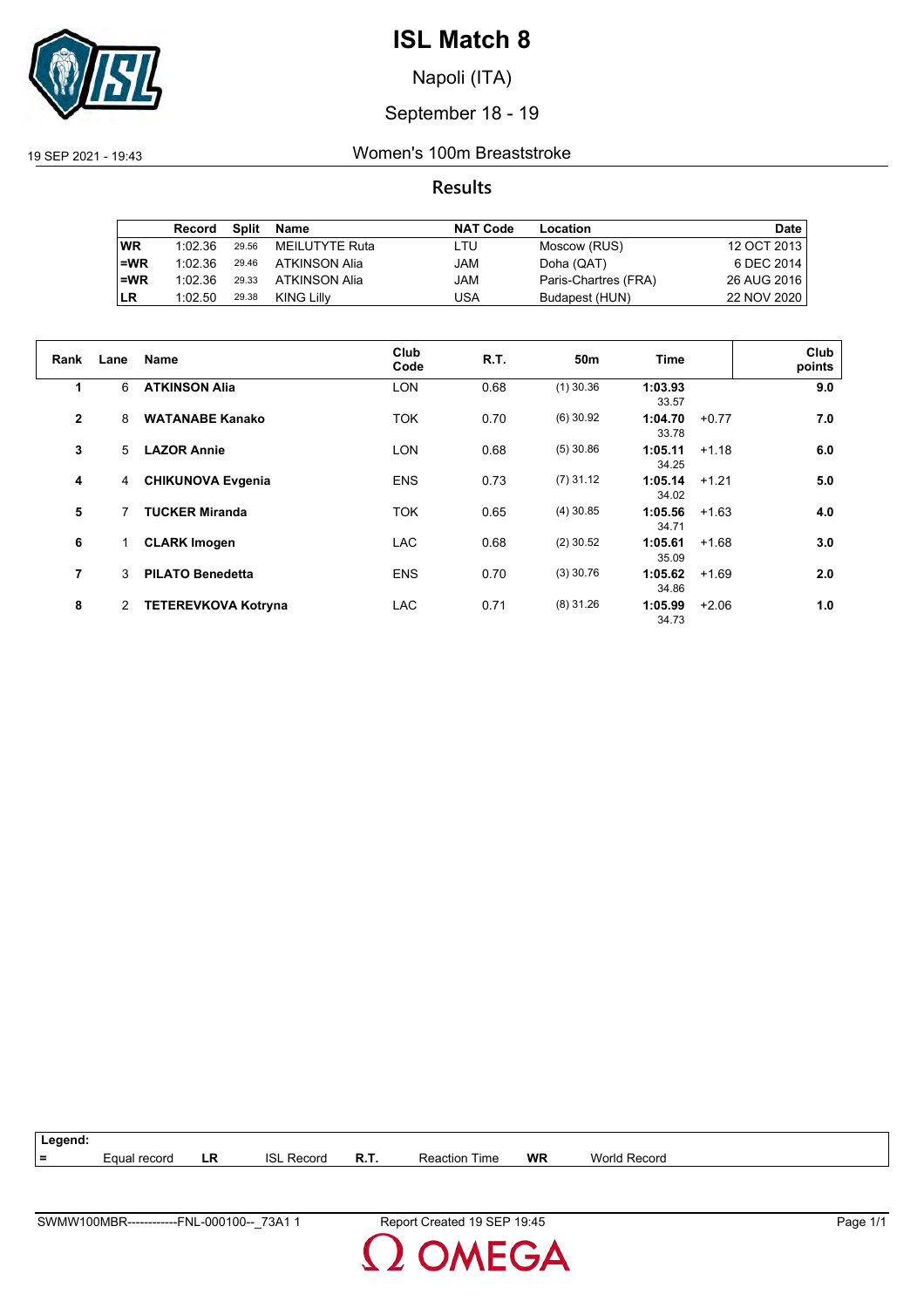

Napoli (ITA)

## September 18 - 19

19 SEP 2021 - 19:43 Women's 100m Breaststroke

## **Results**

|           | Record  | Split | Name           | <b>NAT Code</b> | Location             | Date        |
|-----------|---------|-------|----------------|-----------------|----------------------|-------------|
| <b>WR</b> | 1:02.36 | 29.56 | MEILUTYTE Ruta | LTU             | Moscow (RUS)         | 12 OCT 2013 |
| $=WR$     | 1:02.36 | 29.46 | ATKINSON Alia  | JAM             | Doha (QAT)           | 6 DEC 2014  |
| $=WR$     | 1:02.36 | 29.33 | ATKINSON Alia  | JAM             | Paris-Chartres (FRA) | 26 AUG 2016 |
| <b>LR</b> | 1:02.50 | 29.38 | KING Lilly     | USA             | Budapest (HUN)       | 22 NOV 2020 |

| Rank           | Lane | <b>Name</b>                | Club<br>Code | R.T. | 50m         | Time             |         | Club<br>points |
|----------------|------|----------------------------|--------------|------|-------------|------------------|---------|----------------|
| 1              | 6    | <b>ATKINSON Alia</b>       | <b>LON</b>   | 0.68 | $(1)$ 30.36 | 1:03.93<br>33.57 |         | 9.0            |
| $\overline{2}$ | 8    | <b>WATANABE Kanako</b>     | <b>TOK</b>   | 0.70 | $(6)$ 30.92 | 1:04.70<br>33.78 | $+0.77$ | 7.0            |
| 3              | 5    | <b>LAZOR Annie</b>         | <b>LON</b>   | 0.68 | $(5)$ 30.86 | 1:05.11<br>34.25 | $+1.18$ | 6.0            |
| 4              | 4    | <b>CHIKUNOVA Evgenia</b>   | <b>ENS</b>   | 0.73 | $(7)$ 31.12 | 1:05.14<br>34.02 | $+1.21$ | 5.0            |
| 5              |      | <b>TUCKER Miranda</b>      | <b>TOK</b>   | 0.65 | $(4)$ 30.85 | 1:05.56<br>34.71 | $+1.63$ | 4.0            |
| 6              |      | <b>CLARK Imogen</b>        | <b>LAC</b>   | 0.68 | $(2)$ 30.52 | 1:05.61<br>35.09 | $+1.68$ | 3.0            |
| $\overline{7}$ | 3    | <b>PILATO Benedetta</b>    | <b>ENS</b>   | 0.70 | $(3)$ 30.76 | 1:05.62<br>34.86 | $+1.69$ | 2.0            |
| 8              | 2    | <b>TETEREVKOVA Kotryna</b> | <b>LAC</b>   | 0.71 | $(8)$ 31.26 | 1:05.99<br>34.73 | $+2.06$ | 1.0            |

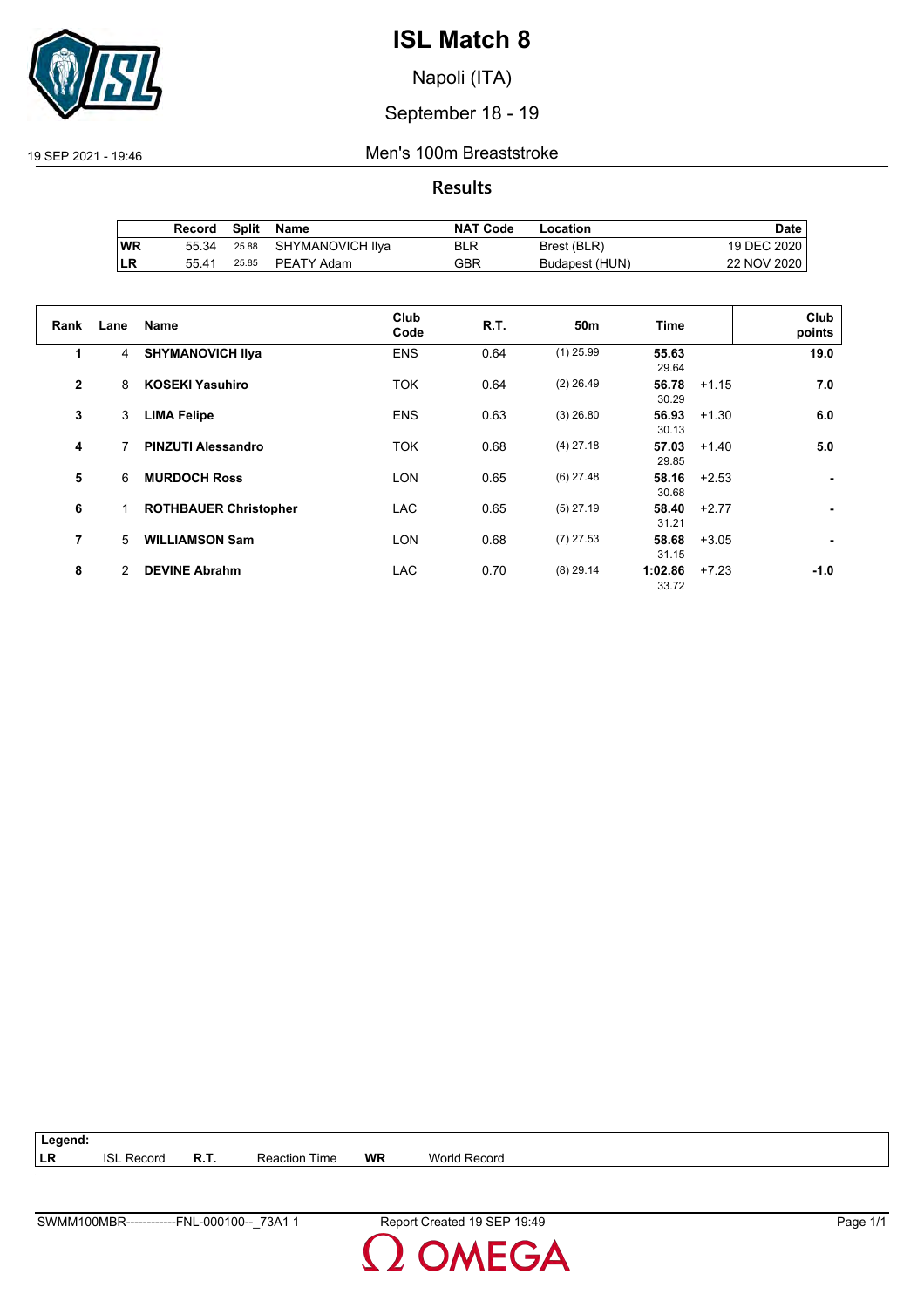

Napoli (ITA)

## September 18 - 19

19 SEP 2021 - 19:46 Men's 100m Breaststroke

## **Results**

|           | Record | Split | Name                   | <b>NAT Code</b> | Location       | Date        |
|-----------|--------|-------|------------------------|-----------------|----------------|-------------|
| <b>WR</b> | 55.34  |       | 25.88 SHYMANOVICH IIya | BLR             | Brest (BLR)    | 19 DEC 2020 |
| ∣LR       | 55.41  |       | 25.85 PEATY Adam       | GBR             | Budapest (HUN) | 22 NOV 2020 |

| Rank         | Lane | <b>Name</b>                  | Club<br>Code | <b>R.T.</b> | 50 <sub>m</sub> | <b>Time</b>      |         | Club<br>points |
|--------------|------|------------------------------|--------------|-------------|-----------------|------------------|---------|----------------|
| 1            | 4    | <b>SHYMANOVICH IIva</b>      | <b>ENS</b>   | 0.64        | $(1)$ 25.99     | 55.63<br>29.64   |         | 19.0           |
| $\mathbf{2}$ | 8    | <b>KOSEKI Yasuhiro</b>       | <b>TOK</b>   | 0.64        | $(2)$ 26.49     | 56.78<br>30.29   | $+1.15$ | 7.0            |
| 3            | 3    | <b>LIMA Felipe</b>           | <b>ENS</b>   | 0.63        | $(3)$ 26.80     | 56.93<br>30.13   | $+1.30$ | 6.0            |
| 4            | 7    | <b>PINZUTI Alessandro</b>    | <b>TOK</b>   | 0.68        | $(4)$ 27.18     | 57.03<br>29.85   | $+1.40$ | 5.0            |
| 5            | 6    | <b>MURDOCH Ross</b>          | <b>LON</b>   | 0.65        | $(6)$ 27.48     | 58.16<br>30.68   | $+2.53$ |                |
| 6            |      | <b>ROTHBAUER Christopher</b> | <b>LAC</b>   | 0.65        | $(5)$ 27.19     | 58.40<br>31.21   | $+2.77$ |                |
| 7            | 5    | <b>WILLIAMSON Sam</b>        | <b>LON</b>   | 0.68        | $(7)$ 27.53     | 58.68<br>31.15   | $+3.05$ |                |
| 8            | 2    | <b>DEVINE Abrahm</b>         | <b>LAC</b>   | 0.70        | $(8)$ 29.14     | 1:02.86<br>33.72 | $+7.23$ | $-1.0$         |

| $\vert$ Legend: |                   |                      |    |              |
|-----------------|-------------------|----------------------|----|--------------|
| <b>ILR</b>      | <b>ISL Record</b> | <b>Reaction Time</b> | WR | World Record |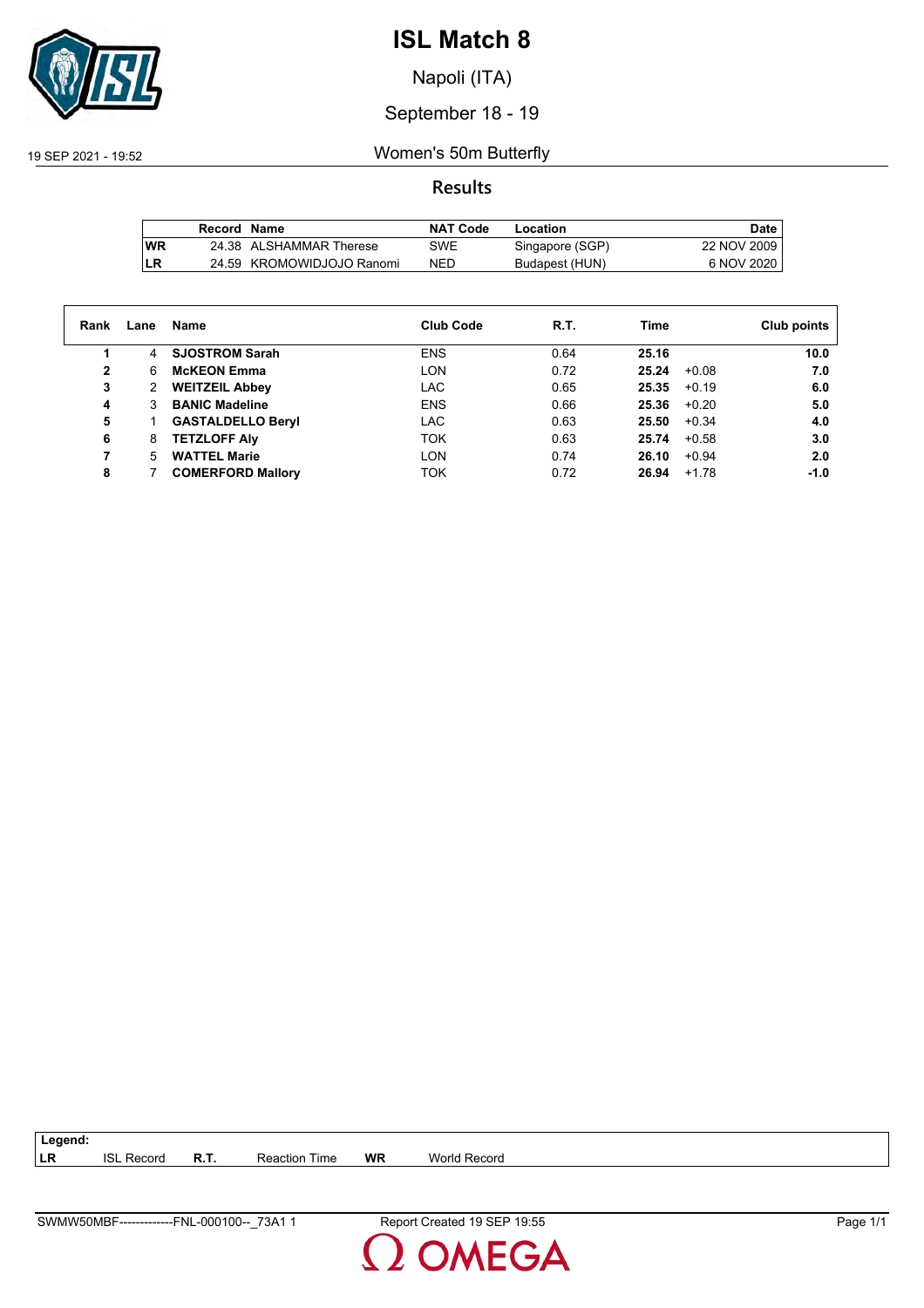

Napoli (ITA)

## September 18 - 19

19 SEP 2021 - 19:52 Women's 50m Butterfly

## **Results**

|           | Record Name |                           | NAT Code   | Location        | Date        |
|-----------|-------------|---------------------------|------------|-----------------|-------------|
| <b>WR</b> |             | 24.38 ALSHAMMAR Therese   | SWE        | Singapore (SGP) | 22 NOV 2009 |
| LR        |             | 24.59 KROMOWIDJOJO Ranomi | <b>NED</b> | Budapest (HUN)  | 6 NOV 2020  |

| Rank         | Lane | Name                     | <b>Club Code</b> | R.T. | <b>Time</b> | Club points       |
|--------------|------|--------------------------|------------------|------|-------------|-------------------|
|              | 4    | <b>SJOSTROM Sarah</b>    | <b>ENS</b>       | 0.64 | 25.16       | 10.0              |
| $\mathbf{2}$ | 6    | <b>McKEON Emma</b>       | <b>LON</b>       | 0.72 | 25.24       | $+0.08$<br>7.0    |
| 3            | 2    | <b>WEITZEIL Abbey</b>    | <b>LAC</b>       | 0.65 | 25.35       | 6.0<br>$+0.19$    |
| 4            | 3    | <b>BANIC Madeline</b>    | <b>ENS</b>       | 0.66 | 25.36       | 5.0<br>$+0.20$    |
| 5            |      | <b>GASTALDELLO Beryl</b> | LAC.             | 0.63 | 25.50       | $+0.34$<br>4.0    |
| 6            | 8    | <b>TETZLOFF Alv</b>      | <b>TOK</b>       | 0.63 | 25.74       | 3.0<br>$+0.58$    |
| 7            | 5    | <b>WATTEL Marie</b>      | <b>LON</b>       | 0.74 | 26.10       | $+0.94$<br>2.0    |
| 8            |      | <b>COMERFORD Mallory</b> | <b>TOK</b>       | 0.72 | 26.94       | $-1.0$<br>$+1.78$ |
|              |      |                          |                  |      |             |                   |

| 73A.<br>SWMV<br>⊏NL<br><u>ገባበ1በበ--</u><br>V50MBF | --<br>$1 - 1 - 1$<br>– Rer<br>reater.<br>5⊨<br>.ບບ<br>. | Page |
|--------------------------------------------------|---------------------------------------------------------|------|

**LR** ISL Record **R.T.** Reaction Time **WR** World Record

**Legend:**

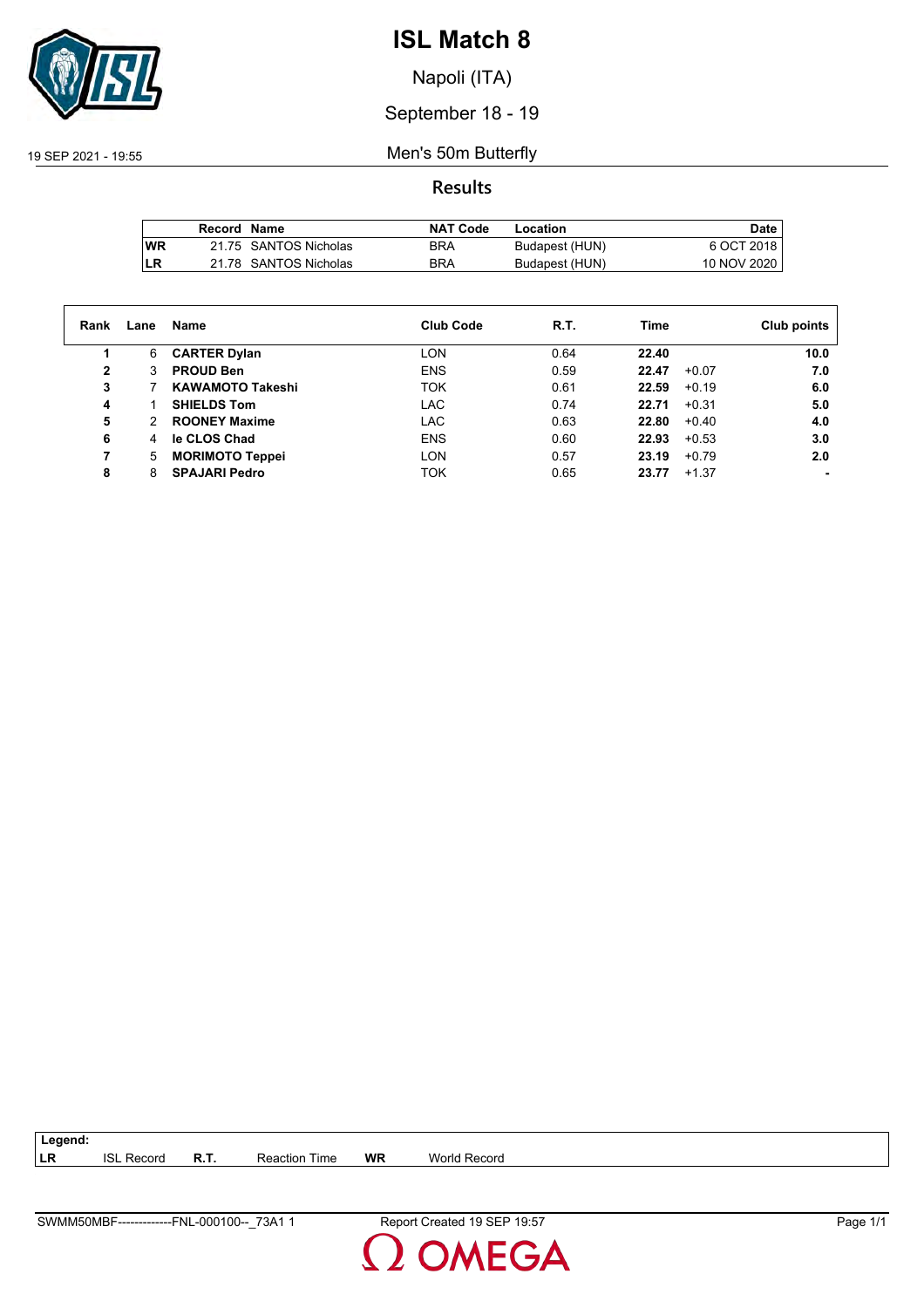

Napoli (ITA)

## September 18 - 19

19 SEP 2021 - 19:55 Men's 50m Butterfly

**Results**

|            | Record Name |                       | <b>NAT Code</b> | Location       | Date        |
|------------|-------------|-----------------------|-----------------|----------------|-------------|
| <b>IWR</b> |             | 21.75 SANTOS Nicholas | <b>BRA</b>      | Budapest (HUN) | 6 OCT 2018  |
| LR         |             | 21.78 SANTOS Nicholas | <b>BRA</b>      | Budapest (HUN) | 10 NOV 2020 |

| Rank | Lane | Name                    | <b>Club Code</b> | R.T. | Time             | Club points    |
|------|------|-------------------------|------------------|------|------------------|----------------|
| 1    | 6    | <b>CARTER Dylan</b>     | <b>LON</b>       | 0.64 | 22.40            | 10.0           |
| 2    | 3    | <b>PROUD Ben</b>        | <b>ENS</b>       | 0.59 | 22.47<br>$+0.07$ | 7.0            |
| 3    |      | <b>KAWAMOTO Takeshi</b> | <b>TOK</b>       | 0.61 | $+0.19$<br>22.59 | 6.0            |
| 4    |      | <b>SHIELDS Tom</b>      | <b>LAC</b>       | 0.74 | 22.71<br>$+0.31$ | 5.0            |
| 5    | 2    | <b>ROONEY Maxime</b>    | <b>LAC</b>       | 0.63 | 22.80<br>$+0.40$ | 4.0            |
| 6    | 4    | le CLOS Chad            | <b>ENS</b>       | 0.60 | 22.93<br>$+0.53$ | 3.0            |
| 7    | 5    | <b>MORIMOTO Teppei</b>  | <b>LON</b>       | 0.57 | $+0.79$<br>23.19 | 2.0            |
| 8    | 8    | <b>SPAJARI Pedro</b>    | <b>TOK</b>       | 0.65 | $+1.37$<br>23.77 | $\blacksquare$ |

| $\vert$ Legend: |                   |             |                      |           |                     |
|-----------------|-------------------|-------------|----------------------|-----------|---------------------|
| LR              | <b>ISL Record</b> | <b>R.T.</b> | <b>Reaction Time</b> | <b>WR</b> | <b>World Record</b> |

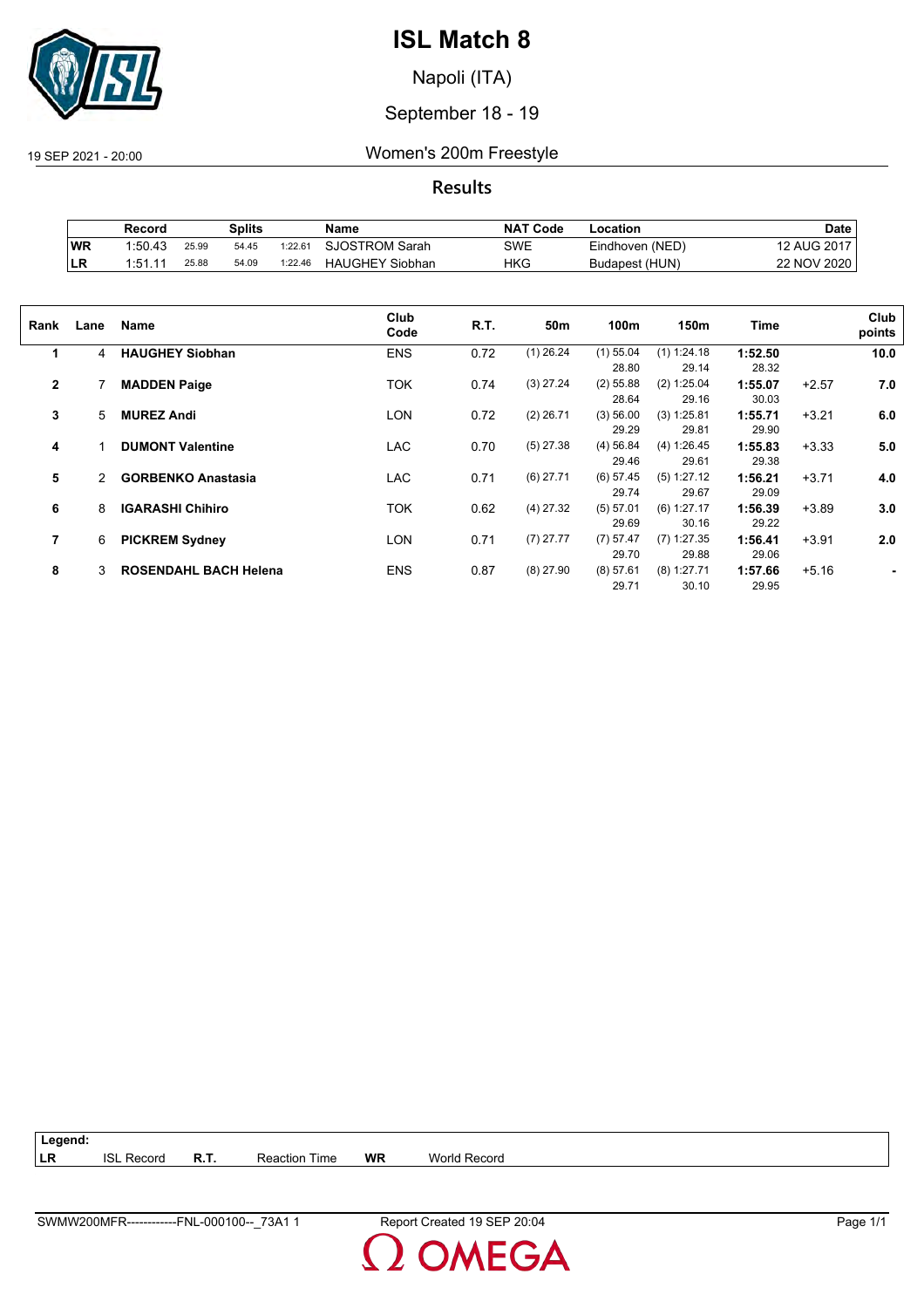

Napoli (ITA)

## September 18 - 19

19 SEP 2021 - 20:00 Women's 200m Freestyle

**Results**

|     | Record  |       | <b>Splits</b> |         | Name                   | <b>NAT Code</b> | -ocation        | Date        |
|-----|---------|-------|---------------|---------|------------------------|-----------------|-----------------|-------------|
| WR  | 1:50.43 | 25.99 | 54.45         | 1:22.61 | SJOSTROM Sarah         | SWE             | Eindhoven (NED) | 12 AUG 2017 |
| ∣LR | 1:51.11 | 25.88 | 54.09         | 1:22.46 | <b>HAUGHEY Siobhan</b> | HKG             | Budapest (HUN)  | 22 NOV 2020 |

| Rank         | Lane | <b>Name</b>                  | Club<br>Code | R.T. | 50m         | 100m                 | 150m                   | Time             |         | Club<br>points |
|--------------|------|------------------------------|--------------|------|-------------|----------------------|------------------------|------------------|---------|----------------|
| 1            | 4    | <b>HAUGHEY Siobhan</b>       | <b>ENS</b>   | 0.72 | $(1)$ 26.24 | $(1)$ 55.04<br>28.80 | $(1)$ 1:24.18<br>29.14 | 1:52.50<br>28.32 |         | 10.0           |
| $\mathbf{2}$ |      | <b>MADDEN Paige</b>          | TOK          | 0.74 | $(3)$ 27.24 | $(2)$ 55.88<br>28.64 | (2) 1:25.04<br>29.16   | 1:55.07<br>30.03 | $+2.57$ | 7.0            |
| 3            | 5    | <b>MUREZ Andi</b>            | <b>LON</b>   | 0.72 | $(2)$ 26.71 | (3) 56.00<br>29.29   | (3) 1:25.81<br>29.81   | 1:55.71<br>29.90 | $+3.21$ | 6.0            |
| 4            |      | <b>DUMONT Valentine</b>      | <b>LAC</b>   | 0.70 | $(5)$ 27.38 | (4) 56.84<br>29.46   | (4) 1:26.45<br>29.61   | 1:55.83<br>29.38 | $+3.33$ | 5.0            |
| 5            | 2    | <b>GORBENKO Anastasia</b>    | LAC          | 0.71 | $(6)$ 27.71 | $(6)$ 57.45<br>29.74 | (5) 1:27.12<br>29.67   | 1:56.21<br>29.09 | $+3.71$ | 4.0            |
| 6            | 8    | <b>IGARASHI Chihiro</b>      | TOK          | 0.62 | $(4)$ 27.32 | (5) 57.01<br>29.69   | $(6)$ 1:27.17<br>30.16 | 1:56.39<br>29.22 | $+3.89$ | 3.0            |
| 7            | 6    | <b>PICKREM Sydney</b>        | LON          | 0.71 | $(7)$ 27.77 | $(7)$ 57.47<br>29.70 | $(7)$ 1:27.35<br>29.88 | 1:56.41<br>29.06 | $+3.91$ | 2.0            |
| 8            | 3    | <b>ROSENDAHL BACH Helena</b> | <b>ENS</b>   | 0.87 | $(8)$ 27.90 | (8) 57.61<br>29.71   | $(8)$ 1:27.71<br>30.10 | 1:57.66<br>29.95 | $+5.16$ |                |

| $\vert$ Legend: |                   |             |                      |           |              |
|-----------------|-------------------|-------------|----------------------|-----------|--------------|
| ∣LR             | <b>ISL Record</b> | <b>R.T.</b> | <b>Reaction Time</b> | <b>WR</b> | World Record |

**OMEGA**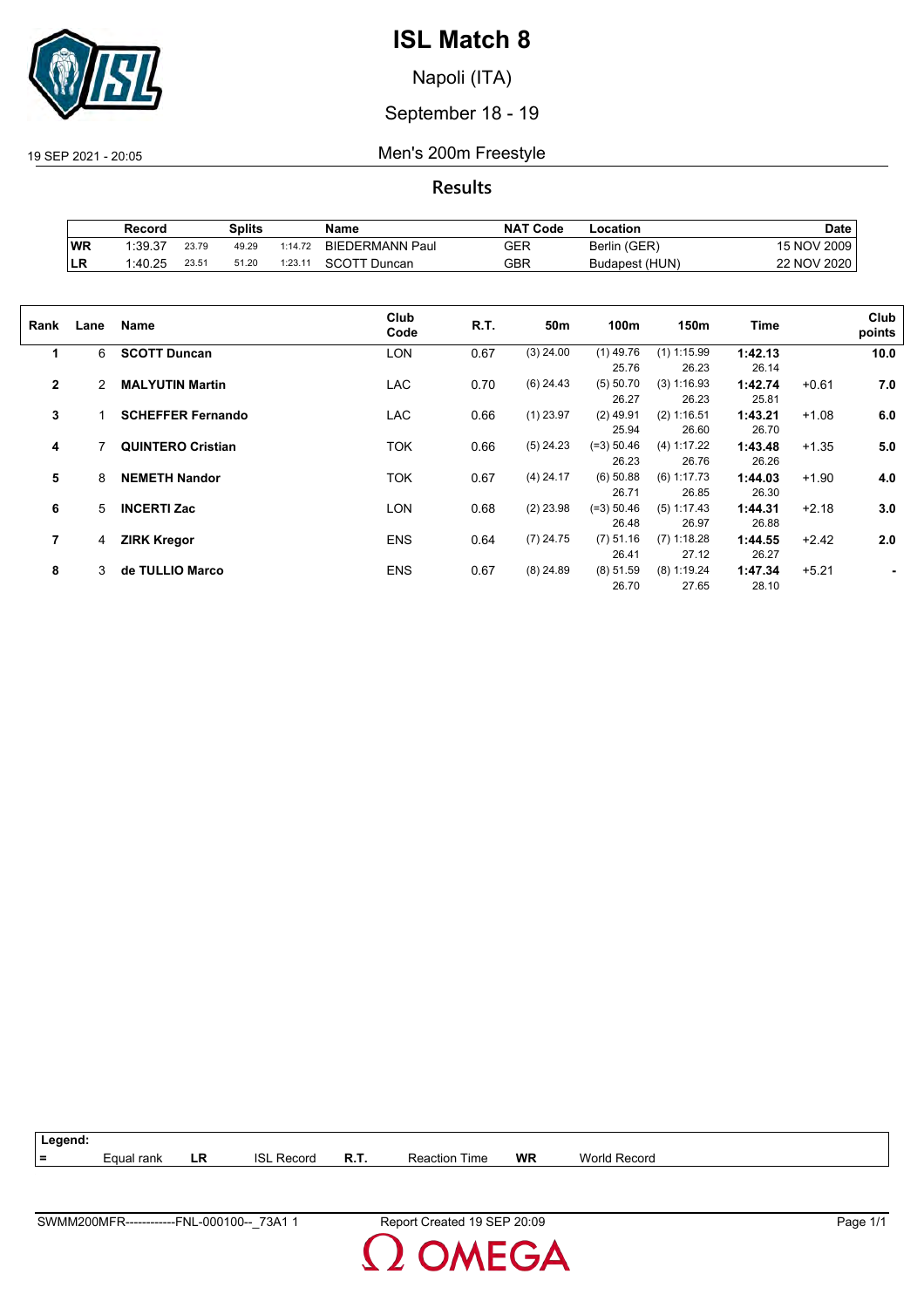

Napoli (ITA)

September 18 - 19

19 SEP 2021 - 20:05 Men's 200m Freestyle

**Results**

|    | Record  |       | Splits |         | Name                   | <b>NAT</b><br>ˈ Code | .ocation       | <b>Date</b> |
|----|---------|-------|--------|---------|------------------------|----------------------|----------------|-------------|
| WR | 1:39.37 | 23.79 | 49.29  | 1:14.72 | <b>BIEDERMANN Paul</b> | GER                  | Berlin (GER)   | 15 NOV 2009 |
| LR | :40.25  | 23.51 | 51.20  | 1:23.1' | <b>SCOTT Duncan</b>    | GBR                  | Budapest (HUN) | 22 NOV 2020 |

| Rank         | Lane | Name                     | Club<br>Code | R.T. | 50m         | 100m         | 150m          | Time    |         | Club<br>points |
|--------------|------|--------------------------|--------------|------|-------------|--------------|---------------|---------|---------|----------------|
| 1            | 6    | <b>SCOTT Duncan</b>      | <b>LON</b>   | 0.67 | $(3)$ 24.00 | $(1)$ 49.76  | $(1)$ 1:15.99 | 1:42.13 |         | 10.0           |
|              |      |                          |              |      |             | 25.76        | 26.23         | 26.14   |         |                |
| $\mathbf{2}$ | 2    | <b>MALYUTIN Martin</b>   | <b>LAC</b>   | 0.70 | $(6)$ 24.43 | (5) 50.70    | (3) 1:16.93   | 1:42.74 | $+0.61$ | 7.0            |
|              |      |                          |              |      |             | 26.27        | 26.23         | 25.81   |         |                |
| 3            |      | <b>SCHEFFER Fernando</b> | <b>LAC</b>   | 0.66 | $(1)$ 23.97 | $(2)$ 49.91  | (2) 1:16.51   | 1:43.21 | $+1.08$ | 6.0            |
|              |      |                          |              |      |             | 25.94        | 26.60         | 26.70   |         |                |
| 4            |      | <b>QUINTERO Cristian</b> | <b>TOK</b>   | 0.66 | $(5)$ 24.23 | $(=3) 50.46$ | (4) 1:17.22   | 1:43.48 | $+1.35$ | 5.0            |
|              |      |                          |              |      |             | 26.23        | 26.76         | 26.26   |         |                |
| 5            | 8    | <b>NEMETH Nandor</b>     | <b>TOK</b>   | 0.67 | $(4)$ 24.17 | $(6)$ 50.88  | $(6)$ 1:17.73 | 1:44.03 | $+1.90$ | 4.0            |
|              |      |                          |              |      |             | 26.71        | 26.85         | 26.30   |         |                |
| 6            | 5    | <b>INCERTI Zac</b>       | LON          | 0.68 | $(2)$ 23.98 | $(=3) 50.46$ | $(5)$ 1:17.43 | 1:44.31 | $+2.18$ | 3.0            |
|              |      |                          |              |      |             | 26.48        | 26.97         | 26.88   |         |                |
| 7            | 4    | <b>ZIRK Kregor</b>       | <b>ENS</b>   | 0.64 | $(7)$ 24.75 | $(7)$ 51.16  | $(7)$ 1:18.28 | 1:44.55 | $+2.42$ | 2.0            |
|              |      |                          |              |      |             | 26.41        | 27.12         | 26.27   |         |                |
| 8            | 3    | de TULLIO Marco          | <b>ENS</b>   | 0.67 | $(8)$ 24.89 | (8) 51.59    | $(8)$ 1:19.24 | 1:47.34 | $+5.21$ |                |
|              |      |                          |              |      |             | 26.70        | 27.65         | 28.10   |         |                |
|              |      |                          |              |      |             |              |               |         |         |                |

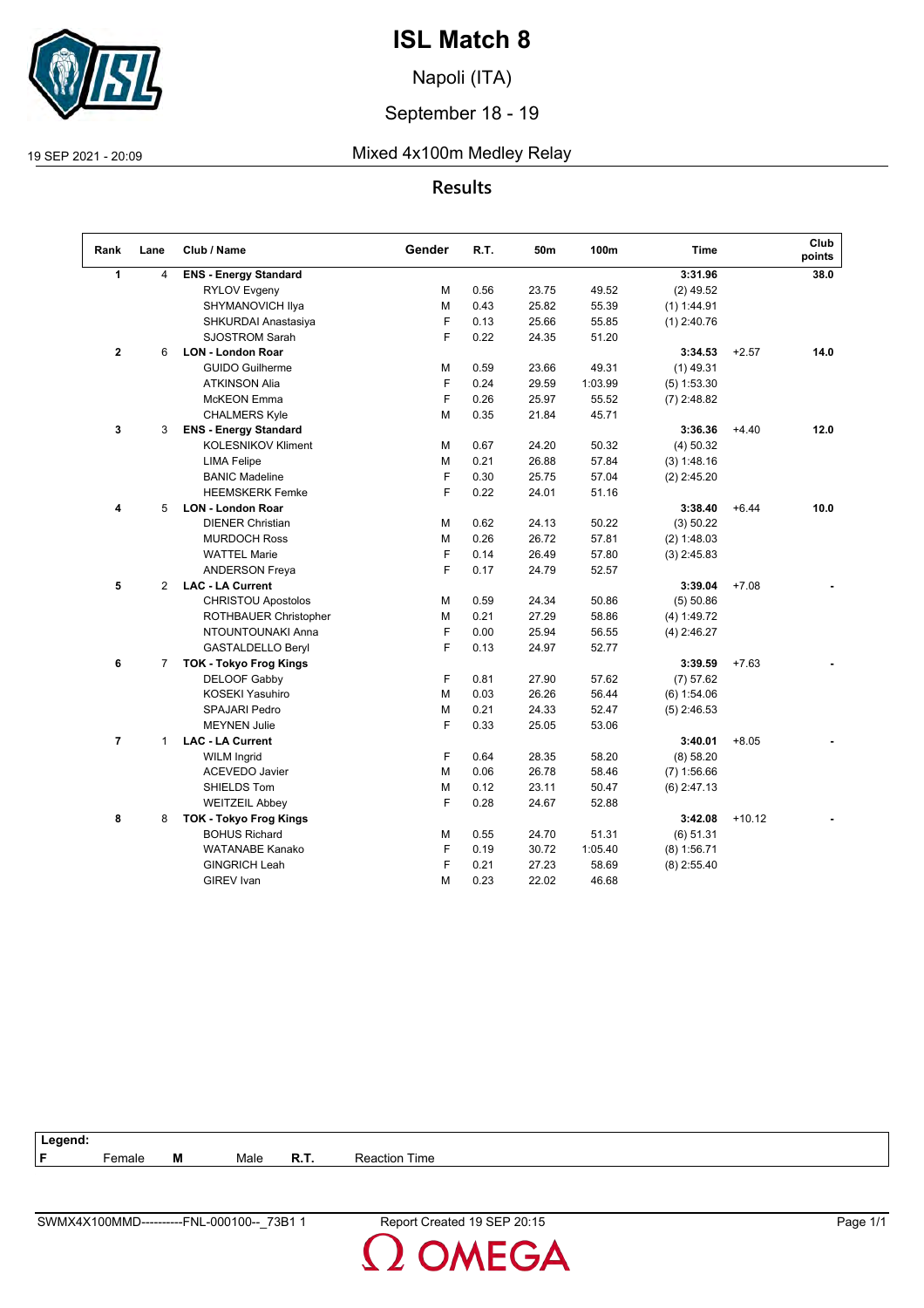

Napoli (ITA)

September 18 - 19

19 SEP 2021 - 20:09 Mixed 4x100m Medley Relay

## **Results**

| Rank           | Lane           | Club / Name                   | Gender | R.T. | 50m   | 100m    | <b>Time</b>   |          | Club<br>points |
|----------------|----------------|-------------------------------|--------|------|-------|---------|---------------|----------|----------------|
| $\mathbf{1}$   | 4              | <b>ENS - Energy Standard</b>  |        |      |       |         | 3:31.96       |          | 38.0           |
|                |                | <b>RYLOV Evgeny</b>           | М      | 0.56 | 23.75 | 49.52   | $(2)$ 49.52   |          |                |
|                |                | SHYMANOVICH Ilya              | М      | 0.43 | 25.82 | 55.39   | $(1)$ 1:44.91 |          |                |
|                |                | SHKURDAI Anastasiya           | F      | 0.13 | 25.66 | 55.85   | $(1)$ 2:40.76 |          |                |
|                |                | <b>SJOSTROM Sarah</b>         | F      | 0.22 | 24.35 | 51.20   |               |          |                |
| $\mathbf{2}$   | 6              | <b>LON - London Roar</b>      |        |      |       |         | 3:34.53       | $+2.57$  | 14.0           |
|                |                | <b>GUIDO Guilherme</b>        | M      | 0.59 | 23.66 | 49.31   | $(1)$ 49.31   |          |                |
|                |                | <b>ATKINSON Alia</b>          | F      | 0.24 | 29.59 | 1:03.99 | $(5)$ 1:53.30 |          |                |
|                |                | <b>McKEON</b> Emma            | F      | 0.26 | 25.97 | 55.52   | $(7)$ 2:48.82 |          |                |
|                |                | <b>CHALMERS Kyle</b>          | М      | 0.35 | 21.84 | 45.71   |               |          |                |
| 3              | 3              | <b>ENS - Energy Standard</b>  |        |      |       |         | 3:36.36       | $+4.40$  | 12.0           |
|                |                | <b>KOLESNIKOV Kliment</b>     | м      | 0.67 | 24.20 | 50.32   | $(4)$ 50.32   |          |                |
|                |                | <b>LIMA Felipe</b>            | м      | 0.21 | 26.88 | 57.84   | (3) 1:48.16   |          |                |
|                |                | <b>BANIC Madeline</b>         | F      | 0.30 | 25.75 | 57.04   | $(2)$ 2:45.20 |          |                |
|                |                | <b>HEEMSKERK Femke</b>        | F      | 0.22 | 24.01 | 51.16   |               |          |                |
| 4              | 5              | <b>LON - London Roar</b>      |        |      |       |         | 3:38.40       | $+6.44$  | 10.0           |
|                |                | <b>DIENER Christian</b>       | M      | 0.62 | 24.13 | 50.22   | (3) 50.22     |          |                |
|                |                | <b>MURDOCH Ross</b>           | M      | 0.26 | 26.72 | 57.81   | $(2)$ 1:48.03 |          |                |
|                |                | <b>WATTEL Marie</b>           | F      | 0.14 | 26.49 | 57.80   | $(3)$ 2:45.83 |          |                |
|                |                | <b>ANDERSON Freya</b>         | F      | 0.17 | 24.79 | 52.57   |               |          |                |
| 5              | $\overline{2}$ | <b>LAC - LA Current</b>       |        |      |       |         | 3:39.04       | $+7.08$  |                |
|                |                | <b>CHRISTOU Apostolos</b>     | М      | 0.59 | 24.34 | 50.86   | (5) 50.86     |          |                |
|                |                | ROTHBAUER Christopher         | М      | 0.21 | 27.29 | 58.86   | (4) 1:49.72   |          |                |
|                |                | NTOUNTOUNAKI Anna             | F      | 0.00 | 25.94 | 56.55   | $(4)$ 2:46.27 |          |                |
|                |                | <b>GASTALDELLO Beryl</b>      | F      | 0.13 | 24.97 | 52.77   |               |          |                |
| 6              | $\overline{7}$ | <b>TOK - Tokyo Frog Kings</b> |        |      |       |         | 3:39.59       | $+7.63$  |                |
|                |                | <b>DELOOF Gabby</b>           | F      | 0.81 | 27.90 | 57.62   | (7) 57.62     |          |                |
|                |                | <b>KOSEKI Yasuhiro</b>        | M      | 0.03 | 26.26 | 56.44   | (6) 1:54.06   |          |                |
|                |                | <b>SPAJARI Pedro</b>          | м      | 0.21 | 24.33 | 52.47   | $(5)$ 2:46.53 |          |                |
|                |                | <b>MEYNEN Julie</b>           | F      | 0.33 | 25.05 | 53.06   |               |          |                |
| $\overline{7}$ | $\mathbf{1}$   | <b>LAC - LA Current</b>       |        |      |       |         | 3:40.01       | $+8.05$  |                |
|                |                | <b>WILM Ingrid</b>            | F      | 0.64 | 28.35 | 58.20   | (8) 58.20     |          |                |
|                |                | <b>ACEVEDO Javier</b>         | M      | 0.06 | 26.78 | 58.46   | $(7)$ 1:56.66 |          |                |
|                |                | SHIELDS Tom                   | м      | 0.12 | 23.11 | 50.47   | $(6)$ 2:47.13 |          |                |
|                |                | <b>WEITZEIL Abbey</b>         | F      | 0.28 | 24.67 | 52.88   |               |          |                |
| 8              | 8              | <b>TOK - Tokyo Frog Kings</b> |        |      |       |         | 3:42.08       | $+10.12$ |                |
|                |                | <b>BOHUS Richard</b>          | м      | 0.55 | 24.70 | 51.31   | (6) 51.31     |          |                |
|                |                | <b>WATANABE Kanako</b>        | F      | 0.19 | 30.72 | 1:05.40 | $(8)$ 1:56.71 |          |                |
|                |                | <b>GINGRICH Leah</b>          | F      | 0.21 | 27.23 | 58.69   | $(8)$ 2:55.40 |          |                |
|                |                | <b>GIREV</b> Ivan             | M      | 0.23 | 22.02 | 46.68   |               |          |                |

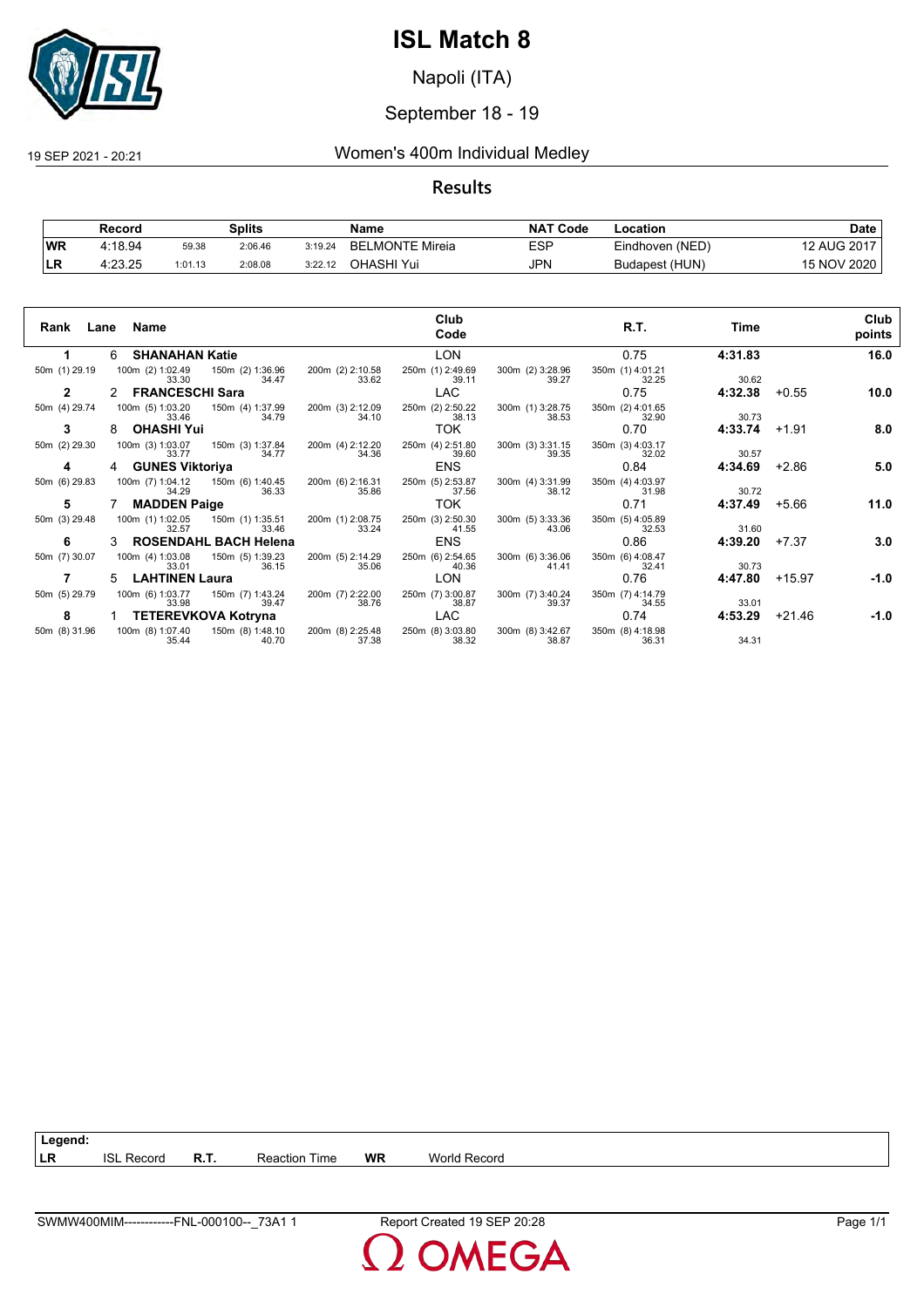

Napoli (ITA)

## September 18 - 19

## 19 SEP 2021 - 20:21 Women's 400m Individual Medley

## **Results**

|           | Record  |         | Splits  |         | Name                        | <b>NAT</b><br>ˈCode | -ocation        | Date        |
|-----------|---------|---------|---------|---------|-----------------------------|---------------------|-----------------|-------------|
| <b>WR</b> | 4:18.94 | 59.38   | 2:06.46 | 3:19.24 | LMONTE Mireia<br><b>BEL</b> | ESP                 | Eindhoven (NED) | 12 AUG 2017 |
| <b>LR</b> | 4:23.25 | 1:01.13 | 2:08.08 | 3:22.12 | OHASHI Yui                  | JPN                 | Budapest (HUN)  | 15 NOV 2020 |

| Rank          | Name<br>Lane                                           | Club<br>Code                                                                        | R.T.                      | Time    | Club<br>points   |
|---------------|--------------------------------------------------------|-------------------------------------------------------------------------------------|---------------------------|---------|------------------|
|               | <b>SHANAHAN Katie</b><br>6.                            | <b>LON</b>                                                                          | 0.75                      | 4:31.83 | 16.0             |
| 50m (1) 29.19 | 100m (2) 1:02.49 150m (2) 1:36.96<br>34.47<br>33.30    | 200m (2) 2:10.58<br>250m (1) 2:49.69<br>300m (2) 3:28.96<br>33.62<br>39.27<br>39.11 | 350m (1) 4:01.21<br>32.25 | 30.62   |                  |
| 2             | <b>FRANCESCHI Sara</b><br>2                            | <b>LAC</b>                                                                          | 0.75                      | 4:32.38 | $+0.55$<br>10.0  |
| 50m (4) 29.74 | 100m (5) 1:03.20<br>150m (4) 1:37.99<br>34.79<br>33.46 | 200m (3) 2:12.09<br>34.10<br>250m (2) 2:50.22<br>300m (1) 3:28.75<br>38.13<br>38.53 | 350m (2) 4:01.65<br>32.90 | 30.73   |                  |
| 3             | <b>OHASHI Yui</b>                                      | TOK.                                                                                | 0.70                      | 4:33.74 | 8.0<br>$+1.91$   |
| 50m (2) 29.30 | 100m (3) 1:03.07<br>150m (3) 1:37.84<br>34.77<br>33.77 | 200m (4) 2:12.20<br>250m (4) 2:51.80<br>300m (3) 3:31.15<br>34.36<br>39.60<br>39.35 | 350m (3) 4:03.17<br>32.02 | 30.57   |                  |
| 4             | <b>GUNES Viktoriya</b><br>4                            | <b>ENS</b>                                                                          | 0.84                      | 4:34.69 | $+2.86$<br>5.0   |
| 50m (6) 29.83 | 100m (7) 1:04.12<br>150m (6) 1:40.45<br>34.29<br>36.33 | 250m (5) 2:53.87<br>300m (4) 3:31.99<br>200m (6) 2:16.31<br>35.86<br>37.56<br>38.12 | 350m (4) 4:03.97<br>31.98 | 30.72   |                  |
| 5             | <b>MADDEN Paige</b>                                    | TOK.                                                                                | 0.71                      | 4:37.49 | 11.0<br>$+5.66$  |
| 50m (3) 29.48 | 100m (1) 1:02.05<br>150m (1) 1:35.51<br>33.46<br>32.57 | 250m (3) 2:50.30<br>200m (1) 2:08.75<br>300m (5) 3:33.36<br>33.24<br>41.55<br>43.06 | 350m (5) 4:05.89<br>32.53 | 31.60   |                  |
| 6             | <b>ROSENDAHL BACH Helena</b>                           | <b>ENS</b>                                                                          | 0.86                      | 4:39.20 | 3.0<br>$+7.37$   |
| 50m (7) 30.07 | 100m (4) 1:03.08<br>150m (5) 1:39.23<br>33.01<br>36.15 | 200m (5) 2:14.29<br>250m (6) 2:54.65<br>300m (6) 3:36.06<br>35.06<br>40.36<br>41.41 | 350m (6) 4:08.47<br>32.41 | 30.73   |                  |
|               | <b>LAHTINEN Laura</b><br>5.                            | <b>LON</b>                                                                          | 0.76                      | 4:47.80 | $+15.97$<br>-1.0 |
| 50m (5) 29.79 | 100m (6) 1:03.77<br>150m (7) 1:43.24<br>39.47<br>33.98 | 200m (7) 2:22.00<br>250m (7) 3:00.87<br>300m (7) 3:40.24<br>38.76<br>38.87<br>39.37 | 350m (7) 4:14.79<br>34.55 | 33.01   |                  |
| 8             | <b>TETEREVKOVA Kotryna</b>                             | LAC                                                                                 | 0.74                      | 4:53.29 | $+21.46$<br>-1.0 |
| 50m (8) 31.96 | 150m (8) 1:48.10<br>100m (8) 1:07.40<br>35.44<br>40.70 | 200m (8) 2:25.48<br>250m (8) 3:03.80<br>300m (8) 3:42.67<br>37.38<br>38.32<br>38.87 | 350m (8) 4:18.98<br>36.31 | 34.31   |                  |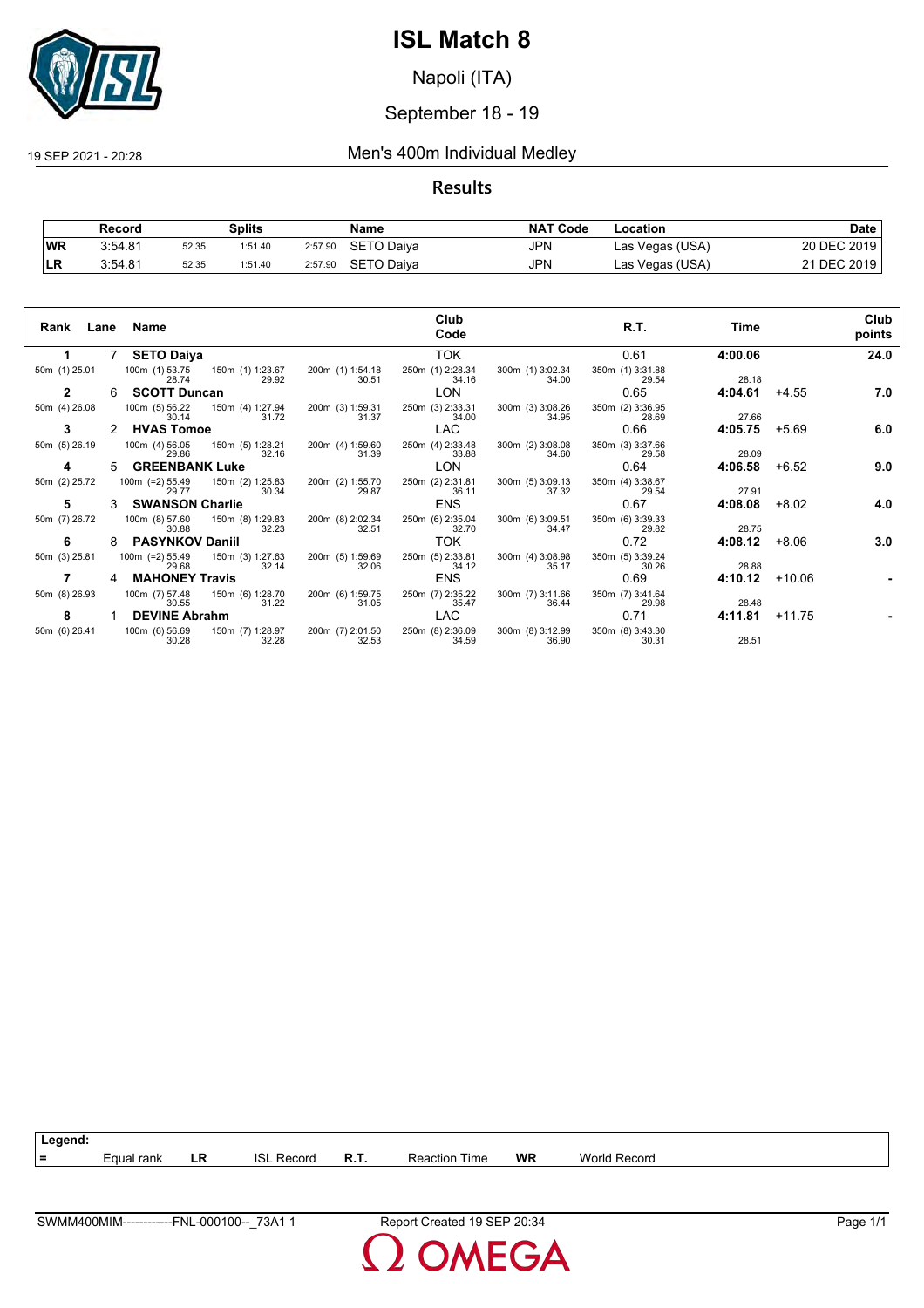

Napoli (ITA)

## September 18 - 19

19 SEP 2021 - 20:28 Men's 400m Individual Medley

## **Results**

|           | Record  |       | Splits  |         | Name               | <b>NAT Code</b> | Location        | Date        |
|-----------|---------|-------|---------|---------|--------------------|-----------------|-----------------|-------------|
| <b>WR</b> | 3:54.81 | 52.35 | 1:51.40 |         | 2:57.90 SETO Daiya | JPN             | Las Vegas (USA) | 20 DEC 2019 |
|           | 3:54.81 | 52.35 | 1:51.40 | 2:57.90 | SETO Daiva         | JPN             | Las Vegas (USA) | 21 DEC 2019 |

| Rank          |                      | Lane Name                  |                                           |                           | Club<br>Code              |                           | R.T.                      | Time    |          | Club<br>points |
|---------------|----------------------|----------------------------|-------------------------------------------|---------------------------|---------------------------|---------------------------|---------------------------|---------|----------|----------------|
| 1.            | 7                    | <b>SETO Daiya</b>          |                                           |                           | <b>TOK</b>                |                           | 0.61                      | 4:00.06 |          | 24.0           |
| 50m (1) 25.01 |                      | 28.74                      | 100m (1) 53.75 150m (1) 1:23.67<br>29.92  | 200m (1) 1:54.18<br>30.51 | 250m (1) 2:28.34<br>34.16 | 300m (1) 3:02.34<br>34.00 | 350m (1) 3:31.88<br>29.54 | 28.18   |          |                |
| $\mathbf{2}$  | 6                    | <b>SCOTT Duncan</b>        |                                           |                           | <b>LON</b>                |                           | 0.65                      | 4:04.61 | $+4.55$  | 7.0            |
| 50m (4) 26.08 |                      | 30.14                      | 100m (5) 56.22 150m (4) 1:27.94<br>31.72  | 200m (3) 1:59.31<br>31.37 | 250m (3) 2:33.31<br>34.00 | 300m (3) 3:08.26<br>34.95 | 350m (2) 3:36.95<br>28.69 | 27.66   |          |                |
| 3             | $\mathcal{P} \equiv$ | <b>HVAS Tomoe</b>          |                                           |                           | <b>LAC</b>                |                           | 0.66                      | 4:05.75 | $+5.69$  | 6.0            |
| 50m (5) 26.19 |                      | 29.86                      | 100m (4) 56.05  150m (5) 1:28.21<br>32.16 | 200m (4) 1:59.60<br>31.39 | 250m (4) 2:33.48<br>33.88 | 300m (2) 3:08.08<br>34.60 | 350m (3) 3:37.66<br>29.58 | 28.09   |          |                |
| 4             |                      | <b>GREENBANK Luke</b>      |                                           |                           | <b>LON</b>                |                           | 0.64                      | 4:06.58 | $+6.52$  | 9.0            |
| 50m (2) 25.72 |                      | $100m$ (=2) 55.49<br>29.77 | 150m (2) 1:25.83<br>30.34                 | 200m (2) 1:55.70<br>29.87 | 250m (2) 2:31.81<br>36.11 | 300m (5) 3:09.13<br>37.32 | 350m (4) 3:38.67<br>29.54 | 27.91   |          |                |
| 5             |                      | <b>SWANSON Charlie</b>     |                                           |                           | <b>ENS</b>                |                           | 0.67                      | 4:08.08 | $+8.02$  | 4.0            |
| 50m (7) 26.72 |                      | 100m (8) 57.60<br>30.88    | 150m (8) 1:29.83<br>32.23                 | 200m (8) 2:02.34<br>32.51 | 250m (6) 2:35.04<br>32.70 | 300m (6) 3:09.51<br>34.47 | 350m (6) 3:39.33<br>29.82 | 28.75   |          |                |
| 6             | 8                    | <b>PASYNKOV Daniil</b>     |                                           |                           | TOK.                      |                           | 0.72                      | 4:08.12 | $+8.06$  | 3.0            |
| 50m (3) 25.81 |                      | $100m$ (=2) 55.49<br>29.68 | 150m (3) 1:27.63<br>32.14                 | 200m (5) 1:59.69<br>32.06 | 250m (5) 2:33.81<br>34.12 | 300m (4) 3:08.98<br>35.17 | 350m (5) 3:39.24<br>30.26 | 28.88   |          |                |
|               | 4                    | <b>MAHONEY Travis</b>      |                                           |                           | <b>ENS</b>                |                           | 0.69                      | 4:10.12 | +10.06   |                |
| 50m (8) 26.93 |                      | 100m (7) 57.48<br>30.55    | 150m (6) 1:28.70<br>31.22                 | 200m (6) 1:59.75<br>31.05 | 250m (7) 2:35.22<br>35.47 | 300m (7) 3:11.66<br>36.44 | 350m (7) 3:41.64<br>29.98 | 28.48   |          |                |
| 8             |                      | <b>DEVINE Abrahm</b>       |                                           |                           | <b>LAC</b>                |                           | 0.71                      | 4:11.81 | $+11.75$ |                |
| 50m (6) 26.41 |                      | 100m (6) 56.69<br>30.28    | 150m (7) 1:28.97<br>32.28                 | 200m (7) 2:01.50<br>32.53 | 250m (8) 2:36.09<br>34.59 | 300m (8) 3:12.99<br>36.90 | 350m (8) 3:43.30<br>30.31 | 28.51   |          |                |

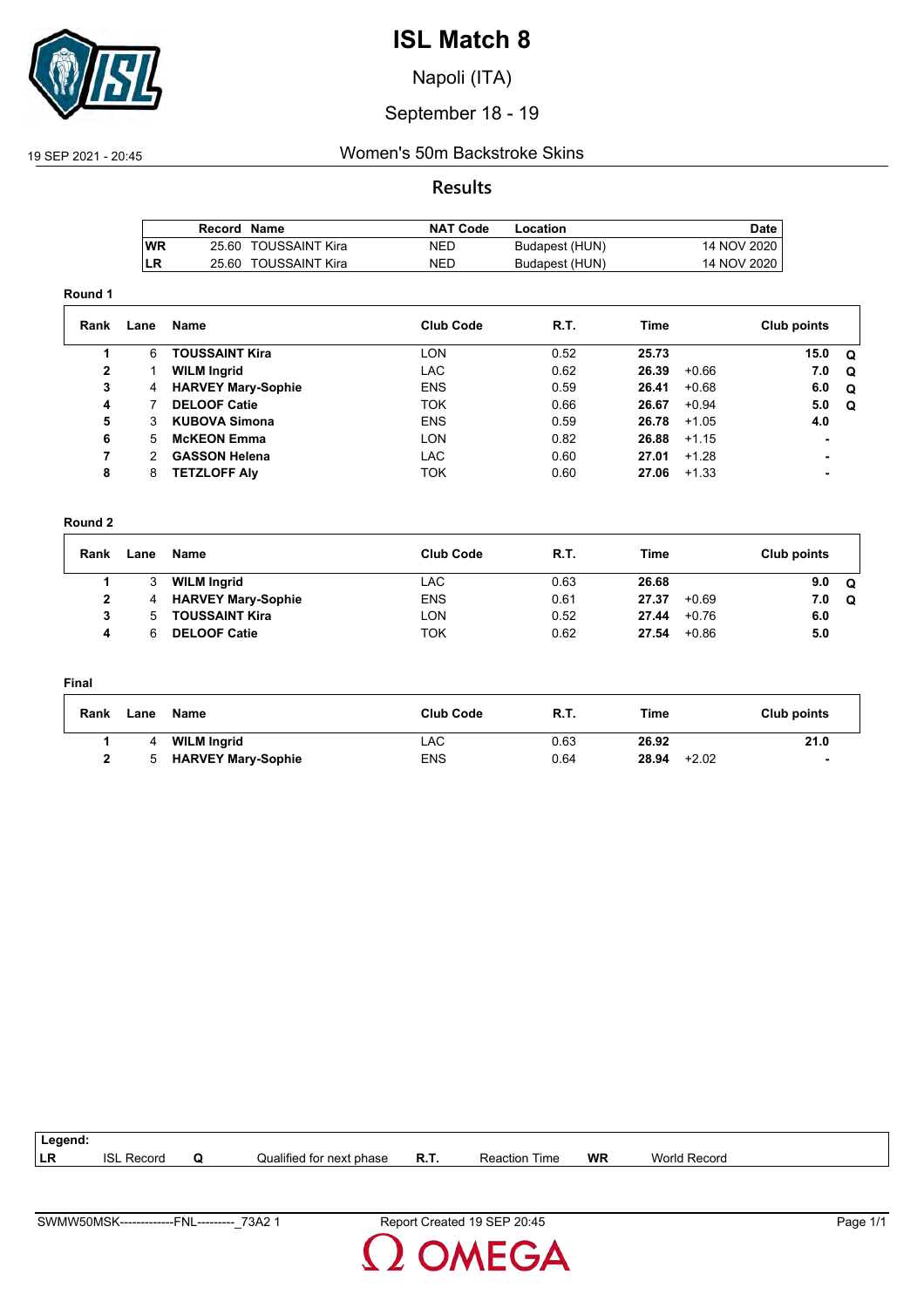

Napoli (ITA)

## September 18 - 19

## 19 SEP 2021 - 20:45 Women's 50m Backstroke Skins

## **Results**

|            | Record Name |                      | <b>NAT Code</b> | Location       | Date,       |
|------------|-------------|----------------------|-----------------|----------------|-------------|
| <b>IWR</b> |             | 25.60 TOUSSAINT Kira | <b>NED</b>      | Budapest (HUN) | 14 NOV 2020 |
| ILR        |             | 25.60 TOUSSAINT Kira | NED             | Budapest (HUN) | 14 NOV 2020 |

#### **Round 1**

| Rank         | Lane | Name                      | <b>Club Code</b> | R.T. | Time  |         | Club points    |          |
|--------------|------|---------------------------|------------------|------|-------|---------|----------------|----------|
|              | 6    | <b>TOUSSAINT Kira</b>     | <b>LON</b>       | 0.52 | 25.73 |         | 15.0           | <b>Q</b> |
| $\mathbf{2}$ |      | <b>WILM Ingrid</b>        | LAC.             | 0.62 | 26.39 | $+0.66$ | 7.0            | $\Omega$ |
| 3            | 4    | <b>HARVEY Mary-Sophie</b> | <b>ENS</b>       | 0.59 | 26.41 | $+0.68$ | 6.0            | Q        |
| 4            |      | <b>DELOOF Catie</b>       | <b>TOK</b>       | 0.66 | 26.67 | $+0.94$ | 5.0            | Q        |
| 5            | 3    | <b>KUBOVA Simona</b>      | <b>ENS</b>       | 0.59 | 26.78 | $+1.05$ | 4.0            |          |
| 6            | 5.   | <b>McKEON Emma</b>        | <b>LON</b>       | 0.82 | 26.88 | $+1.15$ | $\blacksquare$ |          |
| 7            | 2    | <b>GASSON Helena</b>      | LAC.             | 0.60 | 27.01 | $+1.28$ |                |          |
| 8            | 8    | <b>TETZLOFF AIV</b>       | <b>TOK</b>       | 0.60 | 27.06 | $+1.33$ |                |          |

#### **Round 2**

| Rank | Lane | Name                      | <b>Club Code</b> | R.T. | Time  |         | Club points |   |
|------|------|---------------------------|------------------|------|-------|---------|-------------|---|
|      |      | <b>WILM Ingrid</b>        | LAC              | 0.63 | 26.68 |         | 9.0         | Q |
|      | 4    | <b>HARVEY Mary-Sophie</b> | <b>ENS</b>       | 0.61 | 27.37 | $+0.69$ | 7.0         | Q |
|      | 'n.  | <b>TOUSSAINT Kira</b>     | LON              | 0.52 | 27.44 | $+0.76$ | 6.0         |   |
| л    |      | <b>DELOOF Catie</b>       | ток              | 0.62 | 27.54 | $+0.86$ | 5.0         |   |

#### **Final**

| Rank | Lane | Name                      | <b>Club Code</b> | <b>R.T.</b> | Time             | Club points              |
|------|------|---------------------------|------------------|-------------|------------------|--------------------------|
|      |      | <b>WILM Ingrid</b>        | LAC.             | 0.63        | 26.92            | 21.0                     |
|      |      | <b>HARVEY Mary-Sophie</b> | ENS              | 0.64        | 28.94<br>$+2.02$ | $\overline{\phantom{a}}$ |

| Legend: |                        |                          |             |                      |    |                     |  |
|---------|------------------------|--------------------------|-------------|----------------------|----|---------------------|--|
| l LR    | <b>ISL</b><br>. Record | Qualified for next phase | <b>R.T.</b> | <b>Reaction Time</b> | WR | <b>World Record</b> |  |
|         |                        |                          |             |                      |    |                     |  |

**OMEGA**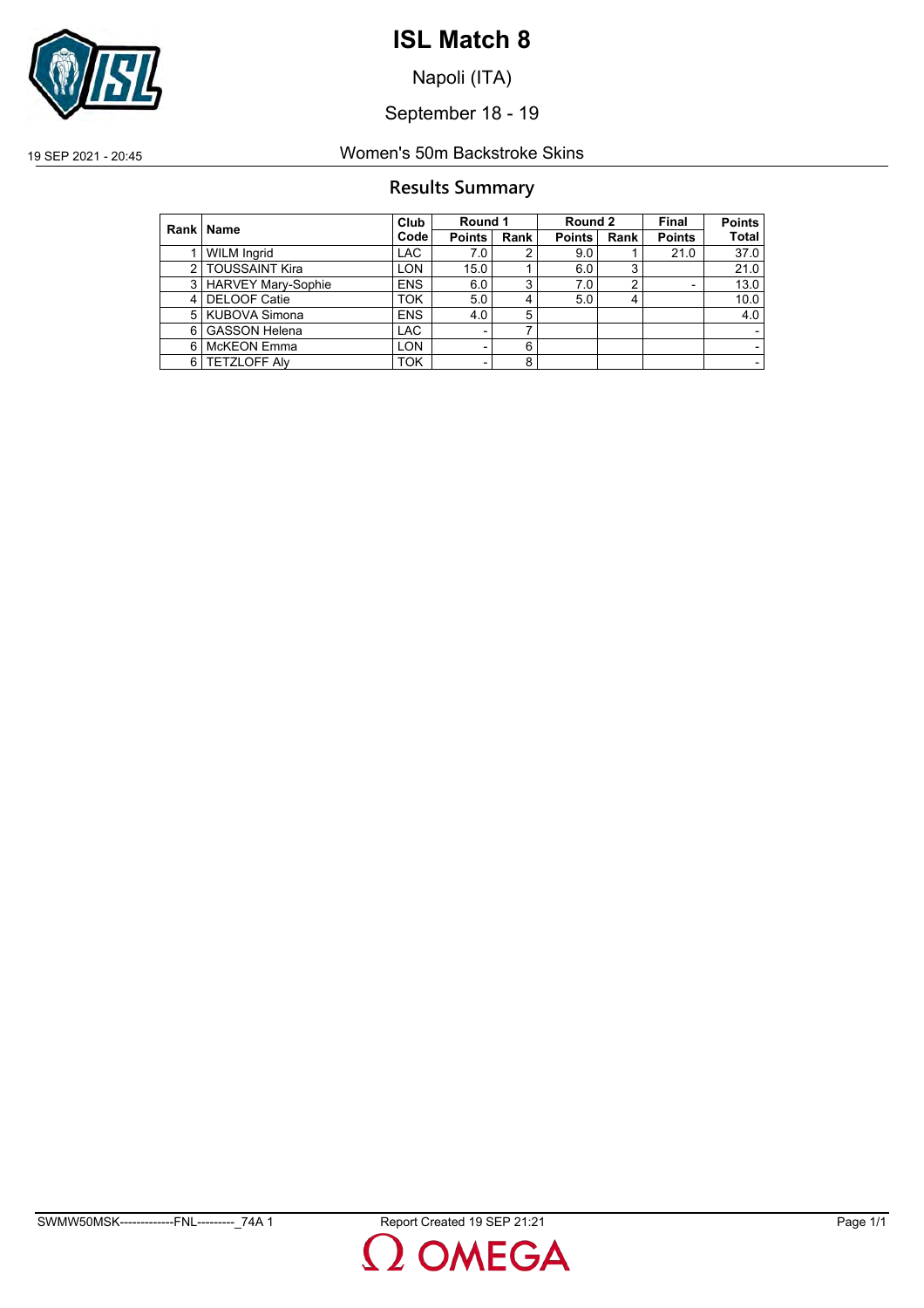

Napoli (ITA)

September 18 - 19

19 SEP 2021 - 20:45 Women's 50m Backstroke Skins

## **Results Summary**

|   | Rank   Name               | Club       | Round 1       |      | Round 2       |      | Final                    | <b>Points</b> |
|---|---------------------------|------------|---------------|------|---------------|------|--------------------------|---------------|
|   |                           | Code       | <b>Points</b> | Rank | <b>Points</b> | Rank | <b>Points</b>            | <b>Total</b>  |
|   | <b>WILM Ingrid</b>        | <b>LAC</b> | 7.0           | 2    | 9.0           |      | 21.0                     | 37.0          |
| 2 | <b>TOUSSAINT Kira</b>     | LON        | 15.0          |      | 6.0           | ◠    |                          | 21.0          |
| 3 | <b>HARVEY Mary-Sophie</b> | <b>ENS</b> | 6.0           | 3    | 7.0           | ົ    | $\overline{\phantom{0}}$ | 13.0          |
| 4 | <b>DELOOF Catie</b>       | <b>TOK</b> | 5.0           | 4    | 5.0           |      |                          | 10.0          |
| 5 | <b>KUBOVA Simona</b>      | <b>ENS</b> | 4.0           | 5    |               |      |                          | 4.0           |
| 6 | <b>GASSON Helena</b>      | <b>LAC</b> |               | 7    |               |      |                          |               |
| 6 | <b>McKEON Emma</b>        | LON        |               | 6    |               |      |                          |               |
| 6 | <b>TETZLOFF Alv</b>       | <b>TOK</b> |               | 8    |               |      |                          |               |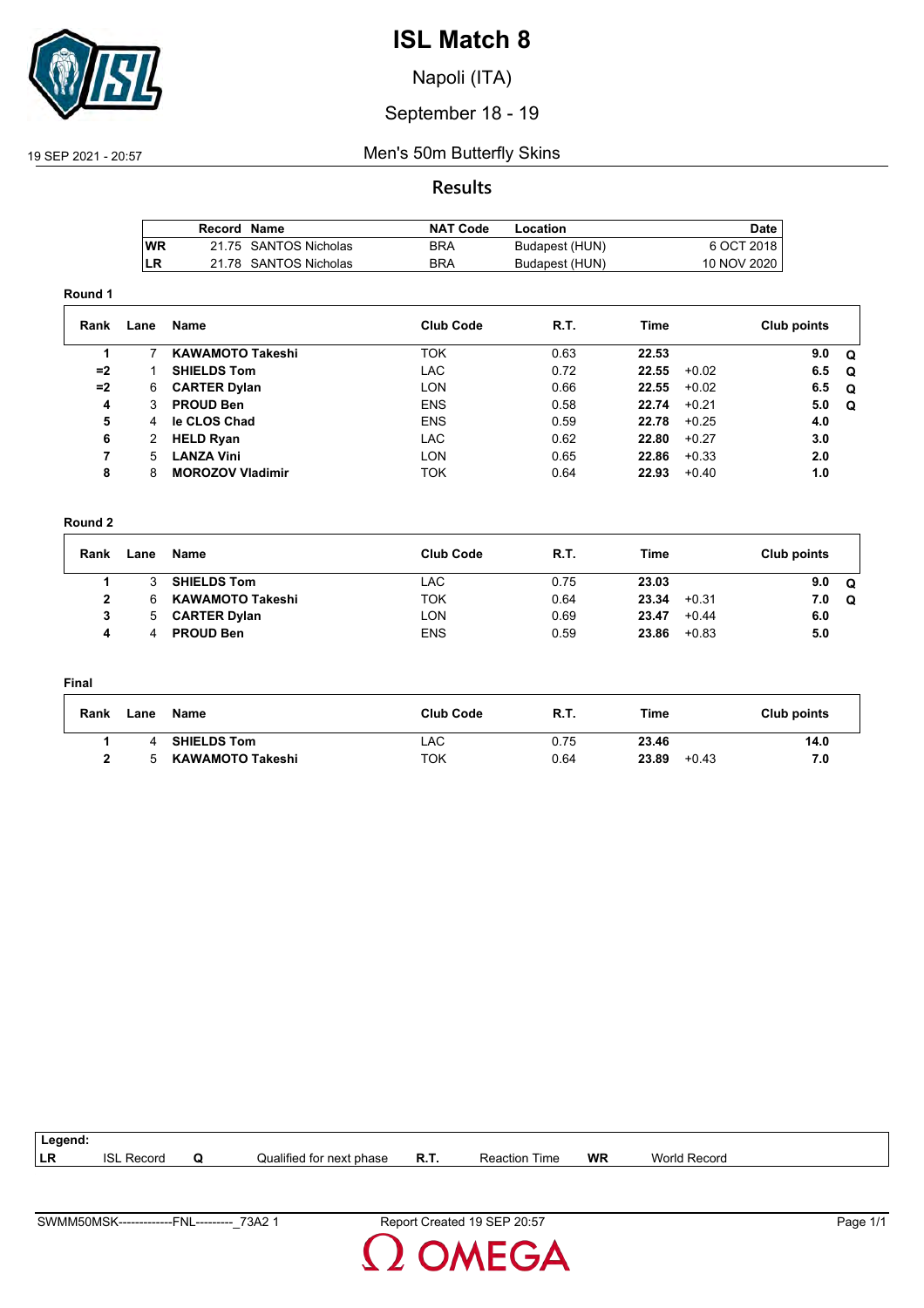

Napoli (ITA)

## September 18 - 19

## 19 SEP 2021 - 20:57 Men's 50m Butterfly Skins

## **Results**

|      | Record Name |                       | <b>NAT Code</b> | Location       | Date        |
|------|-------------|-----------------------|-----------------|----------------|-------------|
| l WR |             | 21.75 SANTOS Nicholas | BRA             | Budapest (HUN) | 6 OCT 2018  |
| ILR  |             | 21.78 SANTOS Nicholas | BRA             | Budapest (HUN) | 10 NOV 2020 |

#### **Round 1**

| Rank | Lane | Name                    | <b>Club Code</b> | R.T. | Time  |         | Club points |          |
|------|------|-------------------------|------------------|------|-------|---------|-------------|----------|
|      |      | <b>KAWAMOTO Takeshi</b> | <b>TOK</b>       | 0.63 | 22.53 |         | 9.0         | <b>Q</b> |
| $=2$ |      | <b>SHIELDS Tom</b>      | LAC.             | 0.72 | 22.55 | $+0.02$ | 6.5         | . വ      |
| $=2$ | 6    | <b>CARTER Dylan</b>     | <b>LON</b>       | 0.66 | 22.55 | $+0.02$ | 6.5         | . വ      |
| 4    | 3    | <b>PROUD Ben</b>        | <b>ENS</b>       | 0.58 | 22.74 | $+0.21$ | 5.0         | Q        |
| 5    | 4    | le CLOS Chad            | <b>ENS</b>       | 0.59 | 22.78 | $+0.25$ | 4.0         |          |
| 6    | 2    | <b>HELD Ryan</b>        | <b>LAC</b>       | 0.62 | 22.80 | $+0.27$ | 3.0         |          |
| 7    | 5.   | <b>LANZA Vini</b>       | <b>LON</b>       | 0.65 | 22.86 | $+0.33$ | 2.0         |          |
| 8    | 8    | <b>MOROZOV Vladimir</b> | <b>TOK</b>       | 0.64 | 22.93 | $+0.40$ | 1.0         |          |

#### **Round 2**

| Rank | Lane | Name                    | Club Code  | <b>R.T.</b> | Time  |         | Club points |          |
|------|------|-------------------------|------------|-------------|-------|---------|-------------|----------|
|      |      | <b>SHIELDS Tom</b>      | LAC        | 0.75        | 23.03 |         | 9.0         | $\Omega$ |
| 2    |      | <b>KAWAMOTO Takeshi</b> | <b>TOK</b> | 0.64        | 23.34 | $+0.31$ | 7.0         | $\Omega$ |
| 3    | -5.  | <b>CARTER Dylan</b>     | LON        | 0.69        | 23.47 | $+0.44$ | 6.0         |          |
| 4    |      | <b>PROUD Ben</b>        | <b>ENS</b> | 0.59        | 23.86 | $+0.83$ | 5.0         |          |

#### **Final**

| Rank | Lane | Name               | <b>Club Code</b> | <b>R.T.</b> | Time             | Club points |
|------|------|--------------------|------------------|-------------|------------------|-------------|
|      |      | <b>SHIELDS Tom</b> | LAC.             | 0.75        | 23.46            | 14.0        |
|      |      | KAWAMOTO Takeshi   | ток              | 0.64        | 23.89<br>$+0.43$ | 7.0         |

| Legend: |                   |   |                          |             |                  |    |              |  |
|---------|-------------------|---|--------------------------|-------------|------------------|----|--------------|--|
| LR      | <b>ISL Record</b> | w | Qualified for next phase | <b>R.T.</b> | Reaction<br>Time | WR | World Record |  |
|         |                   |   |                          |             |                  |    |              |  |

**OMEGA**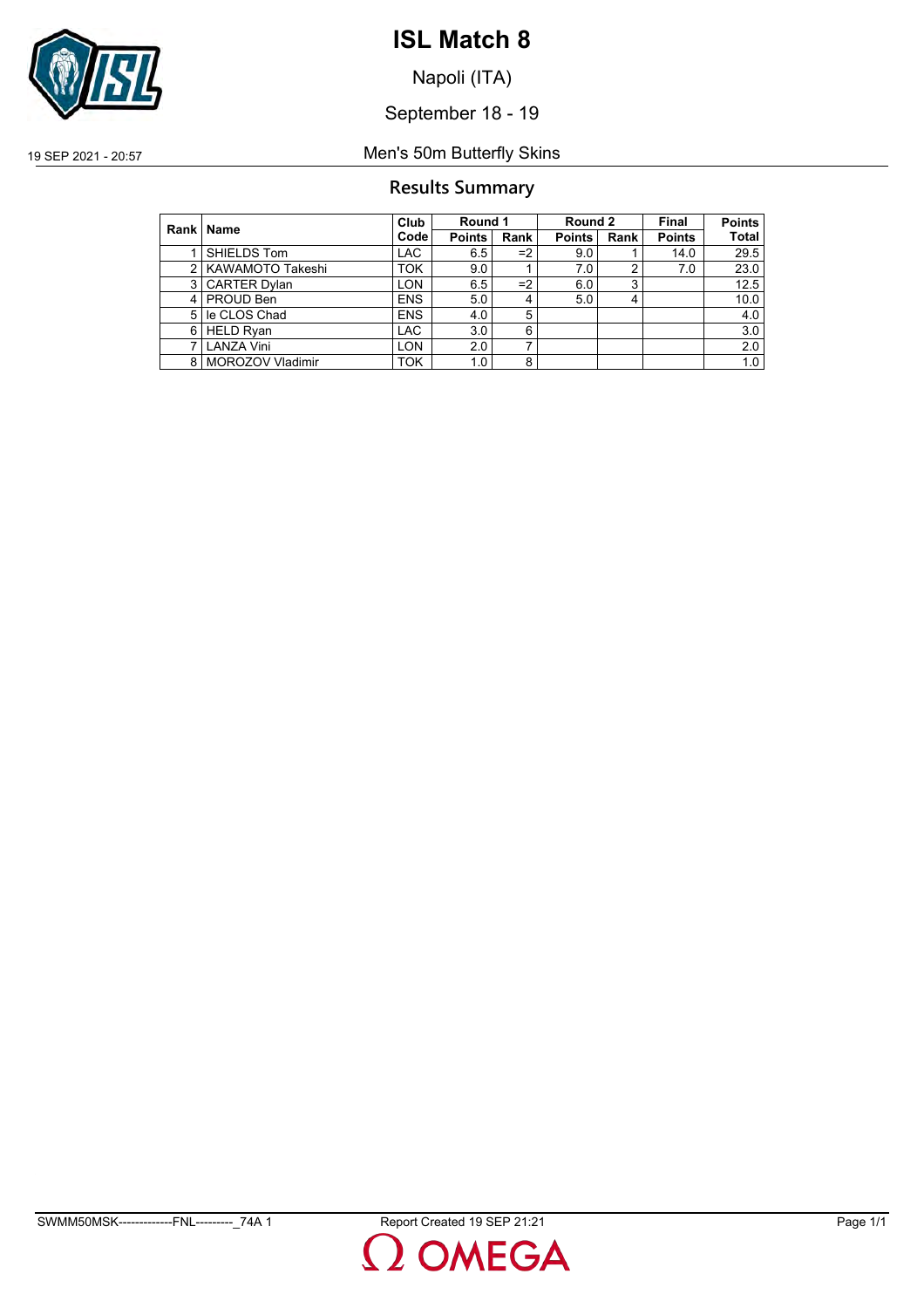

Napoli (ITA)

September 18 - 19

19 SEP 2021 - 20:57 Men's 50m Butterfly Skins

## **Results Summary**

|   | Rank   Name             | Club              |               | Round 1 |               | Round 2        |               | <b>Points</b> |
|---|-------------------------|-------------------|---------------|---------|---------------|----------------|---------------|---------------|
|   |                         | Code <sup>l</sup> | <b>Points</b> | Rank    | <b>Points</b> | Rank           | <b>Points</b> | <b>Total</b>  |
|   | SHIELDS Tom             | <b>LAC</b>        | 6.5           | $=2$    | 9.0           |                | 14.0          | 29.5          |
| 2 | <b>KAWAMOTO Takeshi</b> | <b>TOK</b>        | 9.0           |         | 7.0           | 2              | 7.0           | 23.0          |
| 3 | <b>CARTER Dylan</b>     | LON               | 6.5           | $=2$    | 6.0           | 3              |               | 12.5          |
| 4 | PROUD Ben               | <b>ENS</b>        | 5.0           | 4       | 5.0           | $\overline{4}$ |               | 10.0          |
| 5 | le CLOS Chad            | <b>ENS</b>        | 4.0           | 5       |               |                |               | 4.0           |
| 6 | <b>HELD Ryan</b>        | <b>LAC</b>        | 3.0           | 6       |               |                |               | 3.0           |
|   | <b>LANZA Vini</b>       | <b>LON</b>        | 2.0           | ⇁       |               |                |               | 2.0           |
|   | 8   MOROZOV Vladimir    | <b>TOK</b>        | 1.0           | 8       |               |                |               | 1.0           |

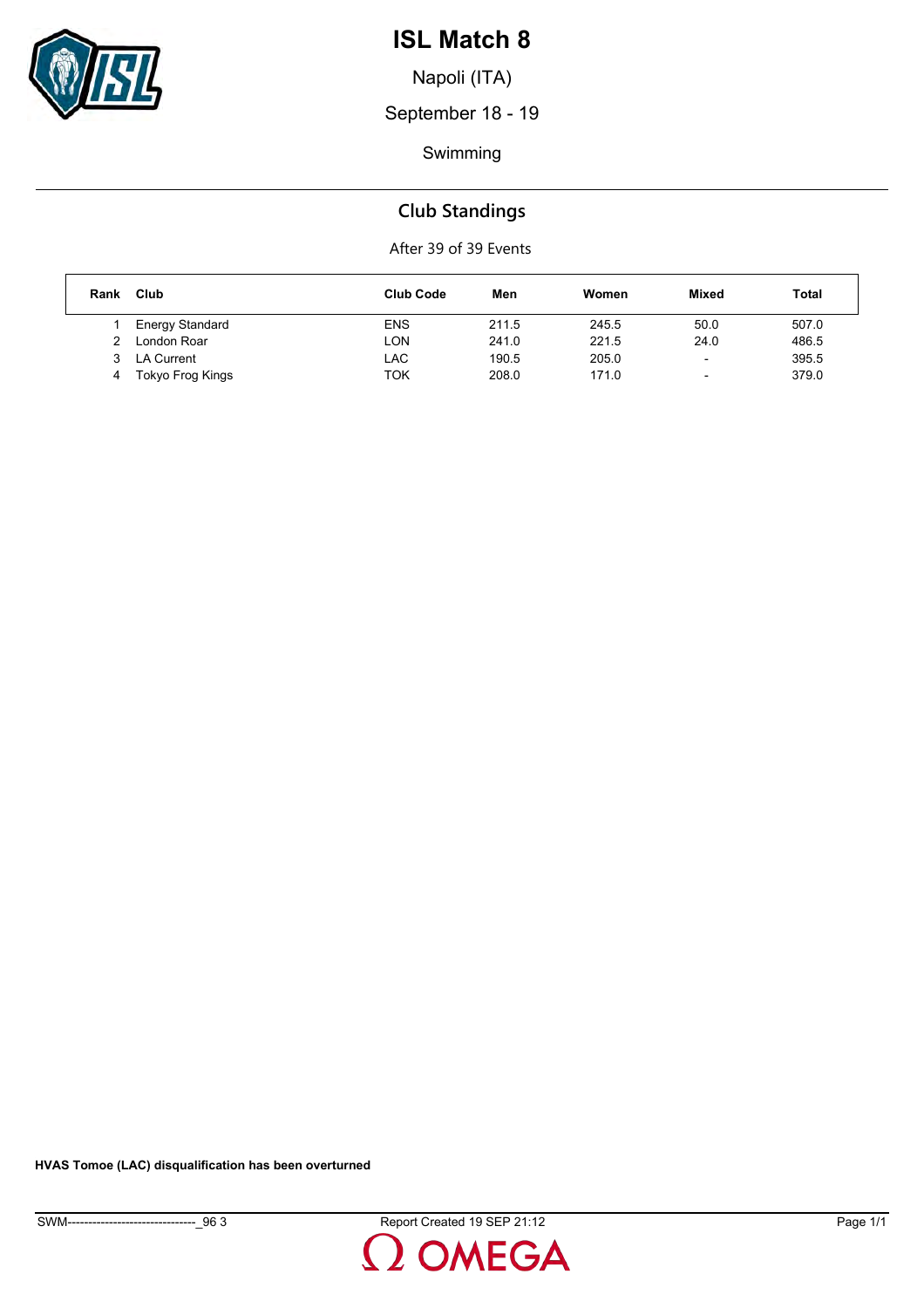

Napoli (ITA)

September 18 - 19

Swimming

## **Club Standings**

After 39 of 39 Events

| Rank | Club             | <b>Club Code</b> | Men   | Women | Mixed                    | Total |
|------|------------------|------------------|-------|-------|--------------------------|-------|
|      | Energy Standard  | <b>ENS</b>       | 211.5 | 245.5 | 50.0                     | 507.0 |
|      | London Roar      | LON              | 241.0 | 221.5 | 24.0                     | 486.5 |
|      | LA Current       | LAC              | 190.5 | 205.0 | $\overline{\phantom{0}}$ | 395.5 |
| 4    | Tokyo Frog Kings | TOK              | 208.0 | 171.0 | -                        | 379.0 |

**HVAS Tomoe (LAC) disqualification has been overturned**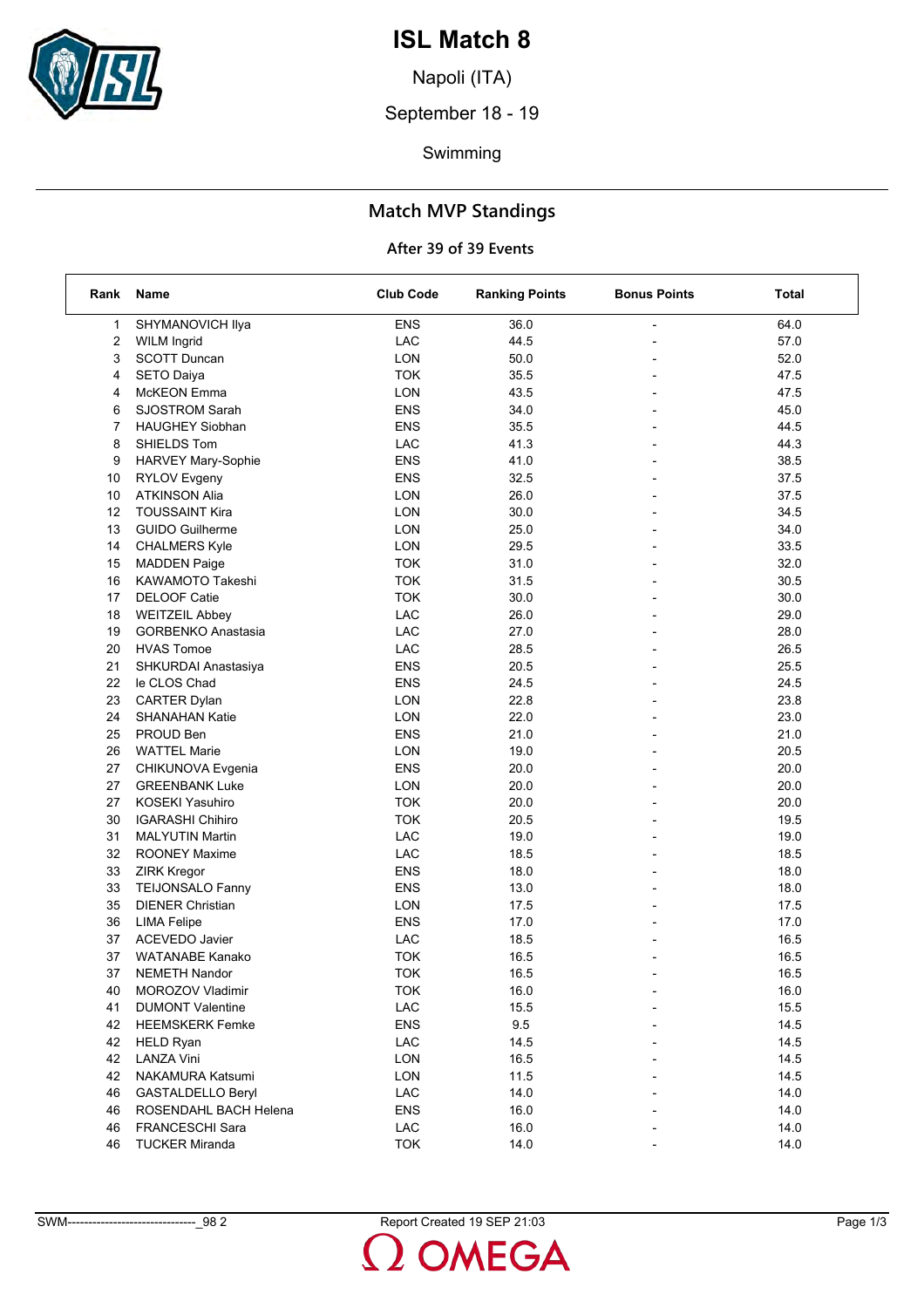

Napoli (ITA)

September 18 - 19

Swimming

## **Match MVP Standings**

## **After 39 of 39 Events**

| Rank           | Name                      | <b>Club Code</b> | <b>Ranking Points</b> | <b>Bonus Points</b>      | Total |
|----------------|---------------------------|------------------|-----------------------|--------------------------|-------|
| 1              | SHYMANOVICH Ilya          | <b>ENS</b>       | 36.0                  | ÷,                       | 64.0  |
| 2              | <b>WILM Ingrid</b>        | LAC              | 44.5                  |                          | 57.0  |
| 3              | <b>SCOTT Duncan</b>       | LON              | 50.0                  |                          | 52.0  |
| 4              | <b>SETO Daiya</b>         | <b>TOK</b>       | 35.5                  | $\overline{\phantom{0}}$ | 47.5  |
| 4              | <b>McKEON</b> Emma        | <b>LON</b>       | 43.5                  | $\overline{a}$           | 47.5  |
| 6              | <b>SJOSTROM Sarah</b>     | <b>ENS</b>       | 34.0                  |                          | 45.0  |
| $\overline{7}$ | <b>HAUGHEY Siobhan</b>    | <b>ENS</b>       | 35.5                  | $\overline{a}$           | 44.5  |
| 8              | SHIELDS Tom               | LAC              | 41.3                  |                          | 44.3  |
| 9              | HARVEY Mary-Sophie        | <b>ENS</b>       | 41.0                  |                          | 38.5  |
| 10             | <b>RYLOV Evgeny</b>       | <b>ENS</b>       | 32.5                  | $\overline{\phantom{a}}$ | 37.5  |
| 10             | <b>ATKINSON Alia</b>      | LON              | 26.0                  | $\overline{a}$           | 37.5  |
| 12             | <b>TOUSSAINT Kira</b>     | LON              | 30.0                  |                          | 34.5  |
| 13             | <b>GUIDO Guilherme</b>    | LON              | 25.0                  |                          | 34.0  |
| 14             | <b>CHALMERS Kyle</b>      | LON              | 29.5                  |                          | 33.5  |
| 15             | <b>MADDEN Paige</b>       | <b>TOK</b>       | 31.0                  |                          | 32.0  |
| 16             | KAWAMOTO Takeshi          | <b>TOK</b>       | 31.5                  | $\overline{\phantom{a}}$ | 30.5  |
| 17             | DELOOF Catie              | <b>TOK</b>       | 30.0                  | $\overline{a}$           | 30.0  |
| 18             | <b>WEITZEIL Abbey</b>     | LAC              | 26.0                  |                          | 29.0  |
| 19             | <b>GORBENKO Anastasia</b> | LAC              | 27.0                  | $\overline{a}$           | 28.0  |
| 20             | <b>HVAS Tomoe</b>         | LAC              | 28.5                  |                          | 26.5  |
| 21             | SHKURDAI Anastasiya       | <b>ENS</b>       | 20.5                  |                          | 25.5  |
| 22             | le CLOS Chad              | <b>ENS</b>       | 24.5                  | $\overline{a}$           | 24.5  |
| 23             | <b>CARTER Dylan</b>       | LON              | 22.8                  | ÷                        | 23.8  |
| 24             | <b>SHANAHAN Katie</b>     | <b>LON</b>       | 22.0                  |                          | 23.0  |
| 25             | PROUD Ben                 | <b>ENS</b>       | 21.0                  | $\overline{a}$           | 21.0  |
| 26             | <b>WATTEL Marie</b>       | LON              | 19.0                  |                          | 20.5  |
| 27             | CHIKUNOVA Evgenia         | <b>ENS</b>       | 20.0                  |                          | 20.0  |
| 27             | <b>GREENBANK Luke</b>     | LON              | 20.0                  | $\overline{\phantom{a}}$ | 20.0  |
| 27             | KOSEKI Yasuhiro           | <b>TOK</b>       | 20.0                  |                          | 20.0  |
| 30             | <b>IGARASHI Chihiro</b>   | <b>TOK</b>       | 20.5                  |                          | 19.5  |
| 31             | <b>MALYUTIN Martin</b>    | LAC              | 19.0                  |                          | 19.0  |
| 32             | <b>ROONEY Maxime</b>      | LAC              | 18.5                  | $\overline{a}$           | 18.5  |
| 33             | ZIRK Kregor               | <b>ENS</b>       | 18.0                  |                          | 18.0  |
| 33             | <b>TEIJONSALO Fanny</b>   | <b>ENS</b>       | 13.0                  | ÷                        | 18.0  |
| 35             | <b>DIENER Christian</b>   | LON              | 17.5                  | $\overline{a}$           | 17.5  |
| 36             | <b>LIMA Felipe</b>        | <b>ENS</b>       | 17.0                  |                          | 17.0  |
| 37             | <b>ACEVEDO Javier</b>     | LAC              | 18.5                  |                          | 16.5  |
| 37             | <b>WATANABE Kanako</b>    | <b>TOK</b>       | 16.5                  |                          | 16.5  |
| 37             | <b>NEMETH Nandor</b>      | <b>TOK</b>       | 16.5                  |                          | 16.5  |
| 40             | MOROZOV Vladimir          | <b>TOK</b>       | 16.0                  |                          | 16.0  |
| 41             | <b>DUMONT Valentine</b>   | LAC              | 15.5                  |                          | 15.5  |
| 42             | <b>HEEMSKERK Femke</b>    | <b>ENS</b>       | 9.5                   |                          | 14.5  |
| 42             | <b>HELD Ryan</b>          | LAC              | 14.5                  |                          | 14.5  |
| 42             | <b>LANZA Vini</b>         | LON              | 16.5                  |                          | 14.5  |
| 42             | NAKAMURA Katsumi          | <b>LON</b>       | 11.5                  |                          | 14.5  |
| 46             | <b>GASTALDELLO Beryl</b>  | LAC              | 14.0                  |                          | 14.0  |
| 46             | ROSENDAHL BACH Helena     | <b>ENS</b>       | 16.0                  |                          | 14.0  |
| 46             | <b>FRANCESCHI Sara</b>    | LAC              | 16.0                  |                          | 14.0  |
| 46             | <b>TUCKER Miranda</b>     | <b>TOK</b>       | 14.0                  |                          | 14.0  |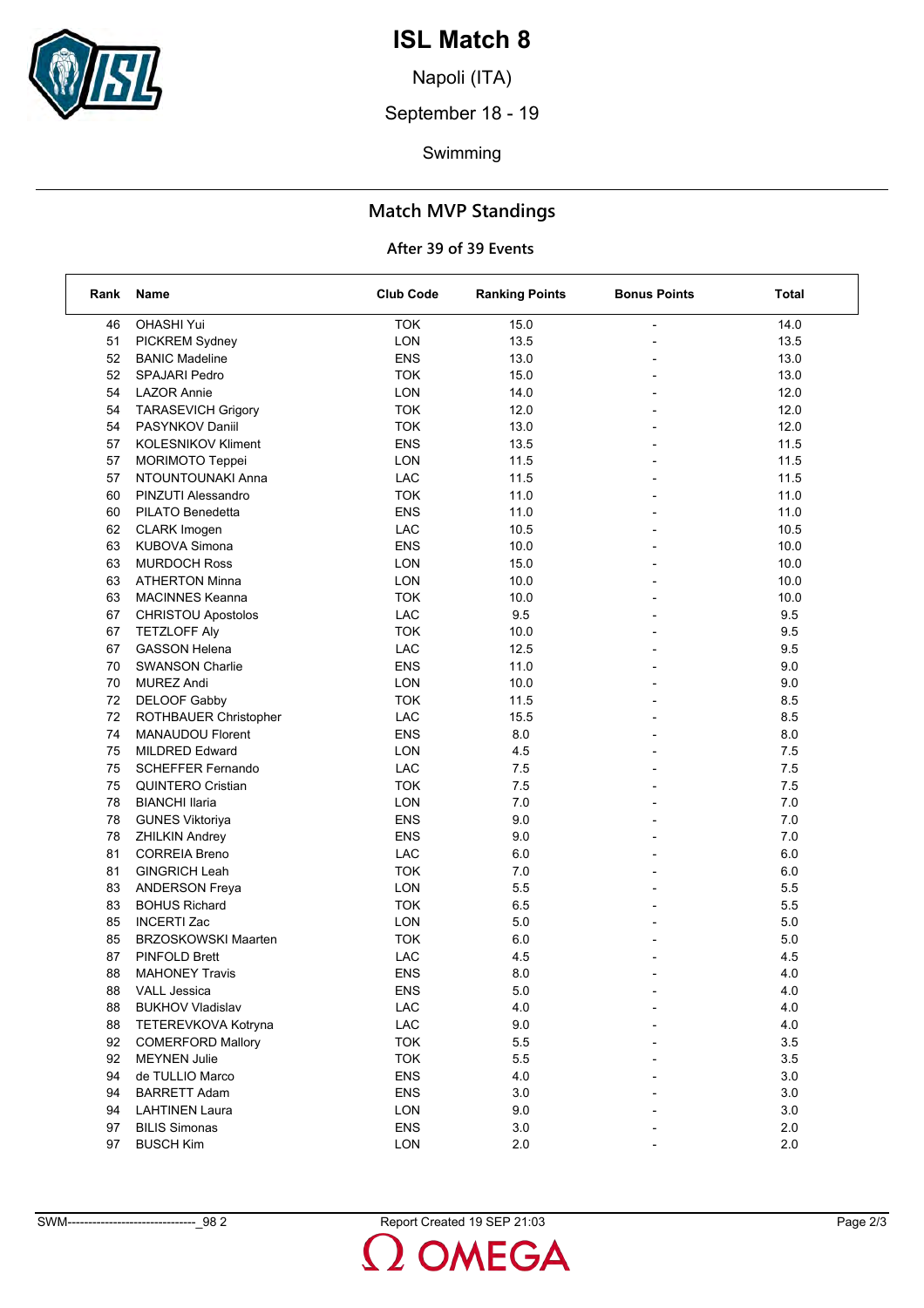

Napoli (ITA)

September 18 - 19

Swimming

## **Match MVP Standings**

## **After 39 of 39 Events**

| Rank | Name                       | <b>Club Code</b> | <b>Ranking Points</b> | <b>Bonus Points</b>      | <b>Total</b> |
|------|----------------------------|------------------|-----------------------|--------------------------|--------------|
| 46   | OHASHI Yui                 | <b>TOK</b>       | 15.0                  |                          | 14.0         |
| 51   | PICKREM Sydney             | LON              | 13.5                  |                          | 13.5         |
| 52   | <b>BANIC Madeline</b>      | <b>ENS</b>       | 13.0                  |                          | 13.0         |
| 52   | <b>SPAJARI Pedro</b>       | <b>TOK</b>       | 15.0                  | $\overline{a}$           | 13.0         |
| 54   | <b>LAZOR Annie</b>         | <b>LON</b>       | 14.0                  |                          | 12.0         |
| 54   | <b>TARASEVICH Grigory</b>  | <b>TOK</b>       | 12.0                  |                          | 12.0         |
| 54   | PASYNKOV Daniil            | <b>TOK</b>       | 13.0                  |                          | 12.0         |
| 57   | <b>KOLESNIKOV Kliment</b>  | <b>ENS</b>       | 13.5                  |                          | 11.5         |
| 57   | <b>MORIMOTO Teppei</b>     | <b>LON</b>       | 11.5                  |                          | 11.5         |
| 57   | NTOUNTOUNAKI Anna          | LAC              | 11.5                  | $\overline{a}$           | 11.5         |
| 60   | PINZUTI Alessandro         | <b>TOK</b>       | 11.0                  |                          | 11.0         |
| 60   | PILATO Benedetta           | <b>ENS</b>       | 11.0                  |                          | 11.0         |
| 62   | <b>CLARK</b> Imogen        | LAC              | 10.5                  |                          | 10.5         |
| 63   | <b>KUBOVA Simona</b>       | <b>ENS</b>       | 10.0                  |                          | 10.0         |
| 63   | <b>MURDOCH Ross</b>        | <b>LON</b>       | 15.0                  |                          | 10.0         |
| 63   | <b>ATHERTON Minna</b>      | <b>LON</b>       | 10.0                  | $\overline{\phantom{0}}$ | 10.0         |
| 63   | <b>MACINNES Keanna</b>     | <b>TOK</b>       | 10.0                  |                          | 10.0         |
| 67   | <b>CHRISTOU Apostolos</b>  | LAC              | 9.5                   |                          | 9.5          |
| 67   | <b>TETZLOFF Aly</b>        | <b>TOK</b>       | 10.0                  | $\overline{a}$           | 9.5          |
| 67   | <b>GASSON Helena</b>       | LAC              | 12.5                  |                          | 9.5          |
| 70   | <b>SWANSON Charlie</b>     | <b>ENS</b>       | 11.0                  |                          | 9.0          |
| 70   | <b>MUREZ Andi</b>          | <b>LON</b>       | 10.0                  | $\overline{\phantom{0}}$ | 9.0          |
| 72   | DELOOF Gabby               | <b>TOK</b>       | 11.5                  |                          | 8.5          |
| 72   | ROTHBAUER Christopher      | LAC              | 15.5                  |                          | 8.5          |
| 74   | <b>MANAUDOU Florent</b>    | <b>ENS</b>       | 8.0                   |                          | 8.0          |
| 75   | <b>MILDRED Edward</b>      | LON              | 4.5                   |                          | 7.5          |
| 75   | <b>SCHEFFER Fernando</b>   | LAC              | 7.5                   |                          | 7.5          |
| 75   | <b>QUINTERO Cristian</b>   | <b>TOK</b>       | 7.5                   | $\overline{a}$           | 7.5          |
| 78   | <b>BIANCHI Ilaria</b>      | LON              | 7.0                   |                          | 7.0          |
| 78   | <b>GUNES Viktoriya</b>     | <b>ENS</b>       | 9.0                   |                          | 7.0          |
| 78   | <b>ZHILKIN Andrey</b>      | <b>ENS</b>       | 9.0                   | $\overline{a}$           | 7.0          |
| 81   | <b>CORREIA Breno</b>       | LAC              | 6.0                   |                          | 6.0          |
| 81   | <b>GINGRICH Leah</b>       | <b>TOK</b>       | 7.0                   |                          | 6.0          |
| 83   | <b>ANDERSON Freya</b>      | LON              | 5.5                   | $\overline{\phantom{0}}$ | 5.5          |
| 83   | <b>BOHUS Richard</b>       | <b>TOK</b>       | 6.5                   |                          | 5.5          |
| 85   | <b>INCERTI Zac</b>         | <b>LON</b>       | 5.0                   |                          | 5.0          |
| 85   | <b>BRZOSKOWSKI Maarten</b> | <b>TOK</b>       | 6.0                   |                          | 5.0          |
| 87   | <b>PINFOLD Brett</b>       | LAC              | 4.5                   |                          | 4.5          |
| 88   | <b>MAHONEY Travis</b>      | ENS              | 8.0                   |                          | 4.0          |
| 88   | <b>VALL Jessica</b>        | <b>ENS</b>       | 5.0                   |                          | 4.0          |
| 88   | <b>BUKHOV Vladislav</b>    | LAC              | 4.0                   |                          | 4.0          |
| 88   | TETEREVKOVA Kotryna        | ${\sf LAC}$      | 9.0                   |                          | 4.0          |
| 92   | <b>COMERFORD Mallory</b>   | <b>TOK</b>       | 5.5                   |                          | 3.5          |
| 92   | <b>MEYNEN Julie</b>        | <b>TOK</b>       | 5.5                   |                          | $3.5\,$      |
| 94   | de TULLIO Marco            | <b>ENS</b>       | $4.0$                 |                          | $3.0\,$      |
| 94   | <b>BARRETT Adam</b>        | <b>ENS</b>       | 3.0                   |                          | 3.0          |
| 94   | <b>LAHTINEN Laura</b>      | <b>LON</b>       | 9.0                   |                          | 3.0          |
| 97   | <b>BILIS Simonas</b>       | <b>ENS</b>       | 3.0                   |                          | 2.0          |
| 97   | <b>BUSCH Kim</b>           | LON              | 2.0                   |                          | 2.0          |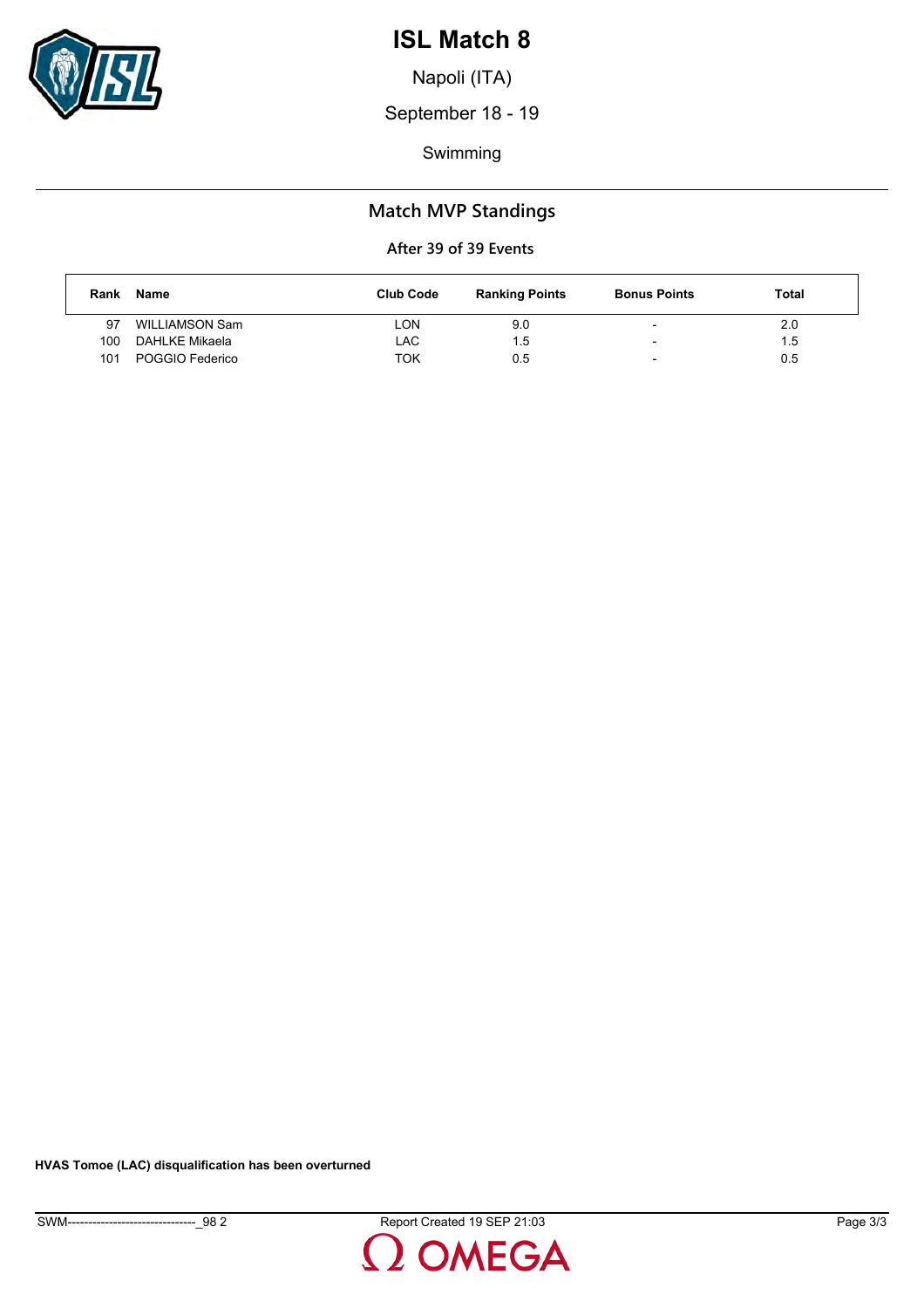

Napoli (ITA)

September 18 - 19

Swimming

## **Match MVP Standings**

### **After 39 of 39 Events**

| Rank | Name            | <b>Club Code</b> | <b>Ranking Points</b> | <b>Bonus Points</b>      | Total |
|------|-----------------|------------------|-----------------------|--------------------------|-------|
| 97   | WILLIAMSON Sam  | LON              | 9.0                   | -                        | 2.0   |
| 100  | DAHLKE Mikaela  | LAC              | 1.5                   | $\overline{\phantom{0}}$ | 1.5   |
| 101  | POGGIO Federico | TOK              | 0.5                   | $\overline{\phantom{0}}$ | 0.5   |

**HVAS Tomoe (LAC) disqualification has been overturned**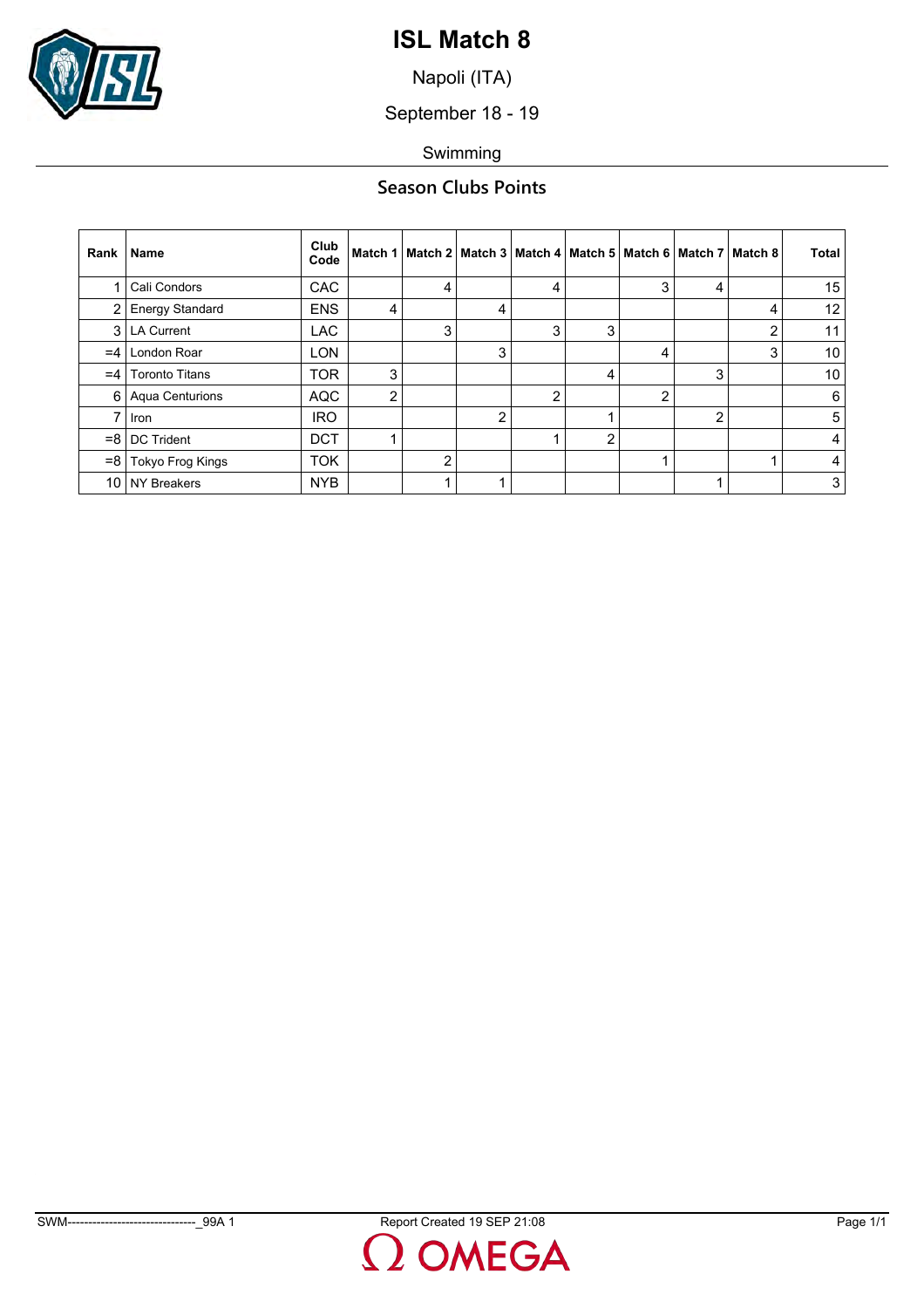

Napoli (ITA)

September 18 - 19

Swimming

## **Season Clubs Points**

| Rank  | <b>Name</b>            | Club<br>Code |   |                |   |   |   |   | Match 1   Match 2   Match 3   Match 4   Match 5   Match 6   Match 7   Match 8 |   | <b>Total</b>    |
|-------|------------------------|--------------|---|----------------|---|---|---|---|-------------------------------------------------------------------------------|---|-----------------|
|       | Cali Condors           | <b>CAC</b>   |   | 4              |   | 4 |   | 3 | 4                                                                             |   | 15              |
| 2     | <b>Energy Standard</b> | <b>ENS</b>   | 4 |                | 4 |   |   |   |                                                                               | 4 | 12 <sup>°</sup> |
| 3 I   | <b>LA Current</b>      | <b>LAC</b>   |   | 3              |   | 3 | 3 |   |                                                                               | 2 | 11              |
| $=4$  | London Roar            | <b>LON</b>   |   |                | 3 |   |   | 4 |                                                                               | 3 | 10 <sup>°</sup> |
| $=4$  | <b>Toronto Titans</b>  | <b>TOR</b>   | 3 |                |   |   | 4 |   | 3                                                                             |   | 10 <sup>°</sup> |
| 6 I   | <b>Aqua Centurions</b> | <b>AQC</b>   | 2 |                |   | 2 |   | 2 |                                                                               |   | 6               |
|       | <b>Iron</b>            | <b>IRO</b>   |   |                | 2 |   |   |   | $\overline{2}$                                                                |   | 5               |
| $= 8$ | <b>DC Trident</b>      | <b>DCT</b>   |   |                |   |   | 2 |   |                                                                               |   | $\overline{4}$  |
| $= 8$ | Tokyo Frog Kings       | <b>TOK</b>   |   | $\overline{2}$ |   |   |   |   |                                                                               |   | $\sim$          |
| 10    | <b>NY Breakers</b>     | <b>NYB</b>   |   |                |   |   |   |   |                                                                               |   | 3               |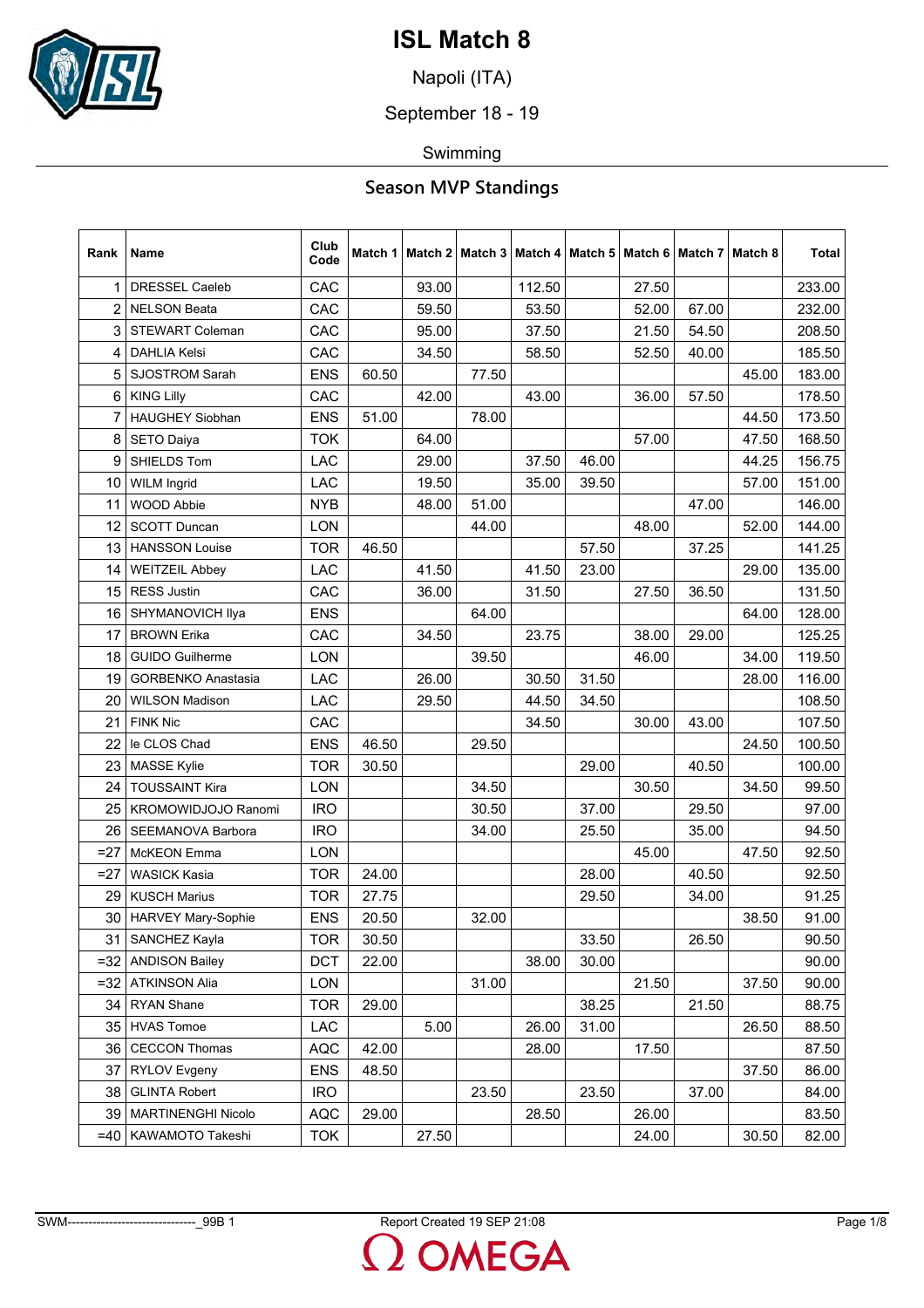

Napoli (ITA)

September 18 - 19

Swimming

| Rank           | Name                      | Club<br>Code | Match 1 |       | Match 2   Match 3 |        | Match 4   Match 5   Match 6   Match 7   Match 8 |       |       |       | <b>Total</b> |
|----------------|---------------------------|--------------|---------|-------|-------------------|--------|-------------------------------------------------|-------|-------|-------|--------------|
| 1              | <b>DRESSEL Caeleb</b>     | CAC          |         | 93.00 |                   | 112.50 |                                                 | 27.50 |       |       | 233.00       |
| $\overline{2}$ | <b>NELSON Beata</b>       | CAC          |         | 59.50 |                   | 53.50  |                                                 | 52.00 | 67.00 |       | 232.00       |
| 3              | <b>STEWART Coleman</b>    | CAC          |         | 95.00 |                   | 37.50  |                                                 | 21.50 | 54.50 |       | 208.50       |
| 4              | <b>DAHLIA Kelsi</b>       | CAC          |         | 34.50 |                   | 58.50  |                                                 | 52.50 | 40.00 |       | 185.50       |
| 5              | <b>SJOSTROM Sarah</b>     | <b>ENS</b>   | 60.50   |       | 77.50             |        |                                                 |       |       | 45.00 | 183.00       |
| 6              | <b>KING Lilly</b>         | CAC          |         | 42.00 |                   | 43.00  |                                                 | 36.00 | 57.50 |       | 178.50       |
| 7              | <b>HAUGHEY Siobhan</b>    | <b>ENS</b>   | 51.00   |       | 78.00             |        |                                                 |       |       | 44.50 | 173.50       |
| 8              | <b>SETO Daiya</b>         | <b>TOK</b>   |         | 64.00 |                   |        |                                                 | 57.00 |       | 47.50 | 168.50       |
| 9              | SHIELDS Tom               | LAC          |         | 29.00 |                   | 37.50  | 46.00                                           |       |       | 44.25 | 156.75       |
| 10             | <b>WILM Ingrid</b>        | LAC          |         | 19.50 |                   | 35.00  | 39.50                                           |       |       | 57.00 | 151.00       |
| 11             | WOOD Abbie                | <b>NYB</b>   |         | 48.00 | 51.00             |        |                                                 |       | 47.00 |       | 146.00       |
| 12             | <b>SCOTT Duncan</b>       | LON          |         |       | 44.00             |        |                                                 | 48.00 |       | 52.00 | 144.00       |
| 13             | <b>HANSSON Louise</b>     | <b>TOR</b>   | 46.50   |       |                   |        | 57.50                                           |       | 37.25 |       | 141.25       |
| 14             | <b>WEITZEIL Abbey</b>     | LAC          |         | 41.50 |                   | 41.50  | 23.00                                           |       |       | 29.00 | 135.00       |
| 15             | <b>RESS Justin</b>        | CAC          |         | 36.00 |                   | 31.50  |                                                 | 27.50 | 36.50 |       | 131.50       |
| 16             | SHYMANOVICH Ilya          | <b>ENS</b>   |         |       | 64.00             |        |                                                 |       |       | 64.00 | 128.00       |
| 17             | <b>BROWN Erika</b>        | CAC          |         | 34.50 |                   | 23.75  |                                                 | 38.00 | 29.00 |       | 125.25       |
| 18             | <b>GUIDO Guilherme</b>    | LON          |         |       | 39.50             |        |                                                 | 46.00 |       | 34.00 | 119.50       |
| 19             | <b>GORBENKO Anastasia</b> | LAC          |         | 26.00 |                   | 30.50  | 31.50                                           |       |       | 28.00 | 116.00       |
| 20             | <b>WILSON Madison</b>     | LAC          |         | 29.50 |                   | 44.50  | 34.50                                           |       |       |       | 108.50       |
| 21             | <b>FINK Nic</b>           | CAC          |         |       |                   | 34.50  |                                                 | 30.00 | 43.00 |       | 107.50       |
| 22             | le CLOS Chad              | <b>ENS</b>   | 46.50   |       | 29.50             |        |                                                 |       |       | 24.50 | 100.50       |
| 23             | <b>MASSE Kylie</b>        | <b>TOR</b>   | 30.50   |       |                   |        | 29.00                                           |       | 40.50 |       | 100.00       |
| 24             | <b>TOUSSAINT Kira</b>     | LON          |         |       | 34.50             |        |                                                 | 30.50 |       | 34.50 | 99.50        |
| 25             | KROMOWIDJOJO Ranomi       | <b>IRO</b>   |         |       | 30.50             |        | 37.00                                           |       | 29.50 |       | 97.00        |
| 26             | SEEMANOVA Barbora         | <b>IRO</b>   |         |       | 34.00             |        | 25.50                                           |       | 35.00 |       | 94.50        |
| $= 27$         | <b>McKEON</b> Emma        | LON          |         |       |                   |        |                                                 | 45.00 |       | 47.50 | 92.50        |
| $=27$          | <b>WASICK Kasia</b>       | <b>TOR</b>   | 24.00   |       |                   |        | 28.00                                           |       | 40.50 |       | 92.50        |
| 29             | <b>KUSCH Marius</b>       | <b>TOR</b>   | 27.75   |       |                   |        | 29.50                                           |       | 34.00 |       | 91.25        |
| 30             | <b>HARVEY Mary-Sophie</b> | <b>ENS</b>   | 20.50   |       | 32.00             |        |                                                 |       |       | 38.50 | 91.00        |
| 31             | SANCHEZ Kayla             | <b>TOR</b>   | 30.50   |       |                   |        | 33.50                                           |       | 26.50 |       | 90.50        |
| $= 32$         | <b>ANDISON Bailey</b>     | <b>DCT</b>   | 22.00   |       |                   | 38.00  | 30.00                                           |       |       |       | 90.00        |
| $=32$          | <b>ATKINSON Alia</b>      | LON          |         |       | 31.00             |        |                                                 | 21.50 |       | 37.50 | 90.00        |
| 34             | <b>RYAN Shane</b>         | <b>TOR</b>   | 29.00   |       |                   |        | 38.25                                           |       | 21.50 |       | 88.75        |
| 35             | <b>HVAS Tomoe</b>         | LAC          |         | 5.00  |                   | 26.00  | 31.00                                           |       |       | 26.50 | 88.50        |
| 36             | <b>CECCON Thomas</b>      | <b>AQC</b>   | 42.00   |       |                   | 28.00  |                                                 | 17.50 |       |       | 87.50        |
| 37             | <b>RYLOV Evgeny</b>       | <b>ENS</b>   | 48.50   |       |                   |        |                                                 |       |       | 37.50 | 86.00        |
| 38             | <b>GLINTA Robert</b>      | <b>IRO</b>   |         |       | 23.50             |        | 23.50                                           |       | 37.00 |       | 84.00        |
| 39             | <b>MARTINENGHI Nicolo</b> | <b>AQC</b>   | 29.00   |       |                   | 28.50  |                                                 | 26.00 |       |       | 83.50        |
| $=40$          | KAWAMOTO Takeshi          | <b>TOK</b>   |         | 27.50 |                   |        |                                                 | 24.00 |       | 30.50 | 82.00        |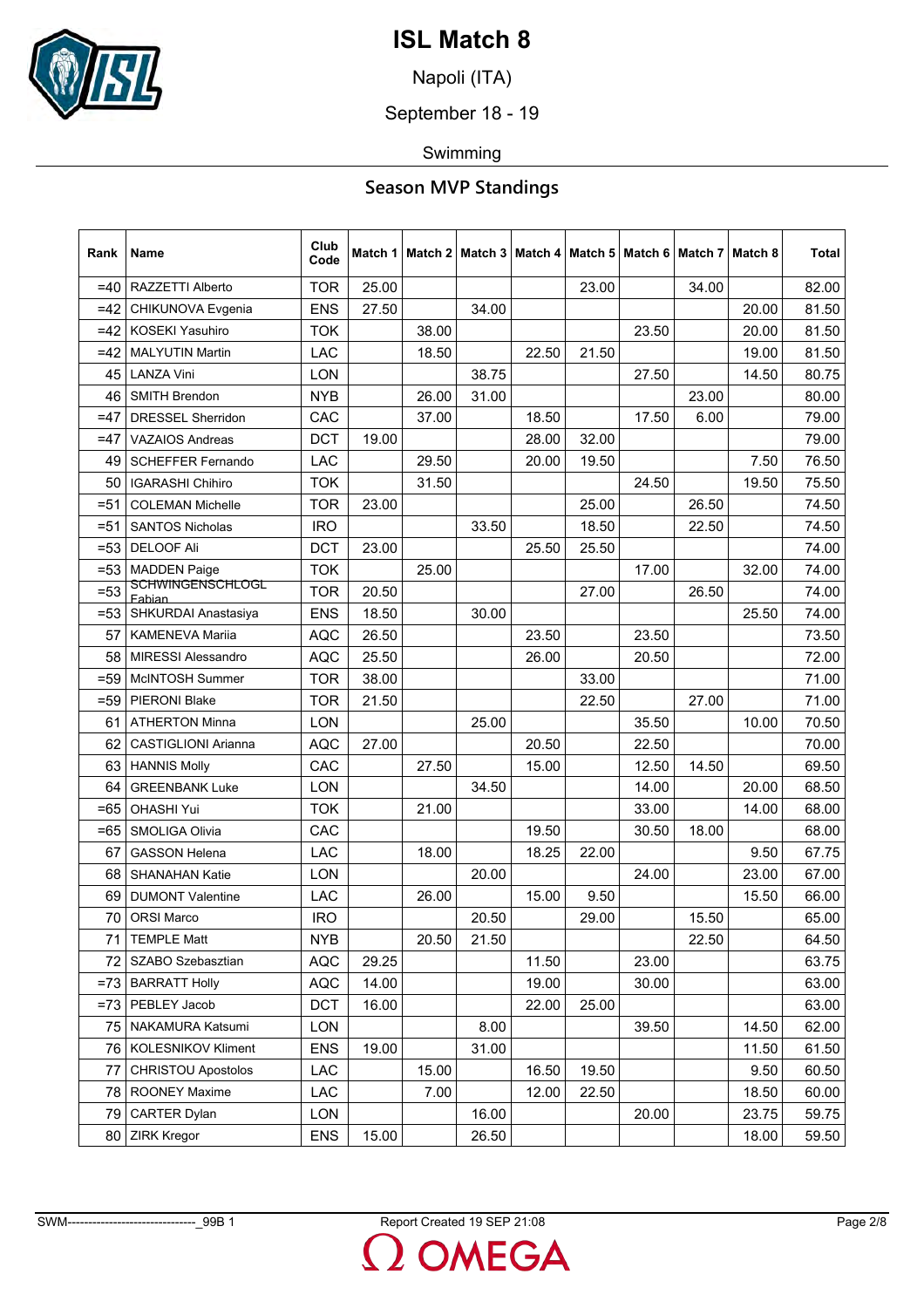

Napoli (ITA)

September 18 - 19

Swimming

| Rank   | Name                              | Club<br>Code | Match 1 |       | Match 2   Match 3 |       |       |       | Match 4   Match 5   Match 6   Match 7   Match 8 |       | <b>Total</b> |
|--------|-----------------------------------|--------------|---------|-------|-------------------|-------|-------|-------|-------------------------------------------------|-------|--------------|
| $=40$  | RAZZETTI Alberto                  | <b>TOR</b>   | 25.00   |       |                   |       | 23.00 |       | 34.00                                           |       | 82.00        |
| $=42$  | CHIKUNOVA Evgenia                 | <b>ENS</b>   | 27.50   |       | 34.00             |       |       |       |                                                 | 20.00 | 81.50        |
| $=42$  | <b>KOSEKI Yasuhiro</b>            | <b>TOK</b>   |         | 38.00 |                   |       |       | 23.50 |                                                 | 20.00 | 81.50        |
| $=42$  | <b>MALYUTIN Martin</b>            | LAC          |         | 18.50 |                   | 22.50 | 21.50 |       |                                                 | 19.00 | 81.50        |
| 45     | <b>LANZA Vini</b>                 | LON          |         |       | 38.75             |       |       | 27.50 |                                                 | 14.50 | 80.75        |
| 46     | SMITH Brendon                     | <b>NYB</b>   |         | 26.00 | 31.00             |       |       |       | 23.00                                           |       | 80.00        |
| =47    | <b>DRESSEL Sherridon</b>          | CAC          |         | 37.00 |                   | 18.50 |       | 17.50 | 6.00                                            |       | 79.00        |
| $=47$  | <b>VAZAIOS Andreas</b>            | <b>DCT</b>   | 19.00   |       |                   | 28.00 | 32.00 |       |                                                 |       | 79.00        |
| 49     | <b>SCHEFFER Fernando</b>          | LAC          |         | 29.50 |                   | 20.00 | 19.50 |       |                                                 | 7.50  | 76.50        |
| 50     | <b>IGARASHI Chihiro</b>           | <b>TOK</b>   |         | 31.50 |                   |       |       | 24.50 |                                                 | 19.50 | 75.50        |
| $= 51$ | <b>COLEMAN Michelle</b>           | <b>TOR</b>   | 23.00   |       |                   |       | 25.00 |       | 26.50                                           |       | 74.50        |
| $= 51$ | <b>SANTOS Nicholas</b>            | <b>IRO</b>   |         |       | 33.50             |       | 18.50 |       | 22.50                                           |       | 74.50        |
| $= 53$ | <b>DELOOF Ali</b>                 | <b>DCT</b>   | 23.00   |       |                   | 25.50 | 25.50 |       |                                                 |       | 74.00        |
| $= 53$ | <b>MADDEN Paige</b>               | <b>TOK</b>   |         | 25.00 |                   |       |       | 17.00 |                                                 | 32.00 | 74.00        |
| $=53$  | <b>SCHWINGENSCHLOGL</b><br>Fabian | <b>TOR</b>   | 20.50   |       |                   |       | 27.00 |       | 26.50                                           |       | 74.00        |
| $= 53$ | SHKURDAI Anastasiya               | <b>ENS</b>   | 18.50   |       | 30.00             |       |       |       |                                                 | 25.50 | 74.00        |
| 57     | <b>KAMENEVA Mariia</b>            | <b>AQC</b>   | 26.50   |       |                   | 23.50 |       | 23.50 |                                                 |       | 73.50        |
| 58     | <b>MIRESSI Alessandro</b>         | <b>AQC</b>   | 25.50   |       |                   | 26.00 |       | 20.50 |                                                 |       | 72.00        |
| $= 59$ | McINTOSH Summer                   | <b>TOR</b>   | 38.00   |       |                   |       | 33.00 |       |                                                 |       | 71.00        |
| $= 59$ | <b>PIERONI Blake</b>              | <b>TOR</b>   | 21.50   |       |                   |       | 22.50 |       | 27.00                                           |       | 71.00        |
| 61     | <b>ATHERTON Minna</b>             | LON          |         |       | 25.00             |       |       | 35.50 |                                                 | 10.00 | 70.50        |
| 62     | <b>CASTIGLIONI Arianna</b>        | <b>AQC</b>   | 27.00   |       |                   | 20.50 |       | 22.50 |                                                 |       | 70.00        |
| 63     | <b>HANNIS Molly</b>               | CAC          |         | 27.50 |                   | 15.00 |       | 12.50 | 14.50                                           |       | 69.50        |
| 64     | <b>GREENBANK Luke</b>             | LON          |         |       | 34.50             |       |       | 14.00 |                                                 | 20.00 | 68.50        |
| $=65$  | <b>OHASHI Yui</b>                 | <b>TOK</b>   |         | 21.00 |                   |       |       | 33.00 |                                                 | 14.00 | 68.00        |
| $=65$  | SMOLIGA Olivia                    | CAC          |         |       |                   | 19.50 |       | 30.50 | 18.00                                           |       | 68.00        |
| 67     | <b>GASSON Helena</b>              | LAC          |         | 18.00 |                   | 18.25 | 22.00 |       |                                                 | 9.50  | 67.75        |
| 68     | <b>SHANAHAN Katie</b>             | LON          |         |       | 20.00             |       |       | 24.00 |                                                 | 23.00 | 67.00        |
| 69     | <b>DUMONT Valentine</b>           | LAC          |         | 26.00 |                   | 15.00 | 9.50  |       |                                                 | 15.50 | 66.00        |
| 70     | <b>ORSI Marco</b>                 | <b>IRO</b>   |         |       | 20.50             |       | 29.00 |       | 15.50                                           |       | 65.00        |
| 71     | <b>TEMPLE Matt</b>                | <b>NYB</b>   |         | 20.50 | 21.50             |       |       |       | 22.50                                           |       | 64.50        |
| 72     | SZABO Szebasztian                 | <b>AQC</b>   | 29.25   |       |                   | 11.50 |       | 23.00 |                                                 |       | 63.75        |
| $= 73$ | <b>BARRATT Holly</b>              | <b>AQC</b>   | 14.00   |       |                   | 19.00 |       | 30.00 |                                                 |       | 63.00        |
| $= 73$ | PEBLEY Jacob                      | DCT          | 16.00   |       |                   | 22.00 | 25.00 |       |                                                 |       | 63.00        |
| 75     | NAKAMURA Katsumi                  | LON          |         |       | 8.00              |       |       | 39.50 |                                                 | 14.50 | 62.00        |
| 76     | <b>KOLESNIKOV Kliment</b>         | <b>ENS</b>   | 19.00   |       | 31.00             |       |       |       |                                                 | 11.50 | 61.50        |
| 77     | <b>CHRISTOU Apostolos</b>         | LAC          |         | 15.00 |                   | 16.50 | 19.50 |       |                                                 | 9.50  | 60.50        |
| 78     | <b>ROONEY Maxime</b>              | LAC          |         | 7.00  |                   | 12.00 | 22.50 |       |                                                 | 18.50 | 60.00        |
| 79     | <b>CARTER Dylan</b>               | LON          |         |       | 16.00             |       |       | 20.00 |                                                 | 23.75 | 59.75        |
| 80     | <b>ZIRK Kregor</b>                | <b>ENS</b>   | 15.00   |       | 26.50             |       |       |       |                                                 | 18.00 | 59.50        |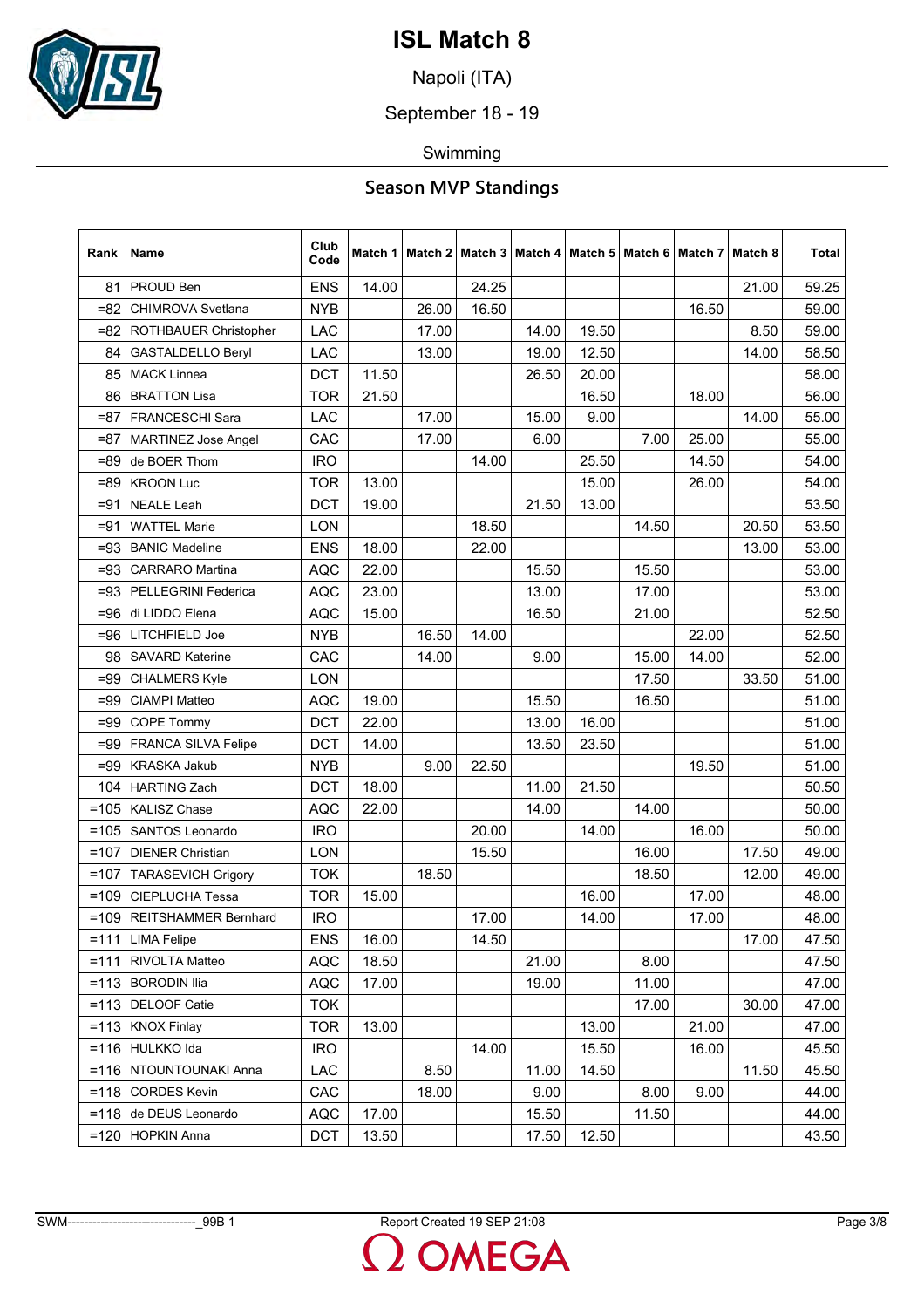

Napoli (ITA)

September 18 - 19

Swimming

| Rank    | Name                        | Club<br>Code |       | Match 1   Match 2   Match 3 |       |       | Match 4   Match 5   Match 6   Match 7 |       |       | Match 8 | Total |
|---------|-----------------------------|--------------|-------|-----------------------------|-------|-------|---------------------------------------|-------|-------|---------|-------|
| 81      | PROUD Ben                   | <b>ENS</b>   | 14.00 |                             | 24.25 |       |                                       |       |       | 21.00   | 59.25 |
| $= 82$  | CHIMROVA Svetlana           | <b>NYB</b>   |       | 26.00                       | 16.50 |       |                                       |       | 16.50 |         | 59.00 |
| =82     | ROTHBAUER Christopher       | LAC          |       | 17.00                       |       | 14.00 | 19.50                                 |       |       | 8.50    | 59.00 |
| 84      | GASTALDELLO Beryl           | LAC          |       | 13.00                       |       | 19.00 | 12.50                                 |       |       | 14.00   | 58.50 |
| 85      | <b>MACK Linnea</b>          | <b>DCT</b>   | 11.50 |                             |       | 26.50 | 20.00                                 |       |       |         | 58.00 |
| 86      | <b>BRATTON Lisa</b>         | <b>TOR</b>   | 21.50 |                             |       |       | 16.50                                 |       | 18.00 |         | 56.00 |
| $= 87$  | <b>FRANCESCHI Sara</b>      | LAC          |       | 17.00                       |       | 15.00 | 9.00                                  |       |       | 14.00   | 55.00 |
| $= 87$  | <b>MARTINEZ Jose Angel</b>  | CAC          |       | 17.00                       |       | 6.00  |                                       | 7.00  | 25.00 |         | 55.00 |
| $=89$   | de BOER Thom                | <b>IRO</b>   |       |                             | 14.00 |       | 25.50                                 |       | 14.50 |         | 54.00 |
| $= 89$  | <b>KROON Luc</b>            | <b>TOR</b>   | 13.00 |                             |       |       | 15.00                                 |       | 26.00 |         | 54.00 |
| $= 91$  | <b>NEALE Leah</b>           | <b>DCT</b>   | 19.00 |                             |       | 21.50 | 13.00                                 |       |       |         | 53.50 |
| $= 91$  | <b>WATTEL Marie</b>         | LON          |       |                             | 18.50 |       |                                       | 14.50 |       | 20.50   | 53.50 |
| $= 93$  | <b>BANIC Madeline</b>       | <b>ENS</b>   | 18.00 |                             | 22.00 |       |                                       |       |       | 13.00   | 53.00 |
| $= 93$  | <b>CARRARO</b> Martina      | <b>AQC</b>   | 22.00 |                             |       | 15.50 |                                       | 15.50 |       |         | 53.00 |
| $= 93$  | PELLEGRINI Federica         | <b>AQC</b>   | 23.00 |                             |       | 13.00 |                                       | 17.00 |       |         | 53.00 |
| =96     | di LIDDO Elena              | <b>AQC</b>   | 15.00 |                             |       | 16.50 |                                       | 21.00 |       |         | 52.50 |
| =96     | LITCHFIELD Joe              | <b>NYB</b>   |       | 16.50                       | 14.00 |       |                                       |       | 22.00 |         | 52.50 |
| 98      | <b>SAVARD Katerine</b>      | CAC          |       | 14.00                       |       | 9.00  |                                       | 15.00 | 14.00 |         | 52.00 |
| $= 99$  | <b>CHALMERS Kyle</b>        | LON          |       |                             |       |       |                                       | 17.50 |       | 33.50   | 51.00 |
| $=99$   | <b>CIAMPI Matteo</b>        | <b>AQC</b>   | 19.00 |                             |       | 15.50 |                                       | 16.50 |       |         | 51.00 |
| $= 99$  | COPE Tommy                  | <b>DCT</b>   | 22.00 |                             |       | 13.00 | 16.00                                 |       |       |         | 51.00 |
| $=99$   | FRANCA SILVA Felipe         | <b>DCT</b>   | 14.00 |                             |       | 13.50 | 23.50                                 |       |       |         | 51.00 |
| $=99$   | <b>KRASKA Jakub</b>         | <b>NYB</b>   |       | 9.00                        | 22.50 |       |                                       |       | 19.50 |         | 51.00 |
| 104     | <b>HARTING Zach</b>         | <b>DCT</b>   | 18.00 |                             |       | 11.00 | 21.50                                 |       |       |         | 50.50 |
| $=105$  | <b>KALISZ Chase</b>         | <b>AQC</b>   | 22.00 |                             |       | 14.00 |                                       | 14.00 |       |         | 50.00 |
| $=105$  | SANTOS Leonardo             | <b>IRO</b>   |       |                             | 20.00 |       | 14.00                                 |       | 16.00 |         | 50.00 |
| $=107$  | <b>DIENER Christian</b>     | LON          |       |                             | 15.50 |       |                                       | 16.00 |       | 17.50   | 49.00 |
| $=107$  | <b>TARASEVICH Grigory</b>   | <b>TOK</b>   |       | 18.50                       |       |       |                                       | 18.50 |       | 12.00   | 49.00 |
| $=109$  | <b>CIEPLUCHA Tessa</b>      | <b>TOR</b>   | 15.00 |                             |       |       | 16.00                                 |       | 17.00 |         | 48.00 |
| $=109$  | <b>REITSHAMMER Bernhard</b> | <b>IRO</b>   |       |                             | 17.00 |       | 14.00                                 |       | 17.00 |         | 48.00 |
| $=111$  | <b>LIMA Felipe</b>          | <b>ENS</b>   | 16.00 |                             | 14.50 |       |                                       |       |       | 17.00   | 47.50 |
| $= 111$ | RIVOLTA Matteo              | <b>AQC</b>   | 18.50 |                             |       | 21.00 |                                       | 8.00  |       |         | 47.50 |
| $= 113$ | <b>BORODIN Ilia</b>         | <b>AQC</b>   | 17.00 |                             |       | 19.00 |                                       | 11.00 |       |         | 47.00 |
| $= 113$ | DELOOF Catie                | <b>TOK</b>   |       |                             |       |       |                                       | 17.00 |       | 30.00   | 47.00 |
| $= 113$ | <b>KNOX Finlay</b>          | <b>TOR</b>   | 13.00 |                             |       |       | 13.00                                 |       | 21.00 |         | 47.00 |
| $= 116$ | <b>HULKKO</b> Ida           | <b>IRO</b>   |       |                             | 14.00 |       | 15.50                                 |       | 16.00 |         | 45.50 |
| $= 116$ | NTOUNTOUNAKI Anna           | LAC          |       | 8.50                        |       | 11.00 | 14.50                                 |       |       | 11.50   | 45.50 |
| $= 118$ | <b>CORDES Kevin</b>         | CAC          |       | 18.00                       |       | 9.00  |                                       | 8.00  | 9.00  |         | 44.00 |
| $= 118$ | de DEUS Leonardo            | <b>AQC</b>   | 17.00 |                             |       | 15.50 |                                       | 11.50 |       |         | 44.00 |
| $=120$  | <b>HOPKIN Anna</b>          | <b>DCT</b>   | 13.50 |                             |       | 17.50 | 12.50                                 |       |       |         | 43.50 |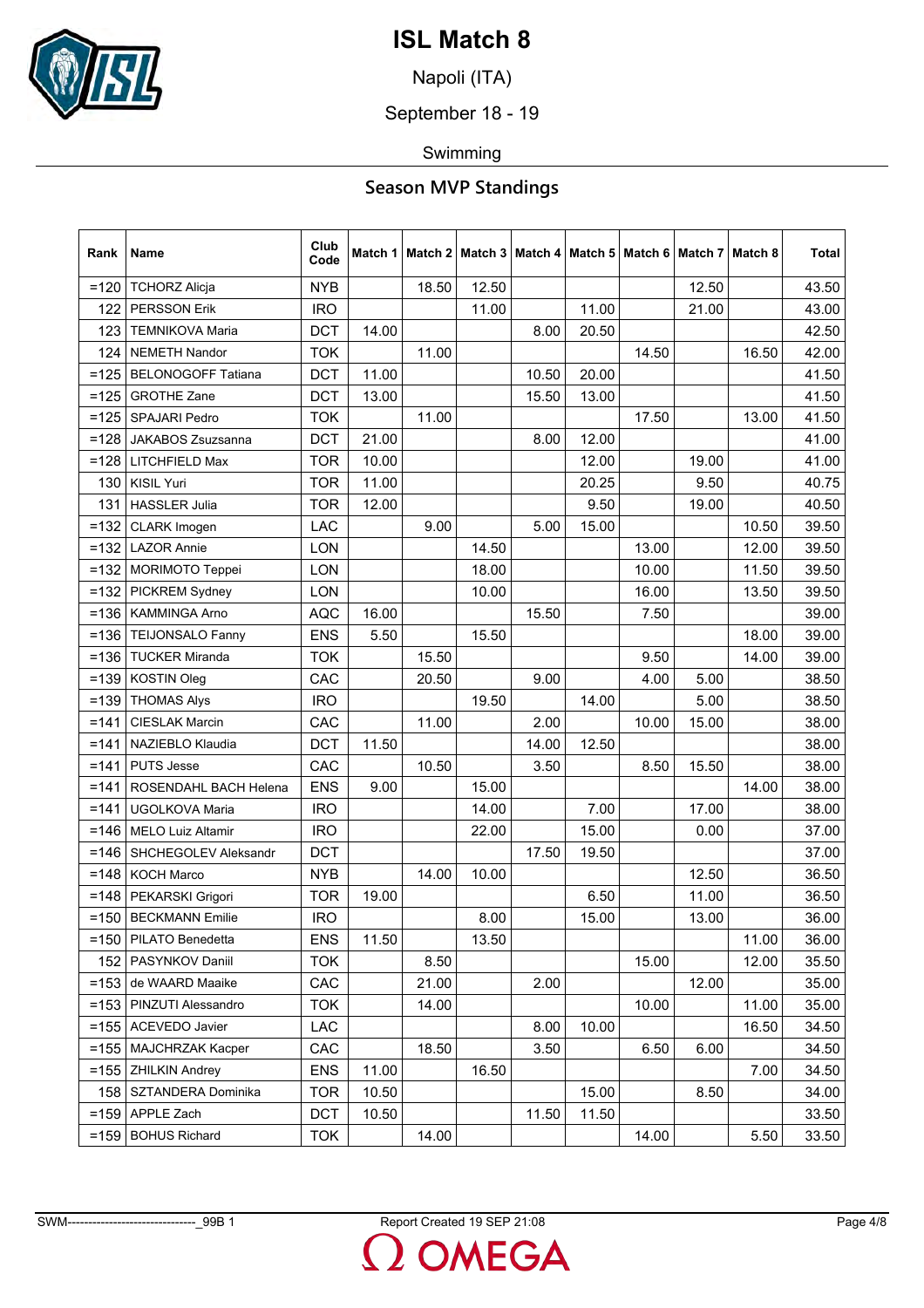

Napoli (ITA)

September 18 - 19

Swimming

| Rank    | Name                      | Club<br>Code |       | Match 1   Match 2   Match 3 |       |       |       |       | Match 4   Match 5   Match 6   Match 7   Match 8 |       | <b>Total</b> |
|---------|---------------------------|--------------|-------|-----------------------------|-------|-------|-------|-------|-------------------------------------------------|-------|--------------|
| $=120$  | <b>TCHORZ Alicja</b>      | <b>NYB</b>   |       | 18.50                       | 12.50 |       |       |       | 12.50                                           |       | 43.50        |
| 122     | <b>PERSSON Erik</b>       | <b>IRO</b>   |       |                             | 11.00 |       | 11.00 |       | 21.00                                           |       | 43.00        |
| 123     | <b>TEMNIKOVA Maria</b>    | <b>DCT</b>   | 14.00 |                             |       | 8.00  | 20.50 |       |                                                 |       | 42.50        |
| 124     | <b>NEMETH Nandor</b>      | <b>TOK</b>   |       | 11.00                       |       |       |       | 14.50 |                                                 | 16.50 | 42.00        |
| $=125$  | <b>BELONOGOFF Tatiana</b> | <b>DCT</b>   | 11.00 |                             |       | 10.50 | 20.00 |       |                                                 |       | 41.50        |
| $=125$  | <b>GROTHE Zane</b>        | <b>DCT</b>   | 13.00 |                             |       | 15.50 | 13.00 |       |                                                 |       | 41.50        |
| $=125$  | <b>SPAJARI Pedro</b>      | <b>TOK</b>   |       | 11.00                       |       |       |       | 17.50 |                                                 | 13.00 | 41.50        |
| $=128$  | <b>JAKABOS Zsuzsanna</b>  | <b>DCT</b>   | 21.00 |                             |       | 8.00  | 12.00 |       |                                                 |       | 41.00        |
| $=128$  | LITCHFIELD Max            | <b>TOR</b>   | 10.00 |                             |       |       | 12.00 |       | 19.00                                           |       | 41.00        |
| 130     | <b>KISIL Yuri</b>         | <b>TOR</b>   | 11.00 |                             |       |       | 20.25 |       | 9.50                                            |       | 40.75        |
| 131     | <b>HASSLER Julia</b>      | <b>TOR</b>   | 12.00 |                             |       |       | 9.50  |       | 19.00                                           |       | 40.50        |
| $=132$  | CLARK Imogen              | LAC          |       | 9.00                        |       | 5.00  | 15.00 |       |                                                 | 10.50 | 39.50        |
| $=132$  | <b>LAZOR Annie</b>        | LON          |       |                             | 14.50 |       |       | 13.00 |                                                 | 12.00 | 39.50        |
| $=132$  | <b>MORIMOTO Teppei</b>    | LON          |       |                             | 18.00 |       |       | 10.00 |                                                 | 11.50 | 39.50        |
| $=132$  | <b>PICKREM Sydney</b>     | LON          |       |                             | 10.00 |       |       | 16.00 |                                                 | 13.50 | 39.50        |
| $=136$  | <b>KAMMINGA Arno</b>      | <b>AQC</b>   | 16.00 |                             |       | 15.50 |       | 7.50  |                                                 |       | 39.00        |
| $= 136$ | TEIJONSALO Fanny          | <b>ENS</b>   | 5.50  |                             | 15.50 |       |       |       |                                                 | 18.00 | 39.00        |
| $= 136$ | <b>TUCKER Miranda</b>     | <b>TOK</b>   |       | 15.50                       |       |       |       | 9.50  |                                                 | 14.00 | 39.00        |
| $=139$  | <b>KOSTIN Oleg</b>        | CAC          |       | 20.50                       |       | 9.00  |       | 4.00  | 5.00                                            |       | 38.50        |
| $=139$  | <b>THOMAS Alys</b>        | <b>IRO</b>   |       |                             | 19.50 |       | 14.00 |       | 5.00                                            |       | 38.50        |
| $= 141$ | <b>CIESLAK Marcin</b>     | CAC          |       | 11.00                       |       | 2.00  |       | 10.00 | 15.00                                           |       | 38.00        |
| =141    | NAZIEBLO Klaudia          | <b>DCT</b>   | 11.50 |                             |       | 14.00 | 12.50 |       |                                                 |       | 38.00        |
| $=141$  | <b>PUTS Jesse</b>         | CAC          |       | 10.50                       |       | 3.50  |       | 8.50  | 15.50                                           |       | 38.00        |
| $=141$  | ROSENDAHL BACH Helena     | <b>ENS</b>   | 9.00  |                             | 15.00 |       |       |       |                                                 | 14.00 | 38.00        |
| $= 141$ | UGOLKOVA Maria            | <b>IRO</b>   |       |                             | 14.00 |       | 7.00  |       | 17.00                                           |       | 38.00        |
| $= 146$ | <b>MELO Luiz Altamir</b>  | <b>IRO</b>   |       |                             | 22.00 |       | 15.00 |       | 0.00                                            |       | 37.00        |
| $= 146$ | SHCHEGOLEV Aleksandr      | <b>DCT</b>   |       |                             |       | 17.50 | 19.50 |       |                                                 |       | 37.00        |
| $= 148$ | <b>KOCH Marco</b>         | <b>NYB</b>   |       | 14.00                       | 10.00 |       |       |       | 12.50                                           |       | 36.50        |
| $= 148$ | PEKARSKI Grigori          | <b>TOR</b>   | 19.00 |                             |       |       | 6.50  |       | 11.00                                           |       | 36.50        |
| $= 150$ | <b>BECKMANN Emilie</b>    | <b>IRO</b>   |       |                             | 8.00  |       | 15.00 |       | 13.00                                           |       | 36.00        |
| $=150$  | PILATO Benedetta          | <b>ENS</b>   | 11.50 |                             | 13.50 |       |       |       |                                                 | 11.00 | 36.00        |
| 152     | PASYNKOV Daniil           | <b>TOK</b>   |       | 8.50                        |       |       |       | 15.00 |                                                 | 12.00 | 35.50        |
| $=153$  | de WAARD Maaike           | CAC          |       | 21.00                       |       | 2.00  |       |       | 12.00                                           |       | 35.00        |
| $=153$  | PINZUTI Alessandro        | <b>TOK</b>   |       | 14.00                       |       |       |       | 10.00 |                                                 | 11.00 | 35.00        |
| $= 155$ | <b>ACEVEDO Javier</b>     | LAC          |       |                             |       | 8.00  | 10.00 |       |                                                 | 16.50 | 34.50        |
| $= 155$ | <b>MAJCHRZAK Kacper</b>   | CAC          |       | 18.50                       |       | 3.50  |       | 6.50  | 6.00                                            |       | 34.50        |
| $=155$  | <b>ZHILKIN Andrey</b>     | <b>ENS</b>   | 11.00 |                             | 16.50 |       |       |       |                                                 | 7.00  | 34.50        |
| 158     | SZTANDERA Dominika        | <b>TOR</b>   | 10.50 |                             |       |       | 15.00 |       | 8.50                                            |       | 34.00        |
| $= 159$ | APPLE Zach                | <b>DCT</b>   | 10.50 |                             |       | 11.50 | 11.50 |       |                                                 |       | 33.50        |
| $= 159$ | <b>BOHUS Richard</b>      | <b>TOK</b>   |       | 14.00                       |       |       |       | 14.00 |                                                 | 5.50  | 33.50        |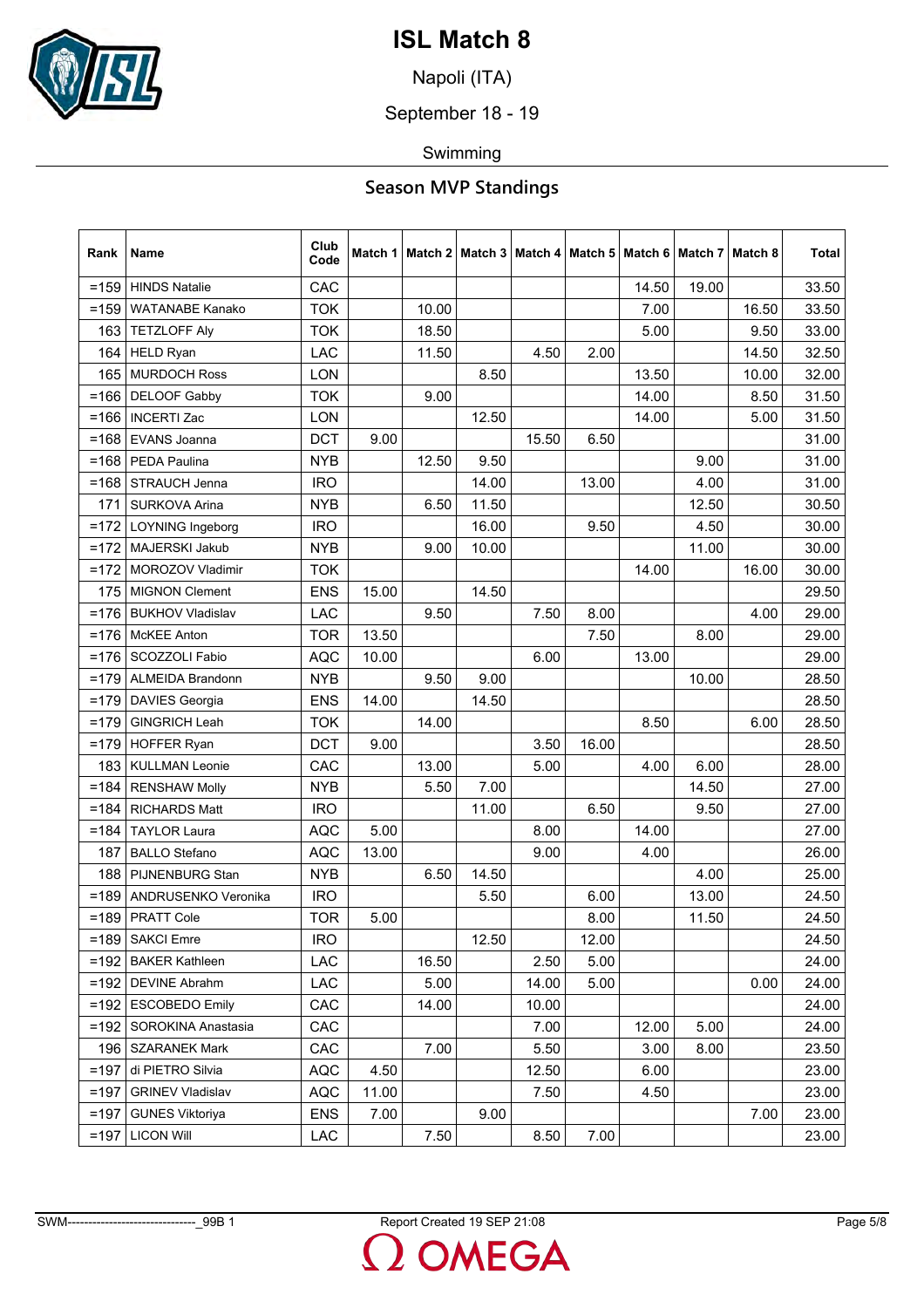

Napoli (ITA)

September 18 - 19

Swimming

## **Season MVP Standings**

| Rank    | Name                    | Club<br>Code | Match 1 |       | Match 2   Match 3 |       | Match 4   Match 5   Match 6   Match 7 |       |       | Match 8 | <b>Total</b> |
|---------|-------------------------|--------------|---------|-------|-------------------|-------|---------------------------------------|-------|-------|---------|--------------|
| $= 159$ | <b>HINDS Natalie</b>    | CAC          |         |       |                   |       |                                       | 14.50 | 19.00 |         | 33.50        |
| $= 159$ | <b>WATANABE Kanako</b>  | <b>TOK</b>   |         | 10.00 |                   |       |                                       | 7.00  |       | 16.50   | 33.50        |
| 163     | <b>TETZLOFF Aly</b>     | <b>TOK</b>   |         | 18.50 |                   |       |                                       | 5.00  |       | 9.50    | 33.00        |
| 164     | <b>HELD Ryan</b>        | LAC          |         | 11.50 |                   | 4.50  | 2.00                                  |       |       | 14.50   | 32.50        |
| 165     | <b>MURDOCH Ross</b>     | LON          |         |       | 8.50              |       |                                       | 13.50 |       | 10.00   | 32.00        |
| $= 166$ | <b>DELOOF Gabby</b>     | <b>TOK</b>   |         | 9.00  |                   |       |                                       | 14.00 |       | 8.50    | 31.50        |
| $= 166$ | <b>INCERTI Zac</b>      | LON          |         |       | 12.50             |       |                                       | 14.00 |       | 5.00    | 31.50        |
| $= 168$ | EVANS Joanna            | <b>DCT</b>   | 9.00    |       |                   | 15.50 | 6.50                                  |       |       |         | 31.00        |
| $= 168$ | PEDA Paulina            | <b>NYB</b>   |         | 12.50 | 9.50              |       |                                       |       | 9.00  |         | 31.00        |
| $= 168$ | STRAUCH Jenna           | <b>IRO</b>   |         |       | 14.00             |       | 13.00                                 |       | 4.00  |         | 31.00        |
| 171     | <b>SURKOVA Arina</b>    | <b>NYB</b>   |         | 6.50  | 11.50             |       |                                       |       | 12.50 |         | 30.50        |
| $=172$  | <b>LOYNING Ingeborg</b> | <b>IRO</b>   |         |       | 16.00             |       | 9.50                                  |       | 4.50  |         | 30.00        |
| $=172$  | MAJERSKI Jakub          | <b>NYB</b>   |         | 9.00  | 10.00             |       |                                       |       | 11.00 |         | 30.00        |
| $=172$  | MOROZOV Vladimir        | <b>TOK</b>   |         |       |                   |       |                                       | 14.00 |       | 16.00   | 30.00        |
| 175     | <b>MIGNON Clement</b>   | <b>ENS</b>   | 15.00   |       | 14.50             |       |                                       |       |       |         | 29.50        |
| $=176$  | <b>BUKHOV Vladislav</b> | LAC          |         | 9.50  |                   | 7.50  | 8.00                                  |       |       | 4.00    | 29.00        |
| $= 176$ | <b>McKEE</b> Anton      | <b>TOR</b>   | 13.50   |       |                   |       | 7.50                                  |       | 8.00  |         | 29.00        |
| $= 176$ | SCOZZOLI Fabio          | <b>AQC</b>   | 10.00   |       |                   | 6.00  |                                       | 13.00 |       |         | 29.00        |
| $=179$  | <b>ALMEIDA Brandonn</b> | <b>NYB</b>   |         | 9.50  | 9.00              |       |                                       |       | 10.00 |         | 28.50        |
| $=179$  | <b>DAVIES Georgia</b>   | <b>ENS</b>   | 14.00   |       | 14.50             |       |                                       |       |       |         | 28.50        |
| $=179$  | <b>GINGRICH Leah</b>    | <b>TOK</b>   |         | 14.00 |                   |       |                                       | 8.50  |       | 6.00    | 28.50        |
| $=179$  | <b>HOFFER Ryan</b>      | <b>DCT</b>   | 9.00    |       |                   | 3.50  | 16.00                                 |       |       |         | 28.50        |
| 183     | <b>KULLMAN Leonie</b>   | CAC          |         | 13.00 |                   | 5.00  |                                       | 4.00  | 6.00  |         | 28.00        |
| $=184$  | <b>RENSHAW Molly</b>    | <b>NYB</b>   |         | 5.50  | 7.00              |       |                                       |       | 14.50 |         | 27.00        |
| $= 184$ | <b>RICHARDS Matt</b>    | <b>IRO</b>   |         |       | 11.00             |       | 6.50                                  |       | 9.50  |         | 27.00        |
| $=184$  | <b>TAYLOR Laura</b>     | <b>AQC</b>   | 5.00    |       |                   | 8.00  |                                       | 14.00 |       |         | 27.00        |
| 187     | <b>BALLO Stefano</b>    | AQC          | 13.00   |       |                   | 9.00  |                                       | 4.00  |       |         | 26.00        |
| 188     | PIJNENBURG Stan         | <b>NYB</b>   |         | 6.50  | 14.50             |       |                                       |       | 4.00  |         | 25.00        |
| $=189$  | ANDRUSENKO Veronika     | <b>IRO</b>   |         |       | 5.50              |       | 6.00                                  |       | 13.00 |         | 24.50        |
|         | =189   PRATT Cole       | <b>TOR</b>   | 5.00    |       |                   |       | 8.00                                  |       | 11.50 |         | 24.50        |
| =189    | <b>SAKCI Emre</b>       | <b>IRO</b>   |         |       | 12.50             |       | 12.00                                 |       |       |         | 24.50        |
| $=192$  | <b>BAKER Kathleen</b>   | LAC          |         | 16.50 |                   | 2.50  | 5.00                                  |       |       |         | 24.00        |
| $=192$  | <b>DEVINE Abrahm</b>    | <b>LAC</b>   |         | 5.00  |                   | 14.00 | 5.00                                  |       |       | 0.00    | 24.00        |
| $=192$  | <b>ESCOBEDO Emily</b>   | CAC          |         | 14.00 |                   | 10.00 |                                       |       |       |         | 24.00        |
| $=192$  | SOROKINA Anastasia      | CAC          |         |       |                   | 7.00  |                                       | 12.00 | 5.00  |         | 24.00        |
| 196     | <b>SZARANEK Mark</b>    | CAC          |         | 7.00  |                   | 5.50  |                                       | 3.00  | 8.00  |         | 23.50        |
| $=197$  | di PIETRO Silvia        | <b>AQC</b>   | 4.50    |       |                   | 12.50 |                                       | 6.00  |       |         | 23.00        |
| $=197$  | <b>GRINEV Vladislav</b> | <b>AQC</b>   | 11.00   |       |                   | 7.50  |                                       | 4.50  |       |         | 23.00        |
| $=197$  | <b>GUNES Viktoriya</b>  | <b>ENS</b>   | 7.00    |       | 9.00              |       |                                       |       |       | 7.00    | 23.00        |
| $=197$  | <b>LICON Will</b>       | LAC          |         | 7.50  |                   | 8.50  | 7.00                                  |       |       |         | 23.00        |

 $\mathbf{L}$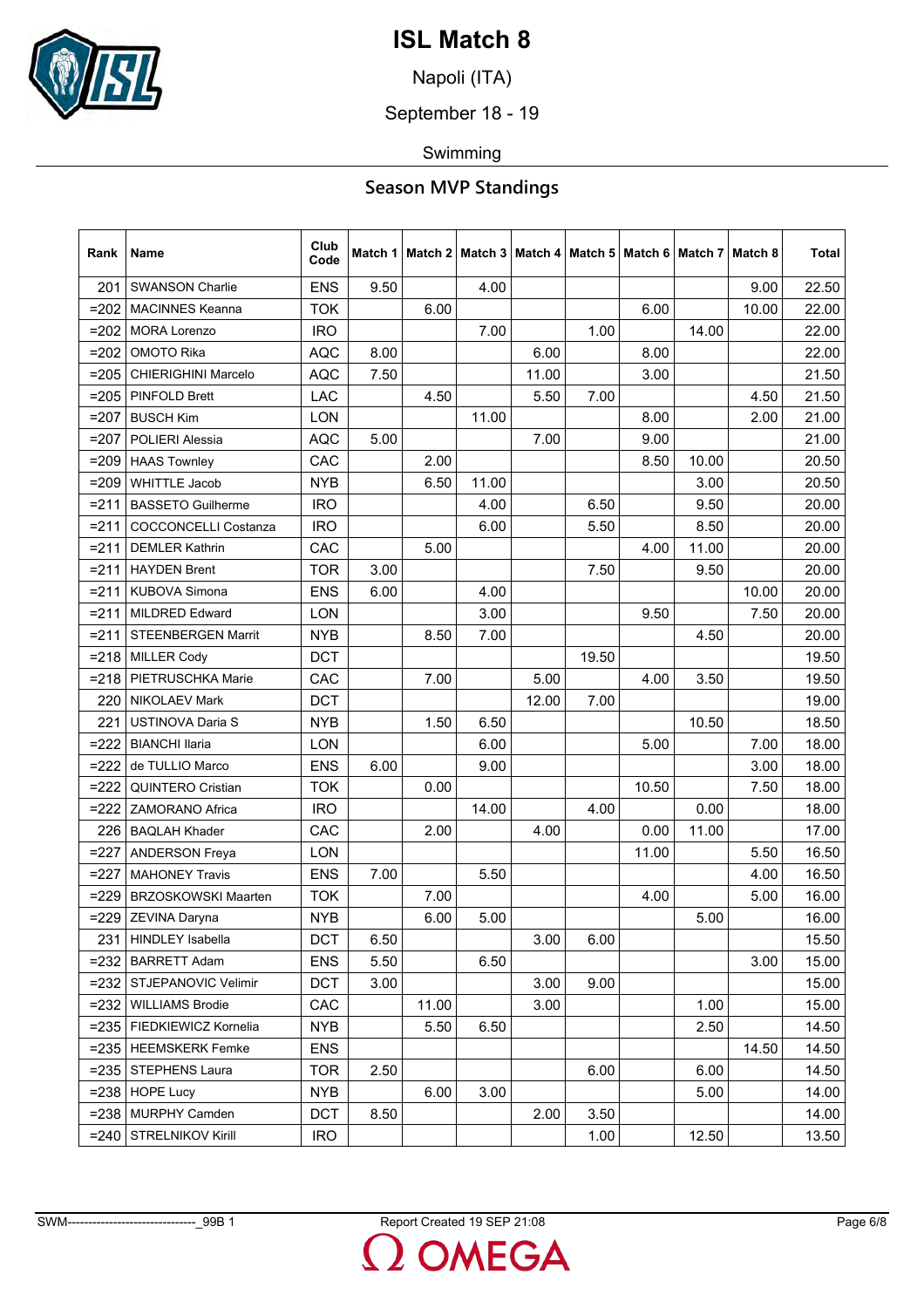

Napoli (ITA)

September 18 - 19

Swimming

| Rank    | Name                        | Club<br>Code |      | Match 1   Match 2   Match 3 |       |       |       | Match 4   Match 5   Match 6   Match 7 |       | Match 8 | <b>Total</b> |
|---------|-----------------------------|--------------|------|-----------------------------|-------|-------|-------|---------------------------------------|-------|---------|--------------|
| 201     | <b>SWANSON Charlie</b>      | <b>ENS</b>   | 9.50 |                             | 4.00  |       |       |                                       |       | 9.00    | 22.50        |
| $=202$  | <b>MACINNES Keanna</b>      | <b>TOK</b>   |      | 6.00                        |       |       |       | 6.00                                  |       | 10.00   | 22.00        |
| $=202$  | <b>MORA Lorenzo</b>         | <b>IRO</b>   |      |                             | 7.00  |       | 1.00  |                                       | 14.00 |         | 22.00        |
| $=202$  | OMOTO Rika                  | <b>AQC</b>   | 8.00 |                             |       | 6.00  |       | 8.00                                  |       |         | 22.00        |
| $= 205$ | <b>CHIERIGHINI Marcelo</b>  | <b>AQC</b>   | 7.50 |                             |       | 11.00 |       | 3.00                                  |       |         | 21.50        |
| $= 205$ | <b>PINFOLD Brett</b>        | LAC          |      | 4.50                        |       | 5.50  | 7.00  |                                       |       | 4.50    | 21.50        |
| $=207$  | <b>BUSCH Kim</b>            | LON          |      |                             | 11.00 |       |       | 8.00                                  |       | 2.00    | 21.00        |
| $=207$  | POLIERI Alessia             | <b>AQC</b>   | 5.00 |                             |       | 7.00  |       | 9.00                                  |       |         | 21.00        |
| $= 209$ | <b>HAAS Townley</b>         | CAC          |      | 2.00                        |       |       |       | 8.50                                  | 10.00 |         | 20.50        |
| $=209$  | <b>WHITTLE Jacob</b>        | <b>NYB</b>   |      | 6.50                        | 11.00 |       |       |                                       | 3.00  |         | 20.50        |
| $= 211$ | <b>BASSETO Guilherme</b>    | <b>IRO</b>   |      |                             | 4.00  |       | 6.50  |                                       | 9.50  |         | 20.00        |
| $= 211$ | <b>COCCONCELLI Costanza</b> | <b>IRO</b>   |      |                             | 6.00  |       | 5.50  |                                       | 8.50  |         | 20.00        |
| $= 211$ | <b>DEMLER Kathrin</b>       | CAC          |      | 5.00                        |       |       |       | 4.00                                  | 11.00 |         | 20.00        |
| $= 211$ | <b>HAYDEN Brent</b>         | <b>TOR</b>   | 3.00 |                             |       |       | 7.50  |                                       | 9.50  |         | 20.00        |
| $= 211$ | <b>KUBOVA Simona</b>        | <b>ENS</b>   | 6.00 |                             | 4.00  |       |       |                                       |       | 10.00   | 20.00        |
| $= 211$ | <b>MILDRED Edward</b>       | <b>LON</b>   |      |                             | 3.00  |       |       | 9.50                                  |       | 7.50    | 20.00        |
| $= 211$ | <b>STEENBERGEN Marrit</b>   | <b>NYB</b>   |      | 8.50                        | 7.00  |       |       |                                       | 4.50  |         | 20.00        |
| $= 218$ | <b>MILLER Cody</b>          | <b>DCT</b>   |      |                             |       |       | 19.50 |                                       |       |         | 19.50        |
| $= 218$ | PIETRUSCHKA Marie           | CAC          |      | 7.00                        |       | 5.00  |       | 4.00                                  | 3.50  |         | 19.50        |
| 220     | <b>NIKOLAEV Mark</b>        | <b>DCT</b>   |      |                             |       | 12.00 | 7.00  |                                       |       |         | 19.00        |
| 221     | <b>USTINOVA Daria S</b>     | <b>NYB</b>   |      | 1.50                        | 6.50  |       |       |                                       | 10.50 |         | 18.50        |
| $=222$  | <b>BIANCHI Ilaria</b>       | LON          |      |                             | 6.00  |       |       | 5.00                                  |       | 7.00    | 18.00        |
| $=222$  | de TULLIO Marco             | <b>ENS</b>   | 6.00 |                             | 9.00  |       |       |                                       |       | 3.00    | 18.00        |
| $=222$  | <b>QUINTERO Cristian</b>    | <b>TOK</b>   |      | 0.00                        |       |       |       | 10.50                                 |       | 7.50    | 18.00        |
| $=222$  | <b>ZAMORANO Africa</b>      | <b>IRO</b>   |      |                             | 14.00 |       | 4.00  |                                       | 0.00  |         | 18.00        |
| 226     | <b>BAQLAH Khader</b>        | CAC          |      | 2.00                        |       | 4.00  |       | 0.00                                  | 11.00 |         | 17.00        |
| $=227$  | <b>ANDERSON Freya</b>       | LON          |      |                             |       |       |       | 11.00                                 |       | 5.50    | 16.50        |
| $=227$  | <b>MAHONEY Travis</b>       | <b>ENS</b>   | 7.00 |                             | 5.50  |       |       |                                       |       | 4.00    | 16.50        |
| $=229$  | <b>BRZOSKOWSKI Maarten</b>  | <b>TOK</b>   |      | 7.00                        |       |       |       | 4.00                                  |       | 5.00    | 16.00        |
| $= 229$ | ZEVINA Daryna               | <b>NYB</b>   |      | 6.00                        | 5.00  |       |       |                                       | 5.00  |         | 16.00        |
| 231     | <b>HINDLEY Isabella</b>     | <b>DCT</b>   | 6.50 |                             |       | 3.00  | 6.00  |                                       |       |         | 15.50        |
| $= 232$ | <b>BARRETT Adam</b>         | <b>ENS</b>   | 5.50 |                             | 6.50  |       |       |                                       |       | 3.00    | 15.00        |
| $= 232$ | STJEPANOVIC Velimir         | <b>DCT</b>   | 3.00 |                             |       | 3.00  | 9.00  |                                       |       |         | 15.00        |
| $= 232$ | <b>WILLIAMS Brodie</b>      | CAC          |      | 11.00                       |       | 3.00  |       |                                       | 1.00  |         | 15.00        |
| $= 235$ | FIEDKIEWICZ Kornelia        | <b>NYB</b>   |      | 5.50                        | 6.50  |       |       |                                       | 2.50  |         | 14.50        |
| $= 235$ | <b>HEEMSKERK Femke</b>      | <b>ENS</b>   |      |                             |       |       |       |                                       |       | 14.50   | 14.50        |
| $= 235$ | <b>STEPHENS Laura</b>       | <b>TOR</b>   | 2.50 |                             |       |       | 6.00  |                                       | 6.00  |         | 14.50        |
| $= 238$ | <b>HOPE Lucy</b>            | <b>NYB</b>   |      | 6.00                        | 3.00  |       |       |                                       | 5.00  |         | 14.00        |
| $= 238$ | MURPHY Camden               | <b>DCT</b>   | 8.50 |                             |       | 2.00  | 3.50  |                                       |       |         | 14.00        |
| $= 240$ | <b>STRELNIKOV Kirill</b>    | <b>IRO</b>   |      |                             |       |       | 1.00  |                                       | 12.50 |         | 13.50        |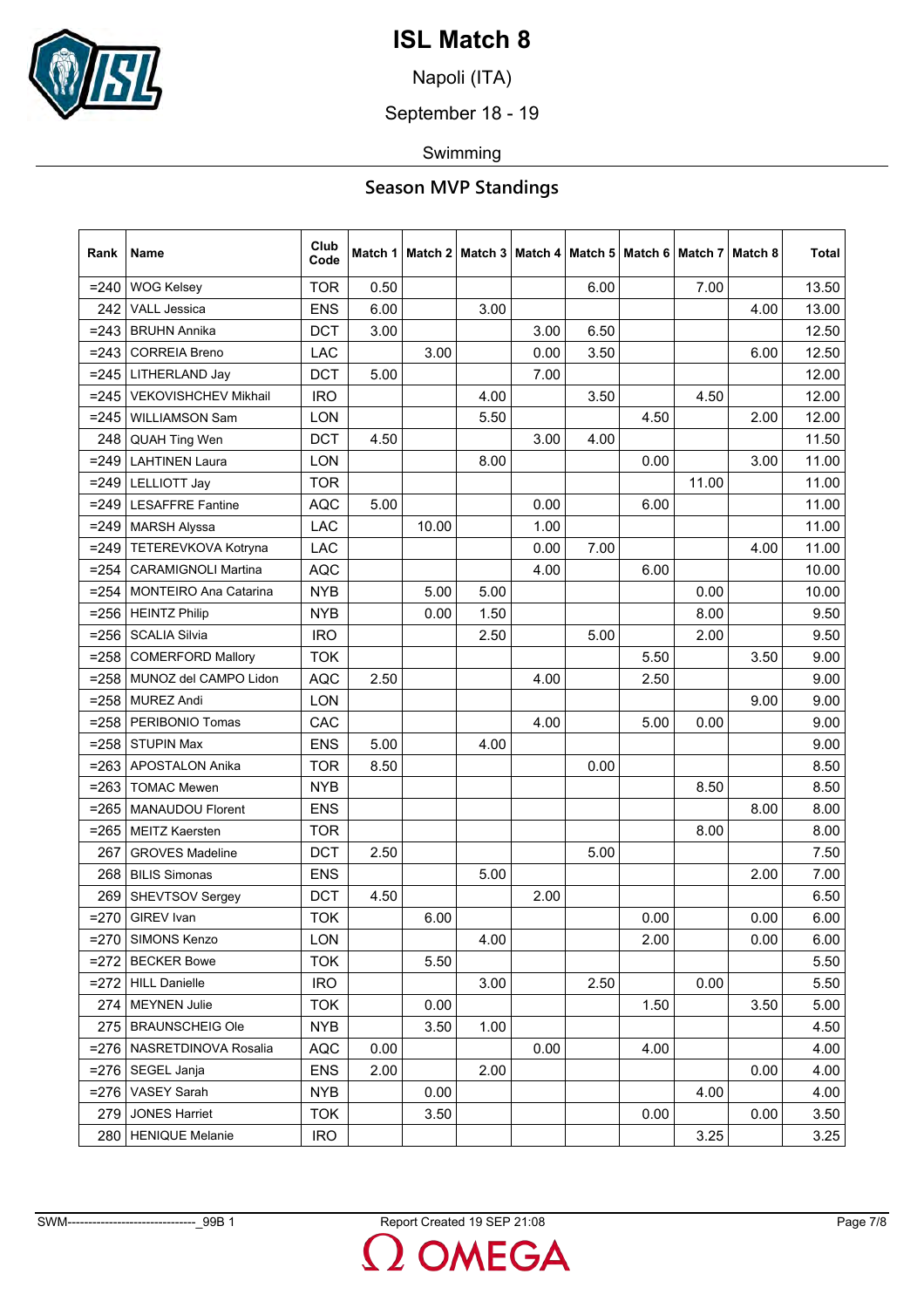

Napoli (ITA)

September 18 - 19

Swimming

| Rank    | Name                         | Club<br>Code |      | Match 1   Match 2   Match 3 |      |      |      | Match 4   Match 5   Match 6   Match 7 |       | Match 8 | <b>Total</b> |
|---------|------------------------------|--------------|------|-----------------------------|------|------|------|---------------------------------------|-------|---------|--------------|
| $= 240$ | <b>WOG Kelsey</b>            | <b>TOR</b>   | 0.50 |                             |      |      | 6.00 |                                       | 7.00  |         | 13.50        |
| 242     | <b>VALL Jessica</b>          | <b>ENS</b>   | 6.00 |                             | 3.00 |      |      |                                       |       | 4.00    | 13.00        |
| $= 243$ | <b>BRUHN Annika</b>          | <b>DCT</b>   | 3.00 |                             |      | 3.00 | 6.50 |                                       |       |         | 12.50        |
| $= 243$ | <b>CORREIA Breno</b>         | LAC          |      | 3.00                        |      | 0.00 | 3.50 |                                       |       | 6.00    | 12.50        |
| $= 245$ | LITHERLAND Jay               | <b>DCT</b>   | 5.00 |                             |      | 7.00 |      |                                       |       |         | 12.00        |
| $= 245$ | VEKOVISHCHEV Mikhail         | <b>IRO</b>   |      |                             | 4.00 |      | 3.50 |                                       | 4.50  |         | 12.00        |
| $= 245$ | <b>WILLIAMSON Sam</b>        | LON          |      |                             | 5.50 |      |      | 4.50                                  |       | 2.00    | 12.00        |
| 248     | QUAH Ting Wen                | <b>DCT</b>   | 4.50 |                             |      | 3.00 | 4.00 |                                       |       |         | 11.50        |
| $= 249$ | <b>LAHTINEN Laura</b>        | <b>LON</b>   |      |                             | 8.00 |      |      | 0.00                                  |       | 3.00    | 11.00        |
| $= 249$ | <b>LELLIOTT Jay</b>          | <b>TOR</b>   |      |                             |      |      |      |                                       | 11.00 |         | 11.00        |
| $= 249$ | <b>LESAFFRE Fantine</b>      | <b>AQC</b>   | 5.00 |                             |      | 0.00 |      | 6.00                                  |       |         | 11.00        |
| $= 249$ | <b>MARSH Alyssa</b>          | LAC          |      | 10.00                       |      | 1.00 |      |                                       |       |         | 11.00        |
| $= 249$ | TETEREVKOVA Kotryna          | LAC          |      |                             |      | 0.00 | 7.00 |                                       |       | 4.00    | 11.00        |
| $= 254$ | <b>CARAMIGNOLI Martina</b>   | <b>AQC</b>   |      |                             |      | 4.00 |      | 6.00                                  |       |         | 10.00        |
| $= 254$ | <b>MONTEIRO Ana Catarina</b> | <b>NYB</b>   |      | 5.00                        | 5.00 |      |      |                                       | 0.00  |         | 10.00        |
| $= 256$ | <b>HEINTZ Philip</b>         | <b>NYB</b>   |      | 0.00                        | 1.50 |      |      |                                       | 8.00  |         | 9.50         |
| $= 256$ | <b>SCALIA Silvia</b>         | <b>IRO</b>   |      |                             | 2.50 |      | 5.00 |                                       | 2.00  |         | 9.50         |
| $= 258$ | <b>COMERFORD Mallory</b>     | <b>TOK</b>   |      |                             |      |      |      | 5.50                                  |       | 3.50    | 9.00         |
| $= 258$ | MUNOZ del CAMPO Lidon        | <b>AQC</b>   | 2.50 |                             |      | 4.00 |      | 2.50                                  |       |         | 9.00         |
| $= 258$ | <b>MUREZ Andi</b>            | LON          |      |                             |      |      |      |                                       |       | 9.00    | 9.00         |
| $= 258$ | PERIBONIO Tomas              | CAC          |      |                             |      | 4.00 |      | 5.00                                  | 0.00  |         | 9.00         |
| $= 258$ | <b>STUPIN Max</b>            | <b>ENS</b>   | 5.00 |                             | 4.00 |      |      |                                       |       |         | 9.00         |
| $= 263$ | <b>APOSTALON Anika</b>       | <b>TOR</b>   | 8.50 |                             |      |      | 0.00 |                                       |       |         | 8.50         |
| $= 263$ | <b>TOMAC Mewen</b>           | <b>NYB</b>   |      |                             |      |      |      |                                       | 8.50  |         | 8.50         |
| $= 265$ | <b>MANAUDOU Florent</b>      | <b>ENS</b>   |      |                             |      |      |      |                                       |       | 8.00    | 8.00         |
| $= 265$ | <b>MEITZ Kaersten</b>        | <b>TOR</b>   |      |                             |      |      |      |                                       | 8.00  |         | 8.00         |
| 267     | <b>GROVES Madeline</b>       | <b>DCT</b>   | 2.50 |                             |      |      | 5.00 |                                       |       |         | 7.50         |
| 268     | <b>BILIS Simonas</b>         | <b>ENS</b>   |      |                             | 5.00 |      |      |                                       |       | 2.00    | 7.00         |
| 269     | SHEVTSOV Sergey              | <b>DCT</b>   | 4.50 |                             |      | 2.00 |      |                                       |       |         | 6.50         |
| $= 270$ | <b>GIREV</b> Ivan            | <b>TOK</b>   |      | 6.00                        |      |      |      | 0.00                                  |       | 0.00    | 6.00         |
| $= 270$ | SIMONS Kenzo                 | <b>LON</b>   |      |                             | 4.00 |      |      | 2.00                                  |       | 0.00    | 6.00         |
| $=272$  | <b>BECKER Bowe</b>           | <b>TOK</b>   |      | 5.50                        |      |      |      |                                       |       |         | 5.50         |
| $=272$  | <b>HILL Danielle</b>         | <b>IRO</b>   |      |                             | 3.00 |      | 2.50 |                                       | 0.00  |         | 5.50         |
| 274     | <b>MEYNEN Julie</b>          | <b>TOK</b>   |      | 0.00                        |      |      |      | 1.50                                  |       | 3.50    | 5.00         |
| 275     | <b>BRAUNSCHEIG Ole</b>       | <b>NYB</b>   |      | 3.50                        | 1.00 |      |      |                                       |       |         | 4.50         |
| $= 276$ | NASRETDINOVA Rosalia         | <b>AQC</b>   | 0.00 |                             |      | 0.00 |      | 4.00                                  |       |         | 4.00         |
| $= 276$ | SEGEL Janja                  | <b>ENS</b>   | 2.00 |                             | 2.00 |      |      |                                       |       | 0.00    | 4.00         |
| $= 276$ | <b>VASEY Sarah</b>           | <b>NYB</b>   |      | 0.00                        |      |      |      |                                       | 4.00  |         | 4.00         |
| 279     | <b>JONES Harriet</b>         | <b>TOK</b>   |      | 3.50                        |      |      |      | 0.00                                  |       | 0.00    | 3.50         |
| 280     | <b>HENIQUE Melanie</b>       | <b>IRO</b>   |      |                             |      |      |      |                                       | 3.25  |         | 3.25         |